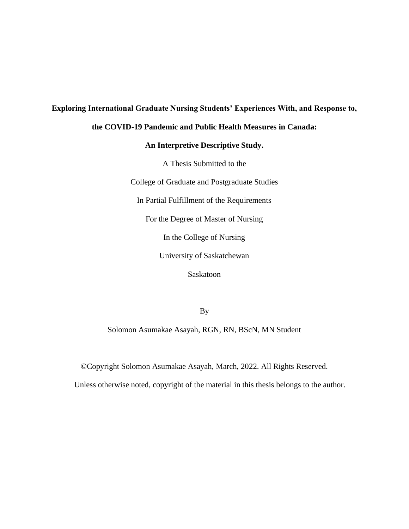# **Exploring International Graduate Nursing Students' Experiences With, and Response to,**

# **the COVID-19 Pandemic and Public Health Measures in Canada:**

# **An Interpretive Descriptive Study.**

A Thesis Submitted to the

College of Graduate and Postgraduate Studies

In Partial Fulfillment of the Requirements

For the Degree of Master of Nursing

In the College of Nursing

University of Saskatchewan

Saskatoon

By

Solomon Asumakae Asayah, RGN, RN, BScN, MN Student

©Copyright Solomon Asumakae Asayah, March, 2022. All Rights Reserved.

Unless otherwise noted, copyright of the material in this thesis belongs to the author.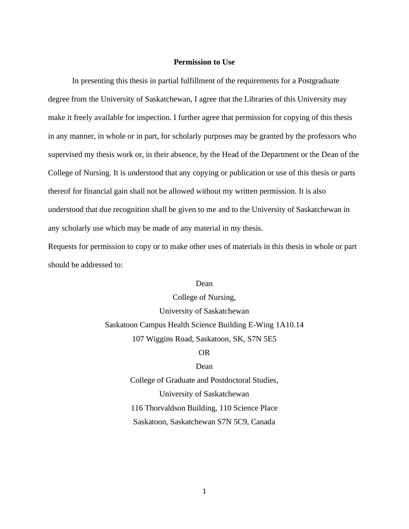# **Permission to Use**

<span id="page-1-0"></span>In presenting this thesis in partial fulfillment of the requirements for a Postgraduate degree from the University of Saskatchewan, I agree that the Libraries of this University may make it freely available for inspection. I further agree that permission for copying of this thesis in any manner, in whole or in part, for scholarly purposes may be granted by the professors who supervised my thesis work or, in their absence, by the Head of the Department or the Dean of the College of Nursing. It is understood that any copying or publication or use of this thesis or parts thereof for financial gain shall not be allowed without my written permission. It is also understood that due recognition shall be given to me and to the University of Saskatchewan in any scholarly use which may be made of any material in my thesis.

Requests for permission to copy or to make other uses of materials in this thesis in whole or part should be addressed to:

# Dean

College of Nursing, University of Saskatchewan Saskatoon Campus Health Science Building E-Wing 1A10.14 107 Wiggins Road, Saskatoon, SK, S7N 5E5

# OR

#### Dean

College of Graduate and Postdoctoral Studies, University of Saskatchewan 116 Thorvaldson Building, 110 Science Place Saskatoon, Saskatchewan S7N 5C9, Canada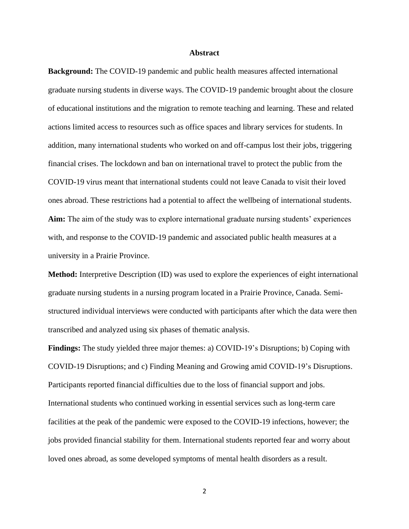## **Abstract**

<span id="page-2-0"></span>**Background:** The COVID-19 pandemic and public health measures affected international graduate nursing students in diverse ways. The COVID-19 pandemic brought about the closure of educational institutions and the migration to remote teaching and learning. These and related actions limited access to resources such as office spaces and library services for students. In addition, many international students who worked on and off-campus lost their jobs, triggering financial crises. The lockdown and ban on international travel to protect the public from the COVID-19 virus meant that international students could not leave Canada to visit their loved ones abroad. These restrictions had a potential to affect the wellbeing of international students. **Aim:** The aim of the study was to explore international graduate nursing students' experiences with, and response to the COVID-19 pandemic and associated public health measures at a university in a Prairie Province.

**Method:** Interpretive Description (ID) was used to explore the experiences of eight international graduate nursing students in a nursing program located in a Prairie Province, Canada. Semistructured individual interviews were conducted with participants after which the data were then transcribed and analyzed using six phases of thematic analysis.

**Findings:** The study yielded three major themes: a) COVID-19's Disruptions; b) Coping with COVID-19 Disruptions; and c) Finding Meaning and Growing amid COVID-19's Disruptions. Participants reported financial difficulties due to the loss of financial support and jobs. International students who continued working in essential services such as long-term care facilities at the peak of the pandemic were exposed to the COVID-19 infections, however; the jobs provided financial stability for them. International students reported fear and worry about loved ones abroad, as some developed symptoms of mental health disorders as a result.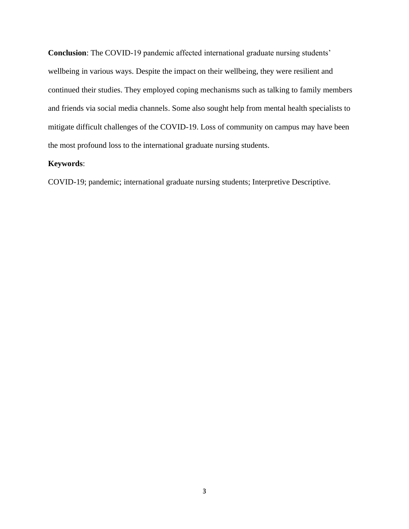**Conclusion**: The COVID-19 pandemic affected international graduate nursing students' wellbeing in various ways. Despite the impact on their wellbeing, they were resilient and continued their studies. They employed coping mechanisms such as talking to family members and friends via social media channels. Some also sought help from mental health specialists to mitigate difficult challenges of the COVID-19. Loss of community on campus may have been the most profound loss to the international graduate nursing students.

# **Keywords**:

COVID-19; pandemic; international graduate nursing students; Interpretive Descriptive.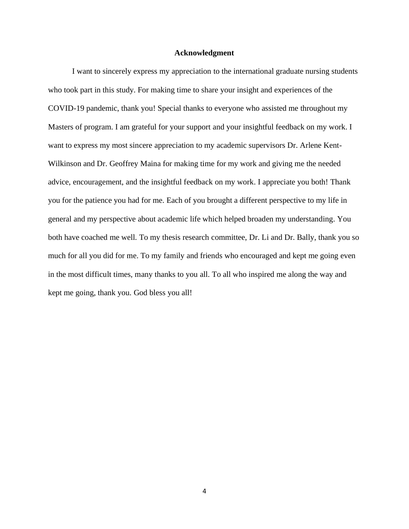## **Acknowledgment**

<span id="page-4-0"></span>I want to sincerely express my appreciation to the international graduate nursing students who took part in this study. For making time to share your insight and experiences of the COVID-19 pandemic, thank you! Special thanks to everyone who assisted me throughout my Masters of program. I am grateful for your support and your insightful feedback on my work. I want to express my most sincere appreciation to my academic supervisors Dr. Arlene Kent-Wilkinson and Dr. Geoffrey Maina for making time for my work and giving me the needed advice, encouragement, and the insightful feedback on my work. I appreciate you both! Thank you for the patience you had for me. Each of you brought a different perspective to my life in general and my perspective about academic life which helped broaden my understanding. You both have coached me well. To my thesis research committee, Dr. Li and Dr. Bally, thank you so much for all you did for me. To my family and friends who encouraged and kept me going even in the most difficult times, many thanks to you all. To all who inspired me along the way and kept me going, thank you. God bless you all!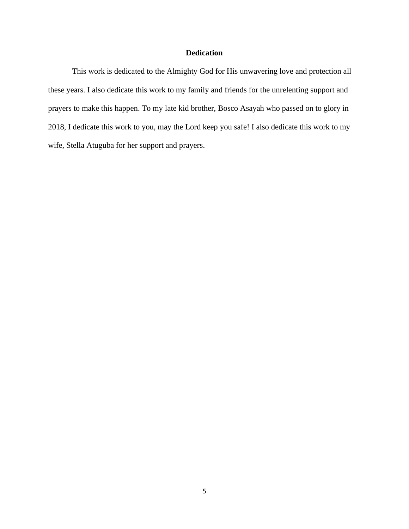# **Dedication**

<span id="page-5-0"></span>This work is dedicated to the Almighty God for His unwavering love and protection all these years. I also dedicate this work to my family and friends for the unrelenting support and prayers to make this happen. To my late kid brother, Bosco Asayah who passed on to glory in 2018, I dedicate this work to you, may the Lord keep you safe! I also dedicate this work to my wife, Stella Atuguba for her support and prayers.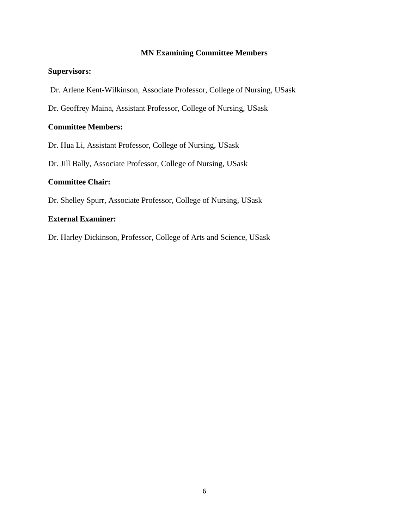# **MN Examining Committee Members**

# **Supervisors:**

Dr. Arlene Kent-Wilkinson, Associate Professor, College of Nursing, USask

Dr. Geoffrey Maina, Assistant Professor, College of Nursing, USask

# **Committee Members:**

Dr. Hua Li, Assistant Professor, College of Nursing, USask

Dr. Jill Bally, Associate Professor, College of Nursing, USask

# **Committee Chair:**

Dr. Shelley Spurr, Associate Professor, College of Nursing, USask

# **External Examiner:**

Dr. Harley Dickinson, Professor, College of Arts and Science, USask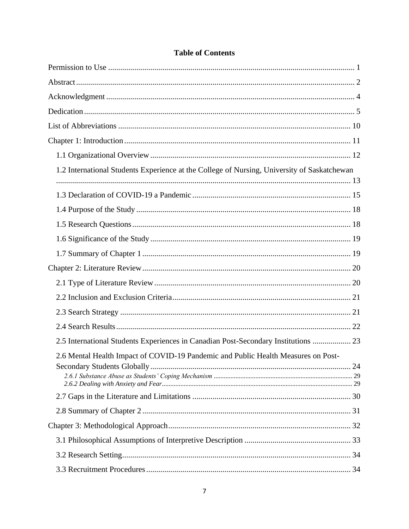| 1.2 International Students Experience at the College of Nursing, University of Saskatchewan |  |
|---------------------------------------------------------------------------------------------|--|
|                                                                                             |  |
|                                                                                             |  |
|                                                                                             |  |
|                                                                                             |  |
|                                                                                             |  |
|                                                                                             |  |
|                                                                                             |  |
|                                                                                             |  |
|                                                                                             |  |
|                                                                                             |  |
| 2.5 International Students Experiences in Canadian Post-Secondary Institutions  23          |  |
| 2.6 Mental Health Impact of COVID-19 Pandemic and Public Health Measures on Post-           |  |
|                                                                                             |  |
|                                                                                             |  |
|                                                                                             |  |
|                                                                                             |  |
|                                                                                             |  |
|                                                                                             |  |

# **Table of Contents**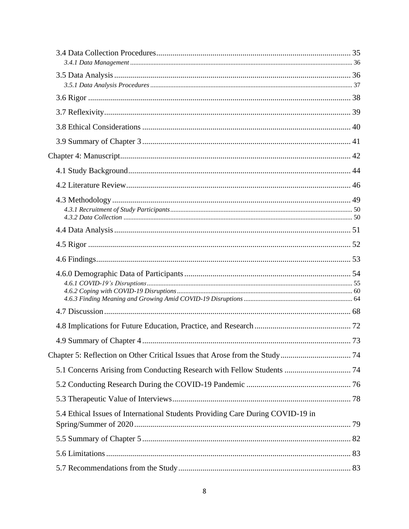| 5.4 Ethical Issues of International Students Providing Care During COVID-19 in |  |
|--------------------------------------------------------------------------------|--|
|                                                                                |  |
|                                                                                |  |
|                                                                                |  |
|                                                                                |  |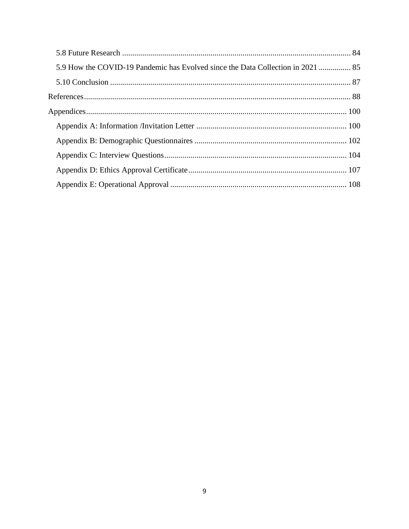| 5.9 How the COVID-19 Pandemic has Evolved since the Data Collection in 2021  85 |  |
|---------------------------------------------------------------------------------|--|
|                                                                                 |  |
|                                                                                 |  |
|                                                                                 |  |
|                                                                                 |  |
|                                                                                 |  |
|                                                                                 |  |
|                                                                                 |  |
|                                                                                 |  |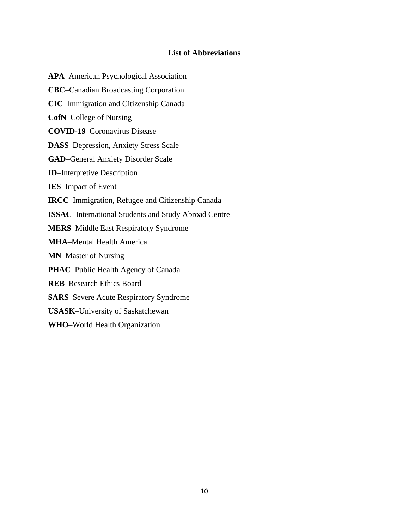# **List of Abbreviations**

<span id="page-10-0"></span>**APA**–American Psychological Association **CBC**–Canadian Broadcasting Corporation **CIC**–Immigration and Citizenship Canada **CofN**–College of Nursing **COVID-19**–Coronavirus Disease **DASS**–Depression, Anxiety Stress Scale **GAD**–General Anxiety Disorder Scale **ID**–Interpretive Description **IES**–Impact of Event **IRCC**–Immigration, Refugee and Citizenship Canada **ISSAC**–International Students and Study Abroad Centre **MERS**–Middle East Respiratory Syndrome **MHA**–Mental Health America **MN**–Master of Nursing **PHAC**–Public Health Agency of Canada **REB**–Research Ethics Board **SARS**–Severe Acute Respiratory Syndrome **USASK**–University of Saskatchewan **WHO**–World Health Organization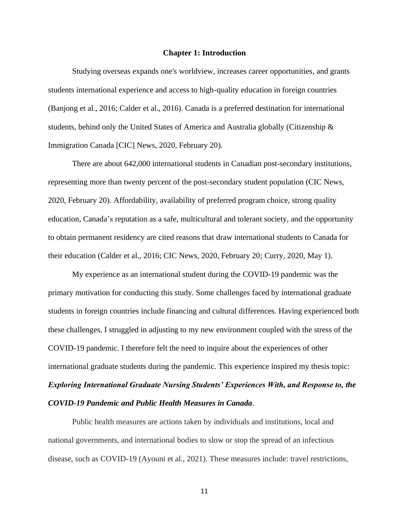#### **Chapter 1: Introduction**

<span id="page-11-0"></span>Studying overseas expands one's worldview, increases career opportunities, and grants students international experience and access to high-quality education in foreign countries (Banjong et al., 2016; Calder et al., 2016). Canada is a preferred destination for international students, behind only the United States of America and Australia globally (Citizenship & Immigration Canada [CIC] News, 2020, February 20).

There are about 642,000 international students in Canadian post-secondary institutions, representing more than twenty percent of the post-secondary student population (CIC News, 2020, February 20). Affordability, availability of preferred program choice, strong quality education, Canada's reputation as a safe, multicultural and tolerant society, and the opportunity to obtain permanent residency are cited reasons that draw international students to Canada for their education (Calder et al., 2016; CIC News, 2020, February 20; Curry, 2020, May 1).

My experience as an international student during the COVID-19 pandemic was the primary motivation for conducting this study. Some challenges faced by international graduate students in foreign countries include financing and cultural differences. Having experienced both these challenges, I struggled in adjusting to my new environment coupled with the stress of the COVID-19 pandemic. I therefore felt the need to inquire about the experiences of other international graduate students during the pandemic. This experience inspired my thesis topic: *Exploring International Graduate Nursing Students' Experiences With, and Response to, the COVID-19 Pandemic and Public Health Measures in Canada*.

Public health measures are actions taken by individuals and institutions, local and national governments, and international bodies to slow or stop the spread of an infectious disease, such as COVID-19 (Ayouni et al., 2021). These measures include: travel restrictions,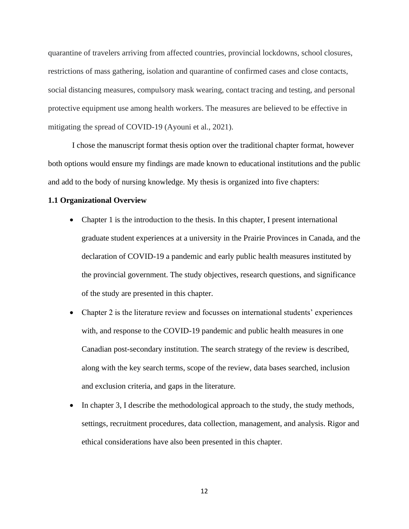quarantine of travelers arriving from affected countries, provincial lockdowns, school closures, restrictions of mass gathering, isolation and quarantine of confirmed cases and close contacts, social distancing measures, compulsory mask wearing, contact tracing and testing, and personal protective equipment use among health workers. The measures are believed to be effective in mitigating the spread of COVID-19 (Ayouni et al., 2021).

I chose the manuscript format thesis option over the traditional chapter format, however both options would ensure my findings are made known to educational institutions and the public and add to the body of nursing knowledge. My thesis is organized into five chapters:

#### <span id="page-12-0"></span>**1.1 Organizational Overview**

- Chapter 1 is the introduction to the thesis. In this chapter, I present international graduate student experiences at a university in the Prairie Provinces in Canada, and the declaration of COVID-19 a pandemic and early public health measures instituted by the provincial government. The study objectives, research questions, and significance of the study are presented in this chapter.
- Chapter 2 is the literature review and focusses on international students' experiences with, and response to the COVID-19 pandemic and public health measures in one Canadian post-secondary institution. The search strategy of the review is described, along with the key search terms, scope of the review, data bases searched, inclusion and exclusion criteria, and gaps in the literature.
- In chapter 3, I describe the methodological approach to the study, the study methods, settings, recruitment procedures, data collection, management, and analysis. Rigor and ethical considerations have also been presented in this chapter.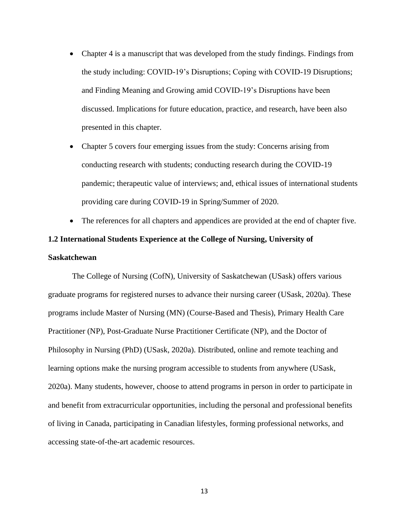- Chapter 4 is a manuscript that was developed from the study findings. Findings from the study including: COVID-19's Disruptions; Coping with COVID-19 Disruptions; and Finding Meaning and Growing amid COVID-19's Disruptions have been discussed. Implications for future education, practice, and research, have been also presented in this chapter.
- Chapter 5 covers four emerging issues from the study: Concerns arising from conducting research with students; conducting research during the COVID-19 pandemic; therapeutic value of interviews; and, ethical issues of international students providing care during COVID-19 in Spring/Summer of 2020.
- <span id="page-13-0"></span>The references for all chapters and appendices are provided at the end of chapter five. **1.2 International Students Experience at the College of Nursing, University of Saskatchewan**

The College of Nursing (CofN), University of Saskatchewan (USask) offers various graduate programs for registered nurses to advance their nursing career (USask, 2020a). These programs include Master of Nursing (MN) (Course-Based and Thesis), Primary Health Care Practitioner (NP), Post-Graduate Nurse Practitioner Certificate (NP), and the Doctor of Philosophy in Nursing (PhD) (USask, 2020a). Distributed, online and remote teaching and learning options make the nursing program accessible to students from anywhere (USask, 2020a). Many students, however, choose to attend programs in person in order to participate in and benefit from extracurricular opportunities, including the personal and professional benefits of living in Canada, participating in Canadian lifestyles, forming professional networks, and accessing state-of-the-art academic resources.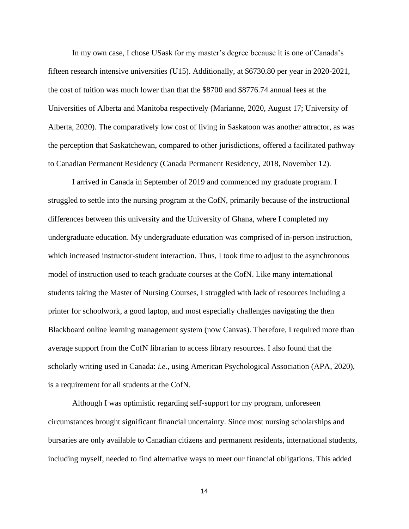In my own case, I chose USask for my master's degree because it is one of Canada's fifteen research intensive universities (U15). Additionally, at \$6730.80 per year in 2020-2021, the cost of tuition was much lower than that the \$8700 and \$8776.74 annual fees at the Universities of Alberta and Manitoba respectively (Marianne, 2020, August 17; University of Alberta, 2020). The comparatively low cost of living in Saskatoon was another attractor, as was the perception that Saskatchewan, compared to other jurisdictions, offered a facilitated pathway to Canadian Permanent Residency (Canada Permanent Residency, 2018, November 12).

I arrived in Canada in September of 2019 and commenced my graduate program. I struggled to settle into the nursing program at the CofN, primarily because of the instructional differences between this university and the University of Ghana, where I completed my undergraduate education. My undergraduate education was comprised of in-person instruction, which increased instructor-student interaction. Thus, I took time to adjust to the asynchronous model of instruction used to teach graduate courses at the CofN. Like many international students taking the Master of Nursing Courses, I struggled with lack of resources including a printer for schoolwork, a good laptop, and most especially challenges navigating the then Blackboard online learning management system (now Canvas). Therefore, I required more than average support from the CofN librarian to access library resources. I also found that the scholarly writing used in Canada: *i.e.*, using American Psychological Association (APA, 2020), is a requirement for all students at the CofN.

Although I was optimistic regarding self-support for my program, unforeseen circumstances brought significant financial uncertainty. Since most nursing scholarships and bursaries are only available to Canadian citizens and permanent residents, international students, including myself, needed to find alternative ways to meet our financial obligations. This added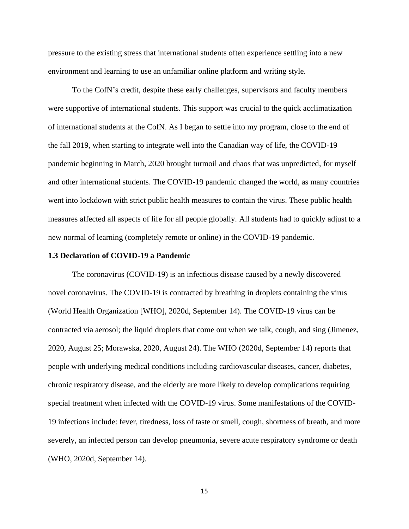pressure to the existing stress that international students often experience settling into a new environment and learning to use an unfamiliar online platform and writing style.

To the CofN's credit, despite these early challenges, supervisors and faculty members were supportive of international students. This support was crucial to the quick acclimatization of international students at the CofN. As I began to settle into my program, close to the end of the fall 2019, when starting to integrate well into the Canadian way of life, the COVID-19 pandemic beginning in March, 2020 brought turmoil and chaos that was unpredicted, for myself and other international students. The COVID-19 pandemic changed the world, as many countries went into lockdown with strict public health measures to contain the virus. These public health measures affected all aspects of life for all people globally. All students had to quickly adjust to a new normal of learning (completely remote or online) in the COVID-19 pandemic.

#### <span id="page-15-0"></span>**1.3 Declaration of COVID-19 a Pandemic**

The coronavirus (COVID-19) is an infectious disease caused by a newly discovered novel coronavirus. The COVID-19 is contracted by breathing in droplets containing the virus (World Health Organization [WHO], 2020d, September 14). The COVID-19 virus can be contracted via aerosol; the liquid droplets that come out when we talk, cough, and sing (Jimenez, 2020, August 25; Morawska, 2020, August 24). The WHO (2020d, September 14) reports that people with underlying medical conditions including cardiovascular diseases, cancer, diabetes, chronic respiratory disease, and the elderly are more likely to develop complications requiring special treatment when infected with the COVID-19 virus. Some manifestations of the COVID-19 infections include: fever, tiredness, loss of taste or smell, cough, shortness of breath, and more severely, an infected person can develop pneumonia, severe acute respiratory syndrome or death (WHO, 2020d, September 14).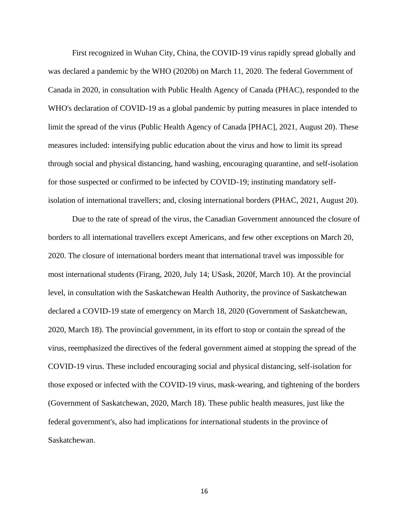First recognized in Wuhan City, China, the COVID-19 virus rapidly spread globally and was declared a pandemic by the WHO (2020b) on March 11, 2020. The federal Government of Canada in 2020, in consultation with Public Health Agency of Canada (PHAC), responded to the WHO's declaration of COVID-19 as a global pandemic by putting measures in place intended to limit the spread of the virus (Public Health Agency of Canada [PHAC], 2021, August 20). These measures included: intensifying public education about the virus and how to limit its spread through social and physical distancing, hand washing, encouraging quarantine, and self-isolation for those suspected or confirmed to be infected by COVID-19; instituting mandatory selfisolation of international travellers; and, closing international borders (PHAC, 2021, August 20).

Due to the rate of spread of the virus, the Canadian Government announced the closure of borders to all international travellers except Americans, and few other exceptions on March 20, 2020. The closure of international borders meant that international travel was impossible for most international students (Firang, 2020, July 14; USask, 2020f, March 10). At the provincial level, in consultation with the Saskatchewan Health Authority, the province of Saskatchewan declared a COVID-19 state of emergency on March 18, 2020 (Government of Saskatchewan, 2020, March 18). The provincial government, in its effort to stop or contain the spread of the virus, reemphasized the directives of the federal government aimed at stopping the spread of the COVID-19 virus. These included encouraging social and physical distancing, self-isolation for those exposed or infected with the COVID-19 virus, mask-wearing, and tightening of the borders (Government of Saskatchewan, 2020, March 18). These public health measures, just like the federal government's, also had implications for international students in the province of Saskatchewan.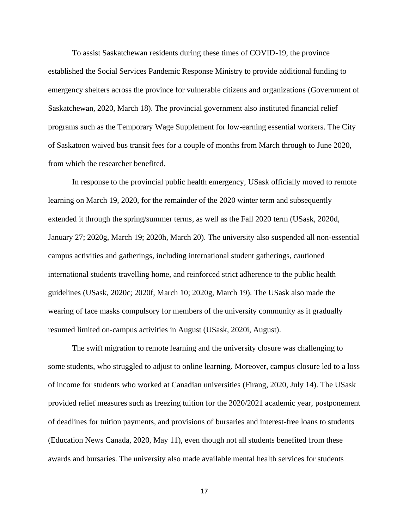To assist Saskatchewan residents during these times of COVID-19, the province established the Social Services Pandemic Response Ministry to provide additional funding to emergency shelters across the province for vulnerable citizens and organizations (Government of Saskatchewan, 2020, March 18). The provincial government also instituted financial relief programs such as the Temporary Wage Supplement for low-earning essential workers. The City of Saskatoon waived bus transit fees for a couple of months from March through to June 2020, from which the researcher benefited.

In response to the provincial public health emergency, USask officially moved to remote learning on March 19, 2020, for the remainder of the 2020 winter term and subsequently extended it through the spring/summer terms, as well as the Fall 2020 term (USask, 2020d, January 27; 2020g, March 19; 2020h, March 20). The university also suspended all non-essential campus activities and gatherings, including international student gatherings, cautioned international students travelling home, and reinforced strict adherence to the public health guidelines (USask, 2020c; 2020f, March 10; 2020g, March 19). The USask also made the wearing of face masks compulsory for members of the university community as it gradually resumed limited on-campus activities in August (USask, 2020i, August).

The swift migration to remote learning and the university closure was challenging to some students, who struggled to adjust to online learning. Moreover, campus closure led to a loss of income for students who worked at Canadian universities (Firang, 2020, July 14). The USask provided relief measures such as freezing tuition for the 2020/2021 academic year, postponement of deadlines for tuition payments, and provisions of bursaries and interest-free loans to students (Education News Canada, 2020, May 11), even though not all students benefited from these awards and bursaries. The university also made available mental health services for students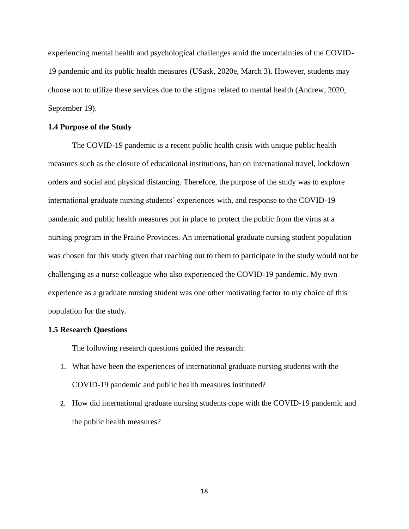experiencing mental health and psychological challenges amid the uncertainties of the COVID-19 pandemic and its public health measures (USask, 2020e, March 3). However, students may choose not to utilize these services due to the stigma related to mental health (Andrew, 2020, September 19).

#### <span id="page-18-0"></span>**1.4 Purpose of the Study**

The COVID-19 pandemic is a recent public health crisis with unique public health measures such as the closure of educational institutions, ban on international travel, lockdown orders and social and physical distancing. Therefore, the purpose of the study was to explore international graduate nursing students' experiences with, and response to the COVID-19 pandemic and public health measures put in place to protect the public from the virus at a nursing program in the Prairie Provinces. An international graduate nursing student population was chosen for this study given that reaching out to them to participate in the study would not be challenging as a nurse colleague who also experienced the COVID-19 pandemic. My own experience as a graduate nursing student was one other motivating factor to my choice of this population for the study.

#### <span id="page-18-1"></span>**1.5 Research Questions**

The following research questions guided the research:

- 1. What have been the experiences of international graduate nursing students with the COVID-19 pandemic and public health measures instituted?
- 2. How did international graduate nursing students cope with the COVID-19 pandemic and the public health measures?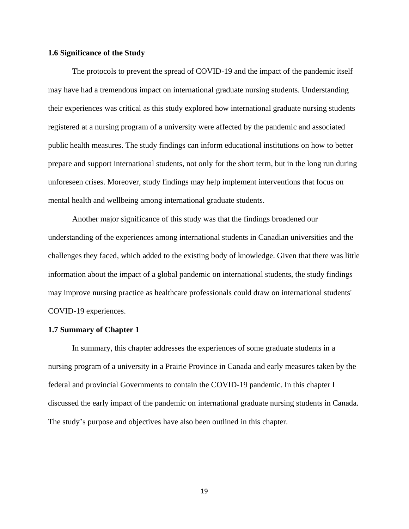# <span id="page-19-0"></span>**1.6 Significance of the Study**

The protocols to prevent the spread of COVID-19 and the impact of the pandemic itself may have had a tremendous impact on international graduate nursing students. Understanding their experiences was critical as this study explored how international graduate nursing students registered at a nursing program of a university were affected by the pandemic and associated public health measures. The study findings can inform educational institutions on how to better prepare and support international students, not only for the short term, but in the long run during unforeseen crises. Moreover, study findings may help implement interventions that focus on mental health and wellbeing among international graduate students.

Another major significance of this study was that the findings broadened our understanding of the experiences among international students in Canadian universities and the challenges they faced, which added to the existing body of knowledge. Given that there was little information about the impact of a global pandemic on international students, the study findings may improve nursing practice as healthcare professionals could draw on international students' COVID-19 experiences.

#### <span id="page-19-1"></span>**1.7 Summary of Chapter 1**

In summary, this chapter addresses the experiences of some graduate students in a nursing program of a university in a Prairie Province in Canada and early measures taken by the federal and provincial Governments to contain the COVID-19 pandemic. In this chapter I discussed the early impact of the pandemic on international graduate nursing students in Canada. The study's purpose and objectives have also been outlined in this chapter.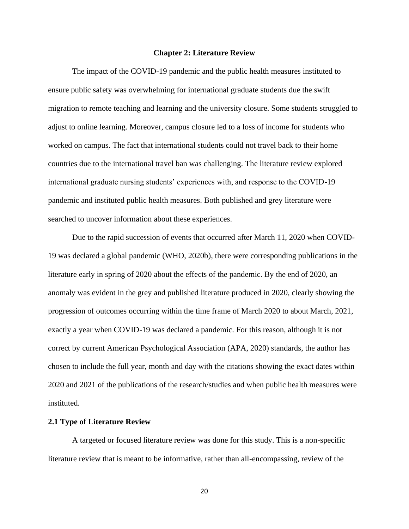#### **Chapter 2: Literature Review**

<span id="page-20-0"></span>The impact of the COVID-19 pandemic and the public health measures instituted to ensure public safety was overwhelming for international graduate students due the swift migration to remote teaching and learning and the university closure. Some students struggled to adjust to online learning. Moreover, campus closure led to a loss of income for students who worked on campus. The fact that international students could not travel back to their home countries due to the international travel ban was challenging. The literature review explored international graduate nursing students' experiences with, and response to the COVID-19 pandemic and instituted public health measures. Both published and grey literature were searched to uncover information about these experiences.

Due to the rapid succession of events that occurred after March 11, 2020 when COVID-19 was declared a global pandemic (WHO, 2020b), there were corresponding publications in the literature early in spring of 2020 about the effects of the pandemic. By the end of 2020, an anomaly was evident in the grey and published literature produced in 2020, clearly showing the progression of outcomes occurring within the time frame of March 2020 to about March, 2021, exactly a year when COVID-19 was declared a pandemic. For this reason, although it is not correct by current American Psychological Association (APA, 2020) standards, the author has chosen to include the full year, month and day with the citations showing the exact dates within 2020 and 2021 of the publications of the research/studies and when public health measures were instituted.

#### <span id="page-20-1"></span>**2.1 Type of Literature Review**

A targeted or focused literature review was done for this study. This is a non-specific literature review that is meant to be informative, rather than all-encompassing, review of the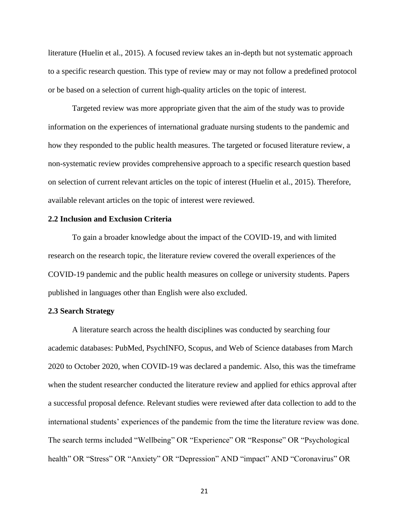literature (Huelin et al., 2015). A focused review takes an in-depth but not systematic approach to a specific research question. This type of review may or may not follow a predefined protocol or be based on a selection of current high-quality articles on the topic of interest.

Targeted review was more appropriate given that the aim of the study was to provide information on the experiences of international graduate nursing students to the pandemic and how they responded to the public health measures. The targeted or focused literature review, a non-systematic review provides comprehensive approach to a specific research question based on selection of current relevant articles on the topic of interest (Huelin et al., 2015). Therefore, available relevant articles on the topic of interest were reviewed.

# <span id="page-21-0"></span>**2.2 Inclusion and Exclusion Criteria**

To gain a broader knowledge about the impact of the COVID-19, and with limited research on the research topic, the literature review covered the overall experiences of the COVID-19 pandemic and the public health measures on college or university students. Papers published in languages other than English were also excluded.

# <span id="page-21-1"></span>**2.3 Search Strategy**

A literature search across the health disciplines was conducted by searching four academic databases: PubMed, PsychINFO, Scopus, and Web of Science databases from March 2020 to October 2020, when COVID-19 was declared a pandemic. Also, this was the timeframe when the student researcher conducted the literature review and applied for ethics approval after a successful proposal defence. Relevant studies were reviewed after data collection to add to the international students' experiences of the pandemic from the time the literature review was done. The search terms included "Wellbeing" OR "Experience" OR "Response" OR "Psychological health" OR "Stress" OR "Anxiety" OR "Depression" AND "impact" AND "Coronavirus" OR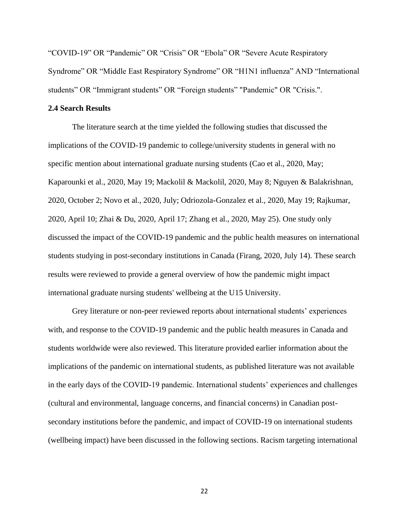"COVID-19" OR "Pandemic" OR "Crisis" OR "Ebola" OR "Severe Acute Respiratory Syndrome" OR "Middle East Respiratory Syndrome" OR "H1N1 influenza" AND "International students" OR "Immigrant students" OR "Foreign students" "Pandemic" OR "Crisis.".

## <span id="page-22-0"></span>**2.4 Search Results**

 The literature search at the time yielded the following studies that discussed the implications of the COVID-19 pandemic to college/university students in general with no specific mention about international graduate nursing students (Cao et al., 2020, May; Kaparounki et al., 2020, May 19; Mackolil & Mackolil, 2020, May 8; Nguyen & Balakrishnan, 2020, October 2; Novo et al., 2020, July; Odriozola-Gonzalez et al., 2020, May 19; Rajkumar, 2020, April 10; Zhai & Du, 2020, April 17; Zhang et al., 2020, May 25). One study only discussed the impact of the COVID-19 pandemic and the public health measures on international students studying in post-secondary institutions in Canada (Firang, 2020, July 14). These search results were reviewed to provide a general overview of how the pandemic might impact international graduate nursing students' wellbeing at the U15 University.

Grey literature or non-peer reviewed reports about international students' experiences with, and response to the COVID-19 pandemic and the public health measures in Canada and students worldwide were also reviewed. This literature provided earlier information about the implications of the pandemic on international students, as published literature was not available in the early days of the COVID-19 pandemic. International students' experiences and challenges (cultural and environmental, language concerns, and financial concerns) in Canadian postsecondary institutions before the pandemic, and impact of COVID-19 on international students (wellbeing impact) have been discussed in the following sections. Racism targeting international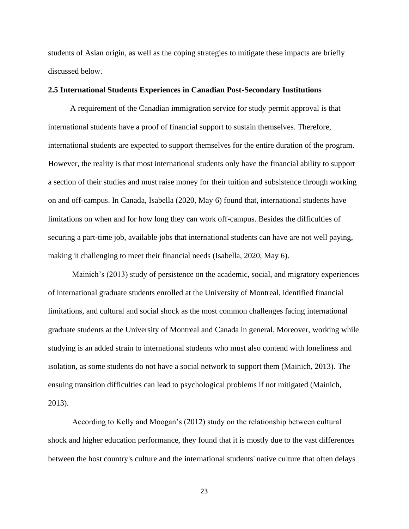students of Asian origin, as well as the coping strategies to mitigate these impacts are briefly discussed below.

# <span id="page-23-0"></span>**2.5 International Students Experiences in Canadian Post-Secondary Institutions**

 A requirement of the Canadian immigration service for study permit approval is that international students have a proof of financial support to sustain themselves. Therefore, international students are expected to support themselves for the entire duration of the program. However, the reality is that most international students only have the financial ability to support a section of their studies and must raise money for their tuition and subsistence through working on and off-campus. In Canada, Isabella (2020, May 6) found that, international students have limitations on when and for how long they can work off-campus. Besides the difficulties of securing a part-time job, available jobs that international students can have are not well paying, making it challenging to meet their financial needs (Isabella, 2020, May 6).

Mainich's (2013) study of persistence on the academic, social, and migratory experiences of international graduate students enrolled at the University of Montreal, identified financial limitations, and cultural and social shock as the most common challenges facing international graduate students at the University of Montreal and Canada in general. Moreover, working while studying is an added strain to international students who must also contend with loneliness and isolation, as some students do not have a social network to support them (Mainich, 2013). The ensuing transition difficulties can lead to psychological problems if not mitigated (Mainich, 2013).

According to Kelly and Moogan's (2012) study on the relationship between cultural shock and higher education performance, they found that it is mostly due to the vast differences between the host country's culture and the international students' native culture that often delays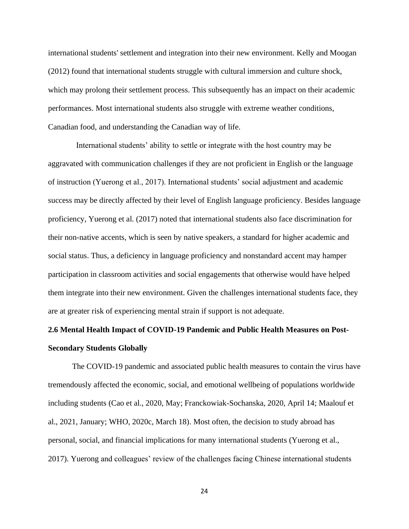international students' settlement and integration into their new environment. Kelly and Moogan (2012) found that international students struggle with cultural immersion and culture shock, which may prolong their settlement process. This subsequently has an impact on their academic performances. Most international students also struggle with extreme weather conditions, Canadian food, and understanding the Canadian way of life.

 International students' ability to settle or integrate with the host country may be aggravated with communication challenges if they are not proficient in English or the language of instruction (Yuerong et al., 2017). International students' social adjustment and academic success may be directly affected by their level of English language proficiency. Besides language proficiency, Yuerong et al. (2017) noted that international students also face discrimination for their non-native accents, which is seen by native speakers, a standard for higher academic and social status. Thus, a deficiency in language proficiency and nonstandard accent may hamper participation in classroom activities and social engagements that otherwise would have helped them integrate into their new environment. Given the challenges international students face, they are at greater risk of experiencing mental strain if support is not adequate.

# <span id="page-24-0"></span>**2.6 Mental Health Impact of COVID-19 Pandemic and Public Health Measures on Post-Secondary Students Globally**

The COVID-19 pandemic and associated public health measures to contain the virus have tremendously affected the economic, social, and emotional wellbeing of populations worldwide including students (Cao et al., 2020, May; Franckowiak-Sochanska, 2020, April 14; Maalouf et al., 2021, January; WHO, 2020c, March 18). Most often, the decision to study abroad has personal, social, and financial implications for many international students (Yuerong et al., 2017). Yuerong and colleagues' review of the challenges facing Chinese international students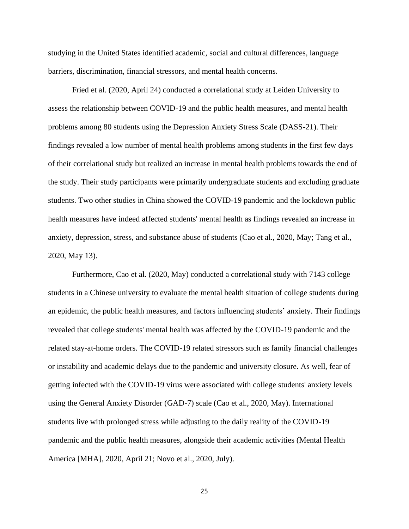studying in the United States identified academic, social and cultural differences, language barriers, discrimination, financial stressors, and mental health concerns.

Fried et al. (2020, April 24) conducted a correlational study at Leiden University to assess the relationship between COVID-19 and the public health measures, and mental health problems among 80 students using the Depression Anxiety Stress Scale (DASS-21). Their findings revealed a low number of mental health problems among students in the first few days of their correlational study but realized an increase in mental health problems towards the end of the study. Their study participants were primarily undergraduate students and excluding graduate students. Two other studies in China showed the COVID-19 pandemic and the lockdown public health measures have indeed affected students' mental health as findings revealed an increase in anxiety, depression, stress, and substance abuse of students (Cao et al., 2020, May; Tang et al., 2020, May 13).

Furthermore, Cao et al. (2020, May) conducted a correlational study with 7143 college students in a Chinese university to evaluate the mental health situation of college students during an epidemic, the public health measures, and factors influencing students' anxiety. Their findings revealed that college students' mental health was affected by the COVID-19 pandemic and the related stay-at-home orders. The COVID-19 related stressors such as family financial challenges or instability and academic delays due to the pandemic and university closure. As well, fear of getting infected with the COVID-19 virus were associated with college students' anxiety levels using the General Anxiety Disorder (GAD-7) scale (Cao et al., 2020, May). International students live with prolonged stress while adjusting to the daily reality of the COVID-19 pandemic and the public health measures, alongside their academic activities (Mental Health America [MHA], 2020, April 21; Novo et al., 2020, July).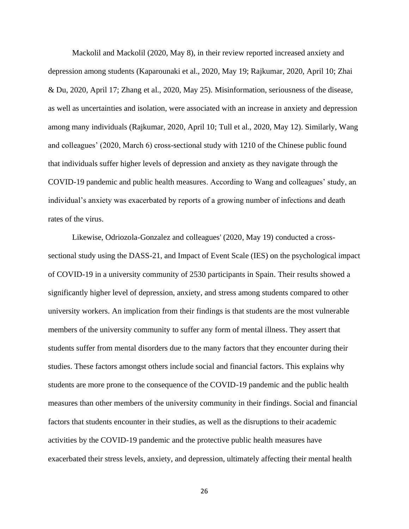Mackolil and Mackolil (2020, May 8), in their review reported increased anxiety and depression among students (Kaparounaki et al., 2020, May 19; Rajkumar, 2020, April 10; Zhai & Du, 2020, April 17; Zhang et al., 2020, May 25). Misinformation, seriousness of the disease, as well as uncertainties and isolation, were associated with an increase in anxiety and depression among many individuals (Rajkumar, 2020, April 10; Tull et al., 2020, May 12). Similarly, Wang and colleagues' (2020, March 6) cross-sectional study with 1210 of the Chinese public found that individuals suffer higher levels of depression and anxiety as they navigate through the COVID-19 pandemic and public health measures. According to Wang and colleagues' study, an individual's anxiety was exacerbated by reports of a growing number of infections and death rates of the virus.

Likewise, Odriozola-Gonzalez and colleagues' (2020, May 19) conducted a crosssectional study using the DASS-21, and Impact of Event Scale (IES) on the psychological impact of COVID-19 in a university community of 2530 participants in Spain. Their results showed a significantly higher level of depression, anxiety, and stress among students compared to other university workers. An implication from their findings is that students are the most vulnerable members of the university community to suffer any form of mental illness. They assert that students suffer from mental disorders due to the many factors that they encounter during their studies. These factors amongst others include social and financial factors. This explains why students are more prone to the consequence of the COVID-19 pandemic and the public health measures than other members of the university community in their findings. Social and financial factors that students encounter in their studies, as well as the disruptions to their academic activities by the COVID-19 pandemic and the protective public health measures have exacerbated their stress levels, anxiety, and depression, ultimately affecting their mental health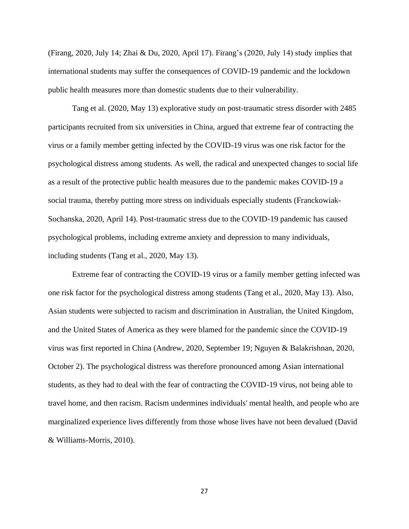(Firang, 2020, July 14; Zhai & Du, 2020, April 17). Firang's (2020, July 14) study implies that international students may suffer the consequences of COVID-19 pandemic and the lockdown public health measures more than domestic students due to their vulnerability.

Tang et al. (2020, May 13) explorative study on post-traumatic stress disorder with 2485 participants recruited from six universities in China, argued that extreme fear of contracting the virus or a family member getting infected by the COVID-19 virus was one risk factor for the psychological distress among students. As well, the radical and unexpected changes to social life as a result of the protective public health measures due to the pandemic makes COVID-19 a social trauma, thereby putting more stress on individuals especially students (Franckowiak-Sochanska, 2020, April 14). Post-traumatic stress due to the COVID-19 pandemic has caused psychological problems, including extreme anxiety and depression to many individuals, including students (Tang et al., 2020, May 13).

Extreme fear of contracting the COVID-19 virus or a family member getting infected was one risk factor for the psychological distress among students (Tang et al., 2020, May 13). Also, Asian students were subjected to racism and discrimination in Australian, the United Kingdom, and the United States of America as they were blamed for the pandemic since the COVID-19 virus was first reported in China (Andrew, 2020, September 19; Nguyen & Balakrishnan, 2020, October 2). The psychological distress was therefore pronounced among Asian international students, as they had to deal with the fear of contracting the COVID-19 virus, not being able to travel home, and then racism. Racism undermines individuals' mental health, and people who are marginalized experience lives differently from those whose lives have not been devalued (David & Williams-Morris, 2010).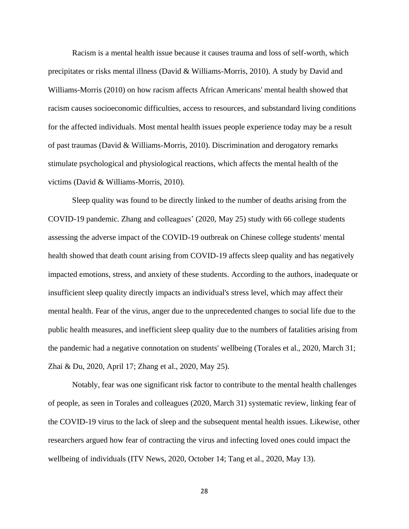Racism is a mental health issue because it causes trauma and loss of self-worth, which precipitates or risks mental illness (David & Williams-Morris, 2010). A study by David and Williams-Morris (2010) on how racism affects African Americans' mental health showed that racism causes socioeconomic difficulties, access to resources, and substandard living conditions for the affected individuals. Most mental health issues people experience today may be a result of past traumas (David & Williams-Morris, 2010). Discrimination and derogatory remarks stimulate psychological and physiological reactions, which affects the mental health of the victims (David & Williams-Morris, 2010).

Sleep quality was found to be directly linked to the number of deaths arising from the COVID-19 pandemic. Zhang and colleagues' (2020, May 25) study with 66 college students assessing the adverse impact of the COVID-19 outbreak on Chinese college students' mental health showed that death count arising from COVID-19 affects sleep quality and has negatively impacted emotions, stress, and anxiety of these students. According to the authors, inadequate or insufficient sleep quality directly impacts an individual's stress level, which may affect their mental health. Fear of the virus, anger due to the unprecedented changes to social life due to the public health measures, and inefficient sleep quality due to the numbers of fatalities arising from the pandemic had a negative connotation on students' wellbeing (Torales et al., 2020, March 31; Zhai & Du, 2020, April 17; Zhang et al., 2020, May 25).

Notably, fear was one significant risk factor to contribute to the mental health challenges of people, as seen in Torales and colleagues (2020, March 31) systematic review, linking fear of the COVID-19 virus to the lack of sleep and the subsequent mental health issues. Likewise, other researchers argued how fear of contracting the virus and infecting loved ones could impact the wellbeing of individuals (ITV News, 2020, October 14; Tang et al., 2020, May 13).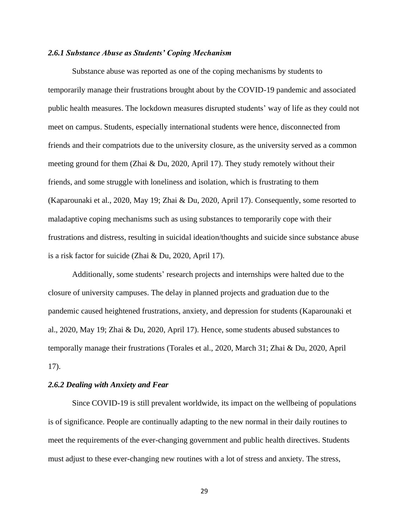# <span id="page-29-0"></span>*2.6.1 Substance Abuse as Students' Coping Mechanism*

Substance abuse was reported as one of the coping mechanisms by students to temporarily manage their frustrations brought about by the COVID-19 pandemic and associated public health measures. The lockdown measures disrupted students' way of life as they could not meet on campus. Students, especially international students were hence, disconnected from friends and their compatriots due to the university closure, as the university served as a common meeting ground for them (Zhai & Du, 2020, April 17). They study remotely without their friends, and some struggle with loneliness and isolation, which is frustrating to them (Kaparounaki et al., 2020, May 19; Zhai & Du, 2020, April 17). Consequently, some resorted to maladaptive coping mechanisms such as using substances to temporarily cope with their frustrations and distress, resulting in suicidal ideation/thoughts and suicide since substance abuse is a risk factor for suicide (Zhai & Du, 2020, April 17).

Additionally, some students' research projects and internships were halted due to the closure of university campuses. The delay in planned projects and graduation due to the pandemic caused heightened frustrations, anxiety, and depression for students (Kaparounaki et al., 2020, May 19; Zhai & Du, 2020, April 17). Hence, some students abused substances to temporally manage their frustrations (Torales et al., 2020, March 31; Zhai & Du, 2020, April 17).

# <span id="page-29-1"></span>*2.6.2 Dealing with Anxiety and Fear*

Since COVID-19 is still prevalent worldwide, its impact on the wellbeing of populations is of significance. People are continually adapting to the new normal in their daily routines to meet the requirements of the ever-changing government and public health directives. Students must adjust to these ever-changing new routines with a lot of stress and anxiety. The stress,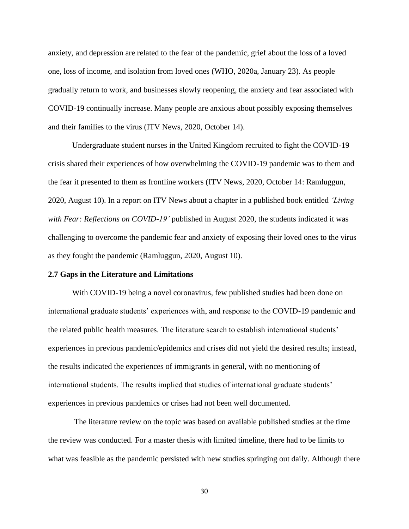anxiety, and depression are related to the fear of the pandemic, grief about the loss of a loved one, loss of income, and isolation from loved ones (WHO, 2020a, January 23). As people gradually return to work, and businesses slowly reopening, the anxiety and fear associated with COVID-19 continually increase. Many people are anxious about possibly exposing themselves and their families to the virus (ITV News, 2020, October 14).

Undergraduate student nurses in the United Kingdom recruited to fight the COVID-19 crisis shared their experiences of how overwhelming the COVID-19 pandemic was to them and the fear it presented to them as frontline workers (ITV News, 2020, October 14: Ramluggun, 2020, August 10). In a report on ITV News about a chapter in a published book entitled *'Living*  with Fear: Reflections on COVID-19' published in August 2020, the students indicated it was challenging to overcome the pandemic fear and anxiety of exposing their loved ones to the virus as they fought the pandemic (Ramluggun, 2020, August 10).

## <span id="page-30-0"></span>**2.7 Gaps in the Literature and Limitations**

With COVID-19 being a novel coronavirus, few published studies had been done on international graduate students' experiences with, and response to the COVID-19 pandemic and the related public health measures. The literature search to establish international students' experiences in previous pandemic/epidemics and crises did not yield the desired results; instead, the results indicated the experiences of immigrants in general, with no mentioning of international students. The results implied that studies of international graduate students' experiences in previous pandemics or crises had not been well documented.

The literature review on the topic was based on available published studies at the time the review was conducted. For a master thesis with limited timeline, there had to be limits to what was feasible as the pandemic persisted with new studies springing out daily. Although there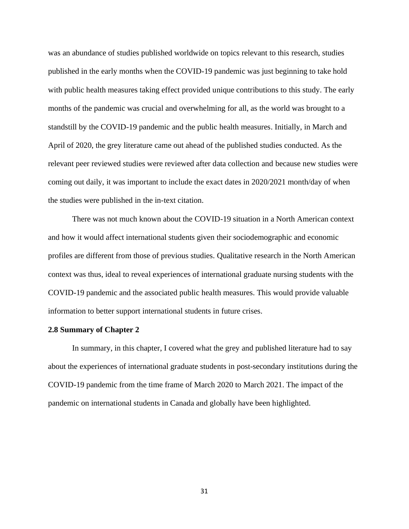was an abundance of studies published worldwide on topics relevant to this research, studies published in the early months when the COVID-19 pandemic was just beginning to take hold with public health measures taking effect provided unique contributions to this study. The early months of the pandemic was crucial and overwhelming for all, as the world was brought to a standstill by the COVID-19 pandemic and the public health measures. Initially, in March and April of 2020, the grey literature came out ahead of the published studies conducted. As the relevant peer reviewed studies were reviewed after data collection and because new studies were coming out daily, it was important to include the exact dates in 2020/2021 month/day of when the studies were published in the in-text citation.

There was not much known about the COVID-19 situation in a North American context and how it would affect international students given their sociodemographic and economic profiles are different from those of previous studies. Qualitative research in the North American context was thus, ideal to reveal experiences of international graduate nursing students with the COVID-19 pandemic and the associated public health measures. This would provide valuable information to better support international students in future crises.

#### <span id="page-31-0"></span>**2.8 Summary of Chapter 2**

In summary, in this chapter, I covered what the grey and published literature had to say about the experiences of international graduate students in post-secondary institutions during the COVID-19 pandemic from the time frame of March 2020 to March 2021. The impact of the pandemic on international students in Canada and globally have been highlighted.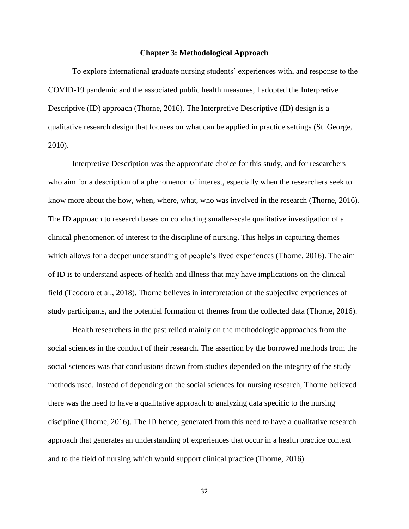#### **Chapter 3: Methodological Approach**

<span id="page-32-0"></span>To explore international graduate nursing students' experiences with, and response to the COVID-19 pandemic and the associated public health measures, I adopted the Interpretive Descriptive (ID) approach (Thorne, 2016). The Interpretive Descriptive (ID) design is a qualitative research design that focuses on what can be applied in practice settings (St. George, 2010).

Interpretive Description was the appropriate choice for this study, and for researchers who aim for a description of a phenomenon of interest, especially when the researchers seek to know more about the how, when, where, what, who was involved in the research (Thorne, 2016). The ID approach to research bases on conducting smaller-scale qualitative investigation of a clinical phenomenon of interest to the discipline of nursing. This helps in capturing themes which allows for a deeper understanding of people's lived experiences (Thorne, 2016). The aim of ID is to understand aspects of health and illness that may have implications on the clinical field (Teodoro et al., 2018). Thorne believes in interpretation of the subjective experiences of study participants, and the potential formation of themes from the collected data (Thorne, 2016).

Health researchers in the past relied mainly on the methodologic approaches from the social sciences in the conduct of their research. The assertion by the borrowed methods from the social sciences was that conclusions drawn from studies depended on the integrity of the study methods used. Instead of depending on the social sciences for nursing research, Thorne believed there was the need to have a qualitative approach to analyzing data specific to the nursing discipline (Thorne, 2016). The ID hence, generated from this need to have a qualitative research approach that generates an understanding of experiences that occur in a health practice context and to the field of nursing which would support clinical practice (Thorne, 2016).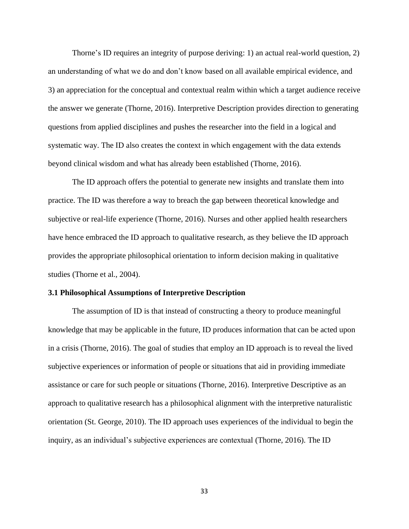Thorne's ID requires an integrity of purpose deriving: 1) an actual real-world question, 2) an understanding of what we do and don't know based on all available empirical evidence, and 3) an appreciation for the conceptual and contextual realm within which a target audience receive the answer we generate (Thorne, 2016). Interpretive Description provides direction to generating questions from applied disciplines and pushes the researcher into the field in a logical and systematic way. The ID also creates the context in which engagement with the data extends beyond clinical wisdom and what has already been established (Thorne, 2016).

The ID approach offers the potential to generate new insights and translate them into practice. The ID was therefore a way to breach the gap between theoretical knowledge and subjective or real-life experience (Thorne, 2016). Nurses and other applied health researchers have hence embraced the ID approach to qualitative research, as they believe the ID approach provides the appropriate philosophical orientation to inform decision making in qualitative studies (Thorne et al., 2004).

#### <span id="page-33-0"></span>**3.1 Philosophical Assumptions of Interpretive Description**

The assumption of ID is that instead of constructing a theory to produce meaningful knowledge that may be applicable in the future, ID produces information that can be acted upon in a crisis (Thorne, 2016). The goal of studies that employ an ID approach is to reveal the lived subjective experiences or information of people or situations that aid in providing immediate assistance or care for such people or situations (Thorne, 2016). Interpretive Descriptive as an approach to qualitative research has a philosophical alignment with the interpretive naturalistic orientation (St. George, 2010). The ID approach uses experiences of the individual to begin the inquiry, as an individual's subjective experiences are contextual (Thorne, 2016). The ID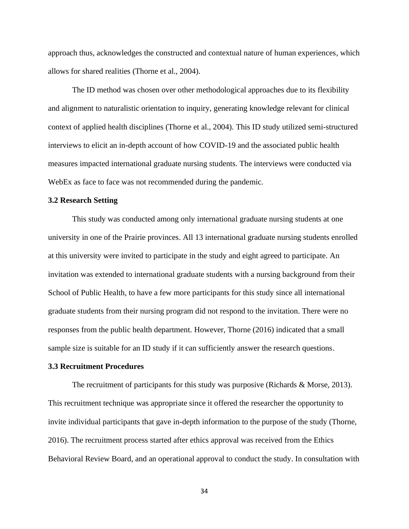approach thus, acknowledges the constructed and contextual nature of human experiences, which allows for shared realities (Thorne et al., 2004).

The ID method was chosen over other methodological approaches due to its flexibility and alignment to naturalistic orientation to inquiry, generating knowledge relevant for clinical context of applied health disciplines (Thorne et al., 2004). This ID study utilized semi-structured interviews to elicit an in-depth account of how COVID-19 and the associated public health measures impacted international graduate nursing students. The interviews were conducted via WebEx as face to face was not recommended during the pandemic.

#### <span id="page-34-0"></span>**3.2 Research Setting**

This study was conducted among only international graduate nursing students at one university in one of the Prairie provinces. All 13 international graduate nursing students enrolled at this university were invited to participate in the study and eight agreed to participate. An invitation was extended to international graduate students with a nursing background from their School of Public Health, to have a few more participants for this study since all international graduate students from their nursing program did not respond to the invitation. There were no responses from the public health department. However, Thorne (2016) indicated that a small sample size is suitable for an ID study if it can sufficiently answer the research questions.

## <span id="page-34-1"></span>**3.3 Recruitment Procedures**

The recruitment of participants for this study was purposive (Richards & Morse, 2013). This recruitment technique was appropriate since it offered the researcher the opportunity to invite individual participants that gave in-depth information to the purpose of the study (Thorne, 2016). The recruitment process started after ethics approval was received from the Ethics Behavioral Review Board, and an operational approval to conduct the study. In consultation with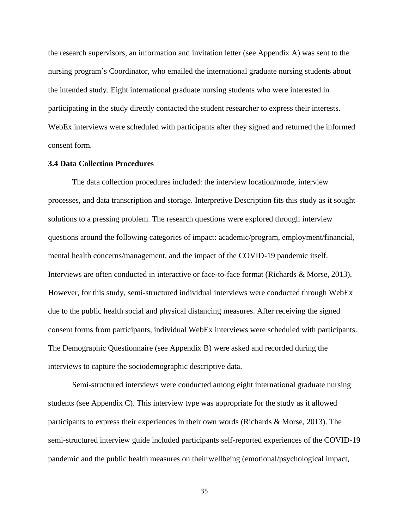the research supervisors, an information and invitation letter (see Appendix A) was sent to the nursing program's Coordinator, who emailed the international graduate nursing students about the intended study. Eight international graduate nursing students who were interested in participating in the study directly contacted the student researcher to express their interests. WebEx interviews were scheduled with participants after they signed and returned the informed consent form.

# <span id="page-35-0"></span>**3.4 Data Collection Procedures**

The data collection procedures included: the interview location/mode, interview processes, and data transcription and storage. Interpretive Description fits this study as it sought solutions to a pressing problem. The research questions were explored through interview questions around the following categories of impact: academic/program, employment/financial, mental health concerns/management, and the impact of the COVID-19 pandemic itself. Interviews are often conducted in interactive or face-to-face format (Richards & Morse, 2013). However, for this study, semi-structured individual interviews were conducted through WebEx due to the public health social and physical distancing measures. After receiving the signed consent forms from participants, individual WebEx interviews were scheduled with participants. The Demographic Questionnaire (see Appendix B) were asked and recorded during the interviews to capture the sociodemographic descriptive data.

Semi-structured interviews were conducted among eight international graduate nursing students (see Appendix C). This interview type was appropriate for the study as it allowed participants to express their experiences in their own words (Richards & Morse, 2013). The semi-structured interview guide included participants self-reported experiences of the COVID-19 pandemic and the public health measures on their wellbeing (emotional/psychological impact,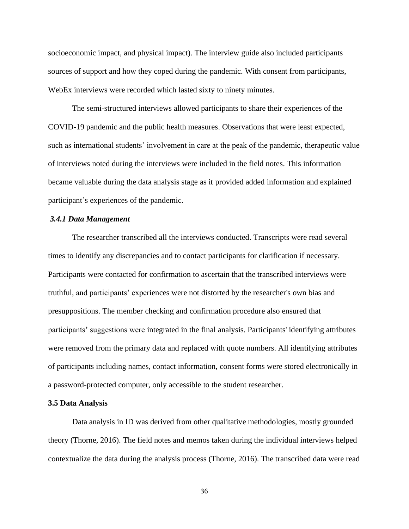socioeconomic impact, and physical impact). The interview guide also included participants sources of support and how they coped during the pandemic. With consent from participants, WebEx interviews were recorded which lasted sixty to ninety minutes.

The semi-structured interviews allowed participants to share their experiences of the COVID-19 pandemic and the public health measures. Observations that were least expected, such as international students' involvement in care at the peak of the pandemic, therapeutic value of interviews noted during the interviews were included in the field notes. This information became valuable during the data analysis stage as it provided added information and explained participant's experiences of the pandemic.

### *3.4.1 Data Management*

The researcher transcribed all the interviews conducted. Transcripts were read several times to identify any discrepancies and to contact participants for clarification if necessary. Participants were contacted for confirmation to ascertain that the transcribed interviews were truthful, and participants' experiences were not distorted by the researcher's own bias and presuppositions. The member checking and confirmation procedure also ensured that participants' suggestions were integrated in the final analysis. Participants' identifying attributes were removed from the primary data and replaced with quote numbers. All identifying attributes of participants including names, contact information, consent forms were stored electronically in a password-protected computer, only accessible to the student researcher.

#### **3.5 Data Analysis**

Data analysis in ID was derived from other qualitative methodologies, mostly grounded theory (Thorne, 2016). The field notes and memos taken during the individual interviews helped contextualize the data during the analysis process (Thorne, 2016). The transcribed data were read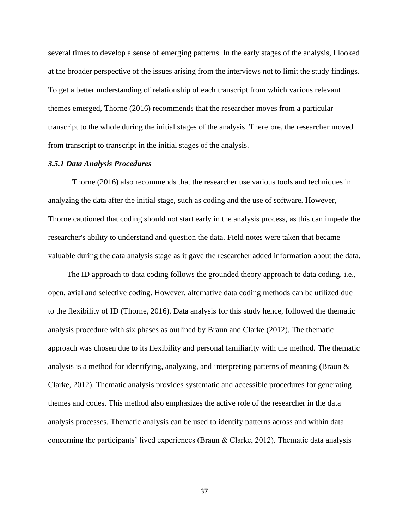several times to develop a sense of emerging patterns. In the early stages of the analysis, I looked at the broader perspective of the issues arising from the interviews not to limit the study findings. To get a better understanding of relationship of each transcript from which various relevant themes emerged, Thorne (2016) recommends that the researcher moves from a particular transcript to the whole during the initial stages of the analysis. Therefore, the researcher moved from transcript to transcript in the initial stages of the analysis.

### *3.5.1 Data Analysis Procedures*

 Thorne (2016) also recommends that the researcher use various tools and techniques in analyzing the data after the initial stage, such as coding and the use of software. However, Thorne cautioned that coding should not start early in the analysis process, as this can impede the researcher's ability to understand and question the data. Field notes were taken that became valuable during the data analysis stage as it gave the researcher added information about the data.

The ID approach to data coding follows the grounded theory approach to data coding, i.e., open, axial and selective coding. However, alternative data coding methods can be utilized due to the flexibility of ID (Thorne, 2016). Data analysis for this study hence, followed the thematic analysis procedure with six phases as outlined by Braun and Clarke (2012). The thematic approach was chosen due to its flexibility and personal familiarity with the method. The thematic analysis is a method for identifying, analyzing, and interpreting patterns of meaning (Braun & Clarke, 2012). Thematic analysis provides systematic and accessible procedures for generating themes and codes. This method also emphasizes the active role of the researcher in the data analysis processes. Thematic analysis can be used to identify patterns across and within data concerning the participants' lived experiences (Braun & Clarke, 2012). Thematic data analysis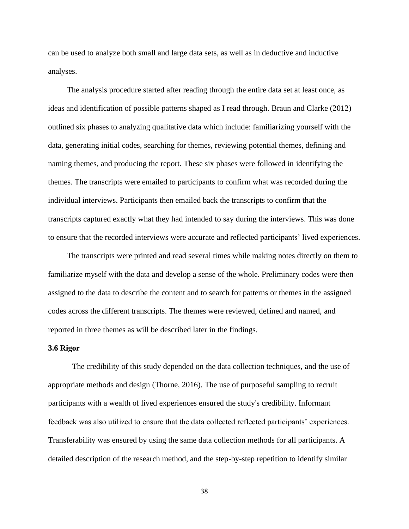can be used to analyze both small and large data sets, as well as in deductive and inductive analyses.

The analysis procedure started after reading through the entire data set at least once, as ideas and identification of possible patterns shaped as I read through. Braun and Clarke (2012) outlined six phases to analyzing qualitative data which include: familiarizing yourself with the data, generating initial codes, searching for themes, reviewing potential themes, defining and naming themes, and producing the report. These six phases were followed in identifying the themes. The transcripts were emailed to participants to confirm what was recorded during the individual interviews. Participants then emailed back the transcripts to confirm that the transcripts captured exactly what they had intended to say during the interviews. This was done to ensure that the recorded interviews were accurate and reflected participants' lived experiences.

The transcripts were printed and read several times while making notes directly on them to familiarize myself with the data and develop a sense of the whole. Preliminary codes were then assigned to the data to describe the content and to search for patterns or themes in the assigned codes across the different transcripts. The themes were reviewed, defined and named, and reported in three themes as will be described later in the findings.

# **3.6 Rigor**

The credibility of this study depended on the data collection techniques, and the use of appropriate methods and design (Thorne, 2016). The use of purposeful sampling to recruit participants with a wealth of lived experiences ensured the study's credibility. Informant feedback was also utilized to ensure that the data collected reflected participants' experiences. Transferability was ensured by using the same data collection methods for all participants. A detailed description of the research method, and the step-by-step repetition to identify similar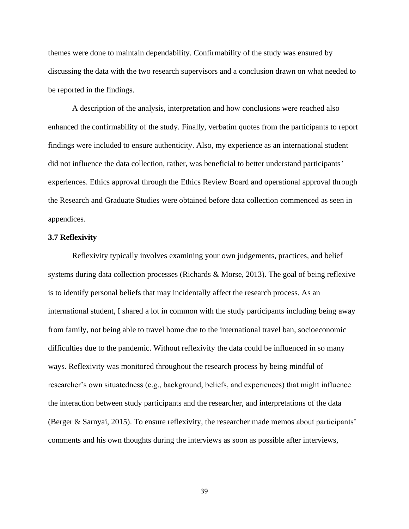themes were done to maintain dependability. Confirmability of the study was ensured by discussing the data with the two research supervisors and a conclusion drawn on what needed to be reported in the findings.

A description of the analysis, interpretation and how conclusions were reached also enhanced the confirmability of the study. Finally, verbatim quotes from the participants to report findings were included to ensure authenticity. Also, my experience as an international student did not influence the data collection, rather, was beneficial to better understand participants' experiences. Ethics approval through the Ethics Review Board and operational approval through the Research and Graduate Studies were obtained before data collection commenced as seen in appendices.

# **3.7 Reflexivity**

Reflexivity typically involves examining your own judgements, practices, and belief systems during data collection processes (Richards & Morse, 2013). The goal of being reflexive is to identify personal beliefs that may incidentally affect the research process. As an international student, I shared a lot in common with the study participants including being away from family, not being able to travel home due to the international travel ban, socioeconomic difficulties due to the pandemic. Without reflexivity the data could be influenced in so many ways. Reflexivity was monitored throughout the research process by being mindful of researcher's own situatedness (e.g., background, beliefs, and experiences) that might influence the interaction between study participants and the researcher, and interpretations of the data (Berger & Sarnyai, 2015). To ensure reflexivity, the researcher made memos about participants' comments and his own thoughts during the interviews as soon as possible after interviews,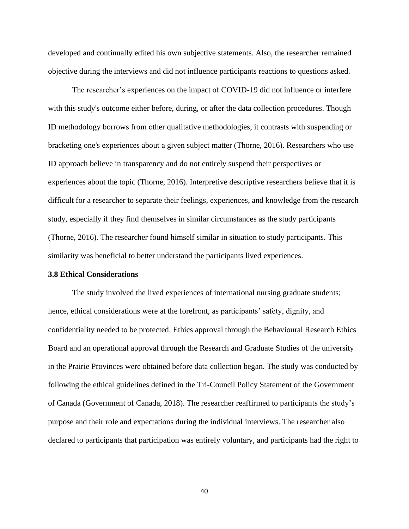developed and continually edited his own subjective statements. Also, the researcher remained objective during the interviews and did not influence participants reactions to questions asked.

The researcher's experiences on the impact of COVID-19 did not influence or interfere with this study's outcome either before, during, or after the data collection procedures. Though ID methodology borrows from other qualitative methodologies, it contrasts with suspending or bracketing one's experiences about a given subject matter (Thorne, 2016). Researchers who use ID approach believe in transparency and do not entirely suspend their perspectives or experiences about the topic (Thorne, 2016). Interpretive descriptive researchers believe that it is difficult for a researcher to separate their feelings, experiences, and knowledge from the research study, especially if they find themselves in similar circumstances as the study participants (Thorne, 2016). The researcher found himself similar in situation to study participants. This similarity was beneficial to better understand the participants lived experiences.

#### **3.8 Ethical Considerations**

The study involved the lived experiences of international nursing graduate students; hence, ethical considerations were at the forefront, as participants' safety, dignity, and confidentiality needed to be protected. Ethics approval through the Behavioural Research Ethics Board and an operational approval through the Research and Graduate Studies of the university in the Prairie Provinces were obtained before data collection began. The study was conducted by following the ethical guidelines defined in the Tri-Council Policy Statement of the Government of Canada (Government of Canada, 2018). The researcher reaffirmed to participants the study's purpose and their role and expectations during the individual interviews. The researcher also declared to participants that participation was entirely voluntary, and participants had the right to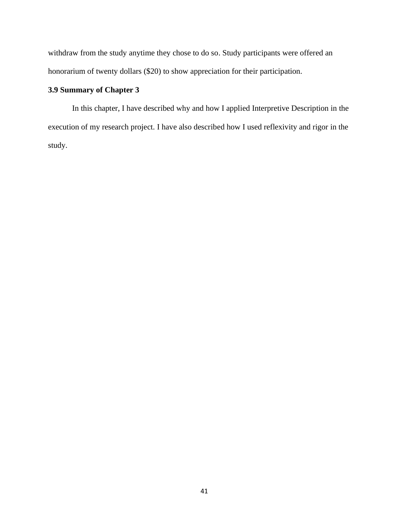withdraw from the study anytime they chose to do so. Study participants were offered an honorarium of twenty dollars (\$20) to show appreciation for their participation.

# **3.9 Summary of Chapter 3**

In this chapter, I have described why and how I applied Interpretive Description in the execution of my research project. I have also described how I used reflexivity and rigor in the study.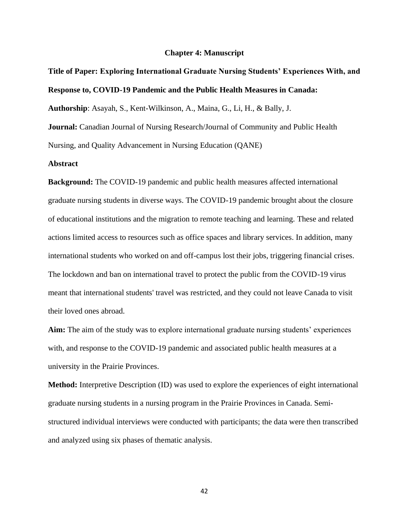#### **Chapter 4: Manuscript**

# **Title of Paper: Exploring International Graduate Nursing Students' Experiences With, and Response to, COVID-19 Pandemic and the Public Health Measures in Canada:**

**Authorship**: Asayah, S., Kent-Wilkinson, A., Maina, G., Li, H., & Bally, J.

**Journal:** Canadian Journal of Nursing Research/Journal of Community and Public Health Nursing, and Quality Advancement in Nursing Education (QANE)

# **Abstract**

**Background:** The COVID-19 pandemic and public health measures affected international graduate nursing students in diverse ways. The COVID-19 pandemic brought about the closure of educational institutions and the migration to remote teaching and learning. These and related actions limited access to resources such as office spaces and library services. In addition, many international students who worked on and off-campus lost their jobs, triggering financial crises. The lockdown and ban on international travel to protect the public from the COVID-19 virus meant that international students' travel was restricted, and they could not leave Canada to visit their loved ones abroad.

**Aim:** The aim of the study was to explore international graduate nursing students' experiences with, and response to the COVID-19 pandemic and associated public health measures at a university in the Prairie Provinces.

**Method:** Interpretive Description (ID) was used to explore the experiences of eight international graduate nursing students in a nursing program in the Prairie Provinces in Canada. Semistructured individual interviews were conducted with participants; the data were then transcribed and analyzed using six phases of thematic analysis.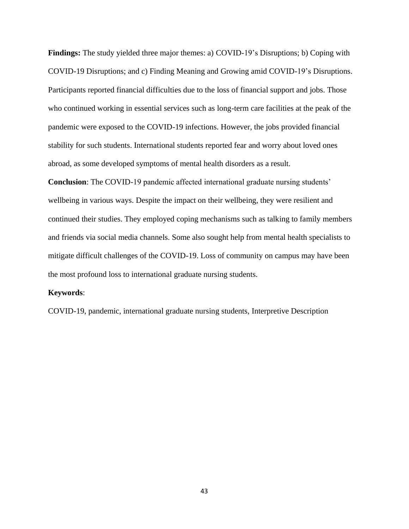**Findings:** The study yielded three major themes: a) COVID-19's Disruptions; b) Coping with COVID-19 Disruptions; and c) Finding Meaning and Growing amid COVID-19's Disruptions. Participants reported financial difficulties due to the loss of financial support and jobs. Those who continued working in essential services such as long-term care facilities at the peak of the pandemic were exposed to the COVID-19 infections. However, the jobs provided financial stability for such students. International students reported fear and worry about loved ones abroad, as some developed symptoms of mental health disorders as a result.

**Conclusion**: The COVID-19 pandemic affected international graduate nursing students' wellbeing in various ways. Despite the impact on their wellbeing, they were resilient and continued their studies. They employed coping mechanisms such as talking to family members and friends via social media channels. Some also sought help from mental health specialists to mitigate difficult challenges of the COVID-19. Loss of community on campus may have been the most profound loss to international graduate nursing students.

# **Keywords**:

COVID-19, pandemic, international graduate nursing students, Interpretive Description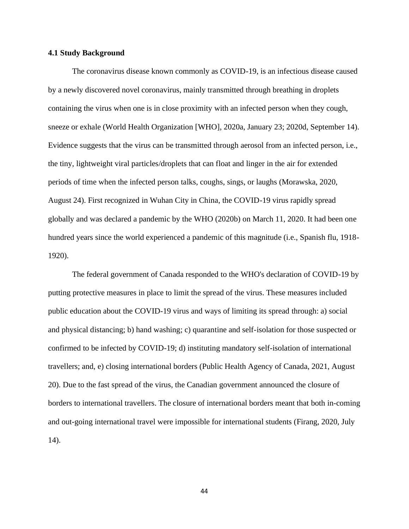#### **4.1 Study Background**

The coronavirus disease known commonly as COVID-19, is an infectious disease caused by a newly discovered novel coronavirus, mainly transmitted through breathing in droplets containing the virus when one is in close proximity with an infected person when they cough, sneeze or exhale (World Health Organization [WHO], 2020a, January 23; 2020d, September 14). Evidence suggests that the virus can be transmitted through aerosol from an infected person, i.e., the tiny, lightweight viral particles/droplets that can float and linger in the air for extended periods of time when the infected person talks, coughs, sings, or laughs (Morawska, 2020, August 24). First recognized in Wuhan City in China, the COVID-19 virus rapidly spread globally and was declared a pandemic by the WHO (2020b) on March 11, 2020. It had been one hundred years since the world experienced a pandemic of this magnitude (i.e., Spanish flu, 1918- 1920).

The federal government of Canada responded to the WHO's declaration of COVID-19 by putting protective measures in place to limit the spread of the virus. These measures included public education about the COVID-19 virus and ways of limiting its spread through: a) social and physical distancing; b) hand washing; c) quarantine and self-isolation for those suspected or confirmed to be infected by COVID-19; d) instituting mandatory self-isolation of international travellers; and, e) closing international borders (Public Health Agency of Canada, 2021, August 20). Due to the fast spread of the virus, the Canadian government announced the closure of borders to international travellers. The closure of international borders meant that both in-coming and out-going international travel were impossible for international students (Firang, 2020, July 14).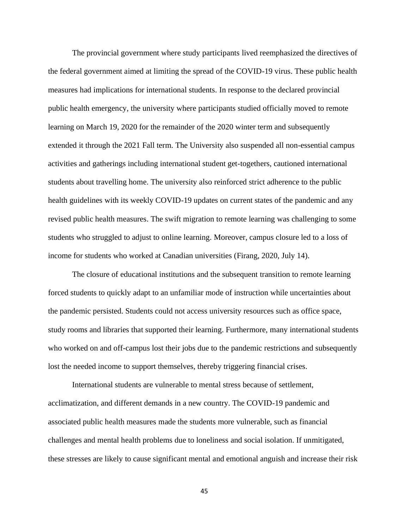The provincial government where study participants lived reemphasized the directives of the federal government aimed at limiting the spread of the COVID-19 virus. These public health measures had implications for international students. In response to the declared provincial public health emergency, the university where participants studied officially moved to remote learning on March 19, 2020 for the remainder of the 2020 winter term and subsequently extended it through the 2021 Fall term. The University also suspended all non-essential campus activities and gatherings including international student get-togethers, cautioned international students about travelling home. The university also reinforced strict adherence to the public health guidelines with its weekly COVID-19 updates on current states of the pandemic and any revised public health measures. The swift migration to remote learning was challenging to some students who struggled to adjust to online learning. Moreover, campus closure led to a loss of income for students who worked at Canadian universities (Firang, 2020, July 14).

The closure of educational institutions and the subsequent transition to remote learning forced students to quickly adapt to an unfamiliar mode of instruction while uncertainties about the pandemic persisted. Students could not access university resources such as office space, study rooms and libraries that supported their learning. Furthermore, many international students who worked on and off-campus lost their jobs due to the pandemic restrictions and subsequently lost the needed income to support themselves, thereby triggering financial crises.

International students are vulnerable to mental stress because of settlement, acclimatization, and different demands in a new country. The COVID-19 pandemic and associated public health measures made the students more vulnerable, such as financial challenges and mental health problems due to loneliness and social isolation. If unmitigated, these stresses are likely to cause significant mental and emotional anguish and increase their risk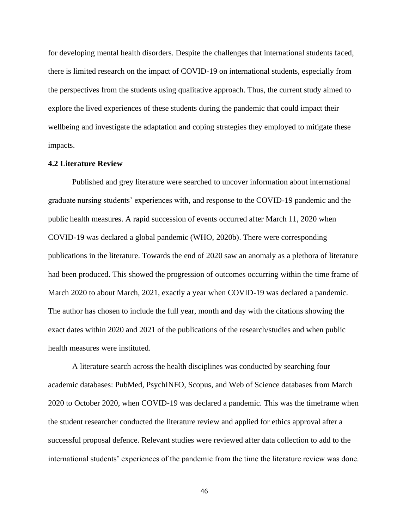for developing mental health disorders. Despite the challenges that international students faced, there is limited research on the impact of COVID-19 on international students, especially from the perspectives from the students using qualitative approach. Thus, the current study aimed to explore the lived experiences of these students during the pandemic that could impact their wellbeing and investigate the adaptation and coping strategies they employed to mitigate these impacts.

# **4.2 Literature Review**

Published and grey literature were searched to uncover information about international graduate nursing students' experiences with, and response to the COVID-19 pandemic and the public health measures. A rapid succession of events occurred after March 11, 2020 when COVID-19 was declared a global pandemic (WHO, 2020b). There were corresponding publications in the literature. Towards the end of 2020 saw an anomaly as a plethora of literature had been produced. This showed the progression of outcomes occurring within the time frame of March 2020 to about March, 2021, exactly a year when COVID-19 was declared a pandemic. The author has chosen to include the full year, month and day with the citations showing the exact dates within 2020 and 2021 of the publications of the research/studies and when public health measures were instituted.

A literature search across the health disciplines was conducted by searching four academic databases: PubMed, PsychINFO, Scopus, and Web of Science databases from March 2020 to October 2020, when COVID-19 was declared a pandemic. This was the timeframe when the student researcher conducted the literature review and applied for ethics approval after a successful proposal defence. Relevant studies were reviewed after data collection to add to the international students' experiences of the pandemic from the time the literature review was done.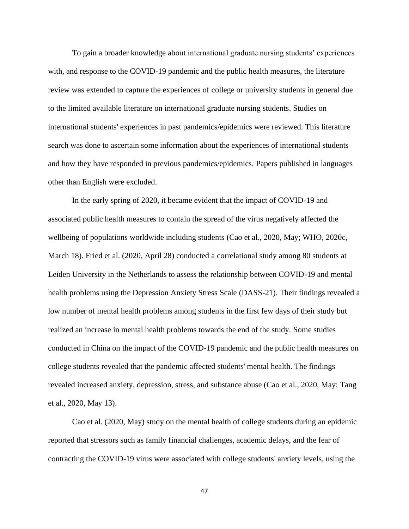To gain a broader knowledge about international graduate nursing students' experiences with, and response to the COVID-19 pandemic and the public health measures, the literature review was extended to capture the experiences of college or university students in general due to the limited available literature on international graduate nursing students. Studies on international students' experiences in past pandemics/epidemics were reviewed. This literature search was done to ascertain some information about the experiences of international students and how they have responded in previous pandemics/epidemics. Papers published in languages other than English were excluded.

In the early spring of 2020, it became evident that the impact of COVID-19 and associated public health measures to contain the spread of the virus negatively affected the wellbeing of populations worldwide including students (Cao et al., 2020, May; WHO, 2020c, March 18). Fried et al. (2020, April 28) conducted a correlational study among 80 students at Leiden University in the Netherlands to assess the relationship between COVID-19 and mental health problems using the Depression Anxiety Stress Scale (DASS-21). Their findings revealed a low number of mental health problems among students in the first few days of their study but realized an increase in mental health problems towards the end of the study. Some studies conducted in China on the impact of the COVID-19 pandemic and the public health measures on college students revealed that the pandemic affected students' mental health. The findings revealed increased anxiety, depression, stress, and substance abuse (Cao et al., 2020, May; Tang et al., 2020, May 13).

Cao et al. (2020, May) study on the mental health of college students during an epidemic reported that stressors such as family financial challenges, academic delays, and the fear of contracting the COVID-19 virus were associated with college students' anxiety levels, using the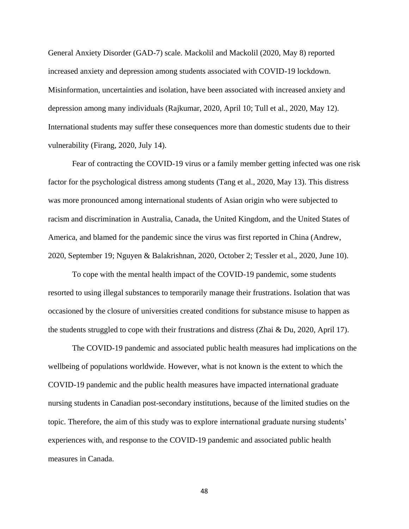General Anxiety Disorder (GAD-7) scale. Mackolil and Mackolil (2020, May 8) reported increased anxiety and depression among students associated with COVID-19 lockdown. Misinformation, uncertainties and isolation, have been associated with increased anxiety and depression among many individuals (Rajkumar, 2020, April 10; Tull et al., 2020, May 12). International students may suffer these consequences more than domestic students due to their vulnerability (Firang, 2020, July 14).

Fear of contracting the COVID-19 virus or a family member getting infected was one risk factor for the psychological distress among students (Tang et al., 2020, May 13). This distress was more pronounced among international students of Asian origin who were subjected to racism and discrimination in Australia, Canada, the United Kingdom, and the United States of America, and blamed for the pandemic since the virus was first reported in China (Andrew, 2020, September 19; Nguyen & Balakrishnan, 2020, October 2; Tessler et al., 2020, June 10).

To cope with the mental health impact of the COVID-19 pandemic, some students resorted to using illegal substances to temporarily manage their frustrations. Isolation that was occasioned by the closure of universities created conditions for substance misuse to happen as the students struggled to cope with their frustrations and distress (Zhai & Du, 2020, April 17).

The COVID-19 pandemic and associated public health measures had implications on the wellbeing of populations worldwide. However, what is not known is the extent to which the COVID-19 pandemic and the public health measures have impacted international graduate nursing students in Canadian post-secondary institutions, because of the limited studies on the topic. Therefore, the aim of this study was to explore international graduate nursing students' experiences with, and response to the COVID-19 pandemic and associated public health measures in Canada.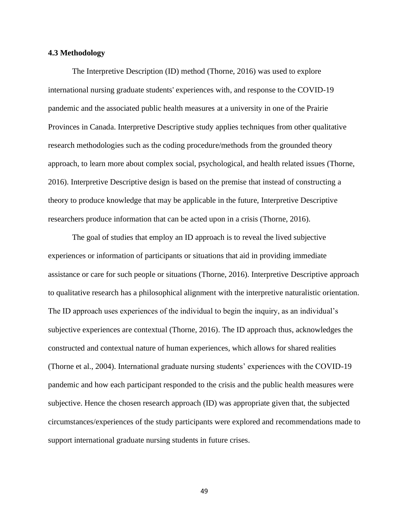#### **4.3 Methodology**

The Interpretive Description (ID) method (Thorne, 2016) was used to explore international nursing graduate students' experiences with, and response to the COVID-19 pandemic and the associated public health measures at a university in one of the Prairie Provinces in Canada. Interpretive Descriptive study applies techniques from other qualitative research methodologies such as the coding procedure/methods from the grounded theory approach, to learn more about complex social, psychological, and health related issues (Thorne, 2016). Interpretive Descriptive design is based on the premise that instead of constructing a theory to produce knowledge that may be applicable in the future, Interpretive Descriptive researchers produce information that can be acted upon in a crisis (Thorne, 2016).

The goal of studies that employ an ID approach is to reveal the lived subjective experiences or information of participants or situations that aid in providing immediate assistance or care for such people or situations (Thorne, 2016). Interpretive Descriptive approach to qualitative research has a philosophical alignment with the interpretive naturalistic orientation. The ID approach uses experiences of the individual to begin the inquiry, as an individual's subjective experiences are contextual (Thorne, 2016). The ID approach thus, acknowledges the constructed and contextual nature of human experiences, which allows for shared realities (Thorne et al., 2004). International graduate nursing students' experiences with the COVID-19 pandemic and how each participant responded to the crisis and the public health measures were subjective. Hence the chosen research approach (ID) was appropriate given that, the subjected circumstances/experiences of the study participants were explored and recommendations made to support international graduate nursing students in future crises.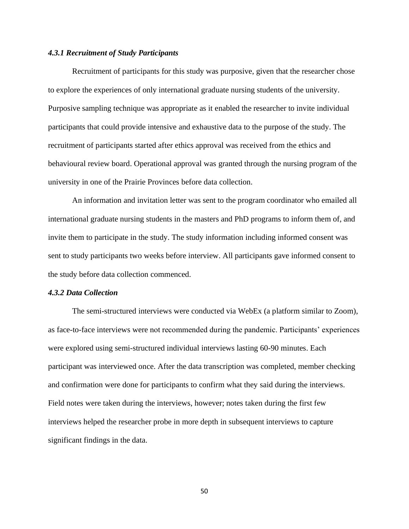#### *4.3.1 Recruitment of Study Participants*

Recruitment of participants for this study was purposive, given that the researcher chose to explore the experiences of only international graduate nursing students of the university. Purposive sampling technique was appropriate as it enabled the researcher to invite individual participants that could provide intensive and exhaustive data to the purpose of the study. The recruitment of participants started after ethics approval was received from the ethics and behavioural review board. Operational approval was granted through the nursing program of the university in one of the Prairie Provinces before data collection.

An information and invitation letter was sent to the program coordinator who emailed all international graduate nursing students in the masters and PhD programs to inform them of, and invite them to participate in the study. The study information including informed consent was sent to study participants two weeks before interview. All participants gave informed consent to the study before data collection commenced.

# *4.3.2 Data Collection*

The semi-structured interviews were conducted via WebEx (a platform similar to Zoom), as face-to-face interviews were not recommended during the pandemic. Participants' experiences were explored using semi-structured individual interviews lasting 60-90 minutes. Each participant was interviewed once. After the data transcription was completed, member checking and confirmation were done for participants to confirm what they said during the interviews. Field notes were taken during the interviews, however; notes taken during the first few interviews helped the researcher probe in more depth in subsequent interviews to capture significant findings in the data.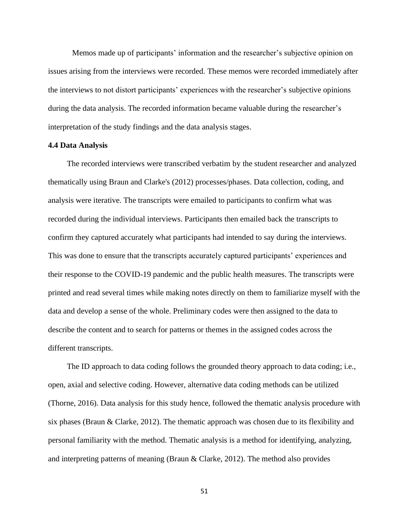Memos made up of participants' information and the researcher's subjective opinion on issues arising from the interviews were recorded. These memos were recorded immediately after the interviews to not distort participants' experiences with the researcher's subjective opinions during the data analysis. The recorded information became valuable during the researcher's interpretation of the study findings and the data analysis stages.

# **4.4 Data Analysis**

The recorded interviews were transcribed verbatim by the student researcher and analyzed thematically using Braun and Clarke's (2012) processes/phases. Data collection, coding, and analysis were iterative. The transcripts were emailed to participants to confirm what was recorded during the individual interviews. Participants then emailed back the transcripts to confirm they captured accurately what participants had intended to say during the interviews. This was done to ensure that the transcripts accurately captured participants' experiences and their response to the COVID-19 pandemic and the public health measures. The transcripts were printed and read several times while making notes directly on them to familiarize myself with the data and develop a sense of the whole. Preliminary codes were then assigned to the data to describe the content and to search for patterns or themes in the assigned codes across the different transcripts.

The ID approach to data coding follows the grounded theory approach to data coding; i.e., open, axial and selective coding. However, alternative data coding methods can be utilized (Thorne, 2016). Data analysis for this study hence, followed the thematic analysis procedure with six phases (Braun & Clarke, 2012). The thematic approach was chosen due to its flexibility and personal familiarity with the method. Thematic analysis is a method for identifying, analyzing, and interpreting patterns of meaning (Braun & Clarke, 2012). The method also provides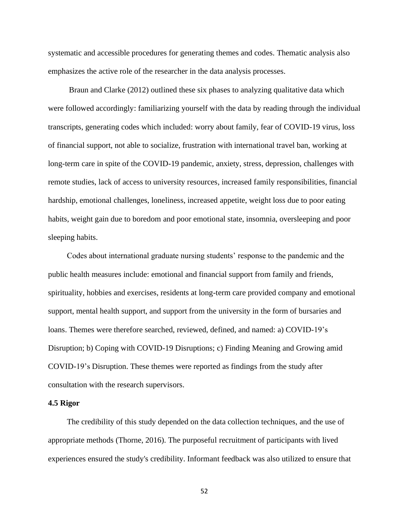systematic and accessible procedures for generating themes and codes. Thematic analysis also emphasizes the active role of the researcher in the data analysis processes.

Braun and Clarke (2012) outlined these six phases to analyzing qualitative data which were followed accordingly: familiarizing yourself with the data by reading through the individual transcripts, generating codes which included: worry about family, fear of COVID-19 virus, loss of financial support, not able to socialize, frustration with international travel ban, working at long-term care in spite of the COVID-19 pandemic, anxiety, stress, depression, challenges with remote studies, lack of access to university resources, increased family responsibilities, financial hardship, emotional challenges, loneliness, increased appetite, weight loss due to poor eating habits, weight gain due to boredom and poor emotional state, insomnia, oversleeping and poor sleeping habits.

Codes about international graduate nursing students' response to the pandemic and the public health measures include: emotional and financial support from family and friends, spirituality, hobbies and exercises, residents at long-term care provided company and emotional support, mental health support, and support from the university in the form of bursaries and loans. Themes were therefore searched, reviewed, defined, and named: a) COVID-19's Disruption; b) Coping with COVID-19 Disruptions; c) Finding Meaning and Growing amid COVID-19's Disruption. These themes were reported as findings from the study after consultation with the research supervisors.

#### **4.5 Rigor**

The credibility of this study depended on the data collection techniques, and the use of appropriate methods (Thorne, 2016). The purposeful recruitment of participants with lived experiences ensured the study's credibility. Informant feedback was also utilized to ensure that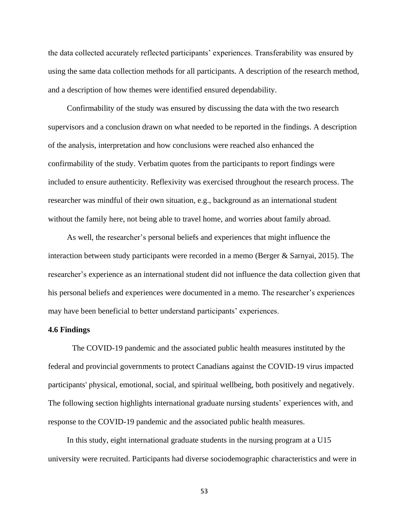the data collected accurately reflected participants' experiences. Transferability was ensured by using the same data collection methods for all participants. A description of the research method, and a description of how themes were identified ensured dependability.

Confirmability of the study was ensured by discussing the data with the two research supervisors and a conclusion drawn on what needed to be reported in the findings. A description of the analysis, interpretation and how conclusions were reached also enhanced the confirmability of the study. Verbatim quotes from the participants to report findings were included to ensure authenticity. Reflexivity was exercised throughout the research process. The researcher was mindful of their own situation, e.g., background as an international student without the family here, not being able to travel home, and worries about family abroad.

As well, the researcher's personal beliefs and experiences that might influence the interaction between study participants were recorded in a memo (Berger & Sarnyai, 2015). The researcher's experience as an international student did not influence the data collection given that his personal beliefs and experiences were documented in a memo. The researcher's experiences may have been beneficial to better understand participants' experiences.

#### **4.6 Findings**

The COVID-19 pandemic and the associated public health measures instituted by the federal and provincial governments to protect Canadians against the COVID-19 virus impacted participants' physical, emotional, social, and spiritual wellbeing, both positively and negatively. The following section highlights international graduate nursing students' experiences with, and response to the COVID-19 pandemic and the associated public health measures.

In this study, eight international graduate students in the nursing program at a U15 university were recruited. Participants had diverse sociodemographic characteristics and were in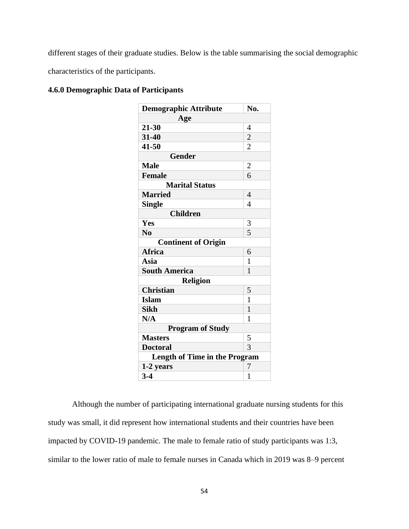different stages of their graduate studies. Below is the table summarising the social demographic

characteristics of the participants.

| <b>Demographic Attribute</b>         | No.            |
|--------------------------------------|----------------|
| Age                                  |                |
| $21 - 30$                            | 4              |
| 31-40                                | $\overline{c}$ |
| 41-50                                | $\overline{2}$ |
| <b>Gender</b>                        |                |
| <b>Male</b>                          | $\overline{2}$ |
| <b>Female</b>                        | 6              |
| <b>Marital Status</b>                |                |
| <b>Married</b>                       | 4              |
| <b>Single</b>                        | 4              |
| <b>Children</b>                      |                |
| Yes                                  | 3              |
| N <sub>0</sub>                       | 5              |
| <b>Continent of Origin</b>           |                |
| <b>Africa</b>                        | 6              |
| Asia                                 | 1              |
| <b>South America</b>                 | 1              |
| <b>Religion</b>                      |                |
| <b>Christian</b>                     | 5              |
| <b>Islam</b>                         | 1              |
| <b>Sikh</b>                          | $\mathbf{1}$   |
| N/A                                  | 1              |
| <b>Program of Study</b>              |                |
| <b>Masters</b>                       | 5              |
| <b>Doctoral</b>                      | 3              |
| <b>Length of Time in the Program</b> |                |
| 1-2 years                            | 7              |
| $3-4$                                | 1              |

# **4.6.0 Demographic Data of Participants**

Although the number of participating international graduate nursing students for this study was small, it did represent how international students and their countries have been impacted by COVID-19 pandemic. The male to female ratio of study participants was 1:3, similar to the lower ratio of male to female nurses in Canada which in 2019 was 8–9 percent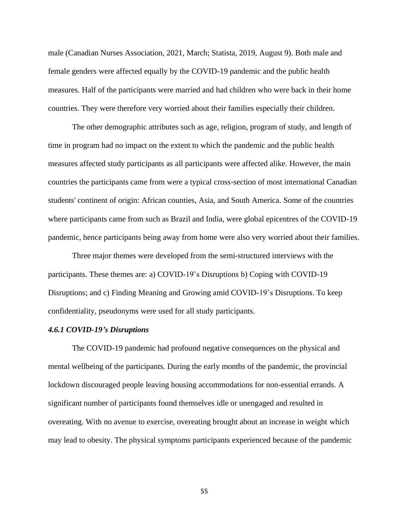male (Canadian Nurses Association, 2021, March; Statista, 2019, August 9). Both male and female genders were affected equally by the COVID-19 pandemic and the public health measures. Half of the participants were married and had children who were back in their home countries. They were therefore very worried about their families especially their children.

The other demographic attributes such as age, religion, program of study, and length of time in program had no impact on the extent to which the pandemic and the public health measures affected study participants as all participants were affected alike. However, the main countries the participants came from were a typical cross-section of most international Canadian students' continent of origin: African counties, Asia, and South America. Some of the countries where participants came from such as Brazil and India, were global epicentres of the COVID-19 pandemic, hence participants being away from home were also very worried about their families.

Three major themes were developed from the semi-structured interviews with the participants. These themes are: a) COVID-19's Disruptions b) Coping with COVID-19 Disruptions; and c) Finding Meaning and Growing amid COVID-19's Disruptions. To keep confidentiality, pseudonyms were used for all study participants.

#### *4.6.1 COVID-19's Disruptions*

The COVID-19 pandemic had profound negative consequences on the physical and mental wellbeing of the participants. During the early months of the pandemic, the provincial lockdown discouraged people leaving housing accommodations for non-essential errands. A significant number of participants found themselves idle or unengaged and resulted in overeating. With no avenue to exercise, overeating brought about an increase in weight which may lead to obesity. The physical symptoms participants experienced because of the pandemic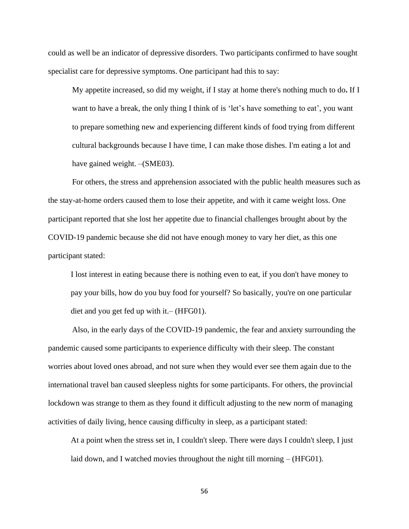could as well be an indicator of depressive disorders. Two participants confirmed to have sought specialist care for depressive symptoms. One participant had this to say:

My appetite increased, so did my weight, if I stay at home there's nothing much to do**.** If I want to have a break, the only thing I think of is 'let's have something to eat', you want to prepare something new and experiencing different kinds of food trying from different cultural backgrounds because I have time, I can make those dishes. I'm eating a lot and have gained weight. – (SME03).

For others, the stress and apprehension associated with the public health measures such as the stay-at-home orders caused them to lose their appetite, and with it came weight loss. One participant reported that she lost her appetite due to financial challenges brought about by the COVID-19 pandemic because she did not have enough money to vary her diet, as this one participant stated:

I lost interest in eating because there is nothing even to eat, if you don't have money to pay your bills, how do you buy food for yourself? So basically, you're on one particular diet and you get fed up with it.– (HFG01).

Also, in the early days of the COVID-19 pandemic, the fear and anxiety surrounding the pandemic caused some participants to experience difficulty with their sleep. The constant worries about loved ones abroad, and not sure when they would ever see them again due to the international travel ban caused sleepless nights for some participants. For others, the provincial lockdown was strange to them as they found it difficult adjusting to the new norm of managing activities of daily living, hence causing difficulty in sleep, as a participant stated:

At a point when the stress set in, I couldn't sleep. There were days I couldn't sleep, I just laid down, and I watched movies throughout the night till morning – (HFG01).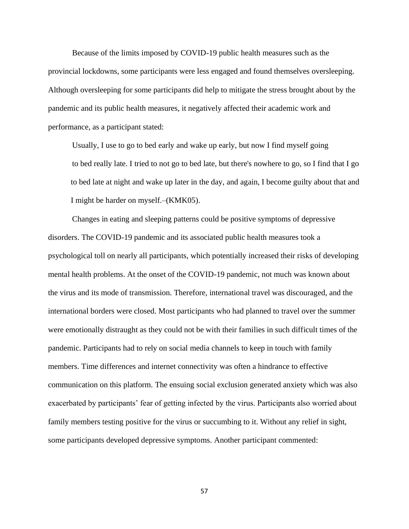Because of the limits imposed by COVID-19 public health measures such as the provincial lockdowns, some participants were less engaged and found themselves oversleeping. Although oversleeping for some participants did help to mitigate the stress brought about by the pandemic and its public health measures, it negatively affected their academic work and performance, as a participant stated:

Usually, I use to go to bed early and wake up early, but now I find myself going to bed really late. I tried to not go to bed late, but there's nowhere to go, so I find that I go to bed late at night and wake up later in the day, and again, I become guilty about that and I might be harder on myself.–(KMK05).

Changes in eating and sleeping patterns could be positive symptoms of depressive disorders. The COVID-19 pandemic and its associated public health measures took a psychological toll on nearly all participants, which potentially increased their risks of developing mental health problems. At the onset of the COVID-19 pandemic, not much was known about the virus and its mode of transmission. Therefore, international travel was discouraged, and the international borders were closed. Most participants who had planned to travel over the summer were emotionally distraught as they could not be with their families in such difficult times of the pandemic. Participants had to rely on social media channels to keep in touch with family members. Time differences and internet connectivity was often a hindrance to effective communication on this platform. The ensuing social exclusion generated anxiety which was also exacerbated by participants' fear of getting infected by the virus. Participants also worried about family members testing positive for the virus or succumbing to it. Without any relief in sight, some participants developed depressive symptoms. Another participant commented: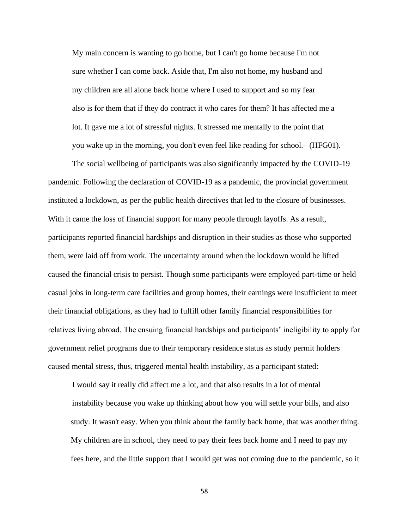My main concern is wanting to go home, but I can't go home because I'm not sure whether I can come back. Aside that, I'm also not home, my husband and my children are all alone back home where I used to support and so my fear also is for them that if they do contract it who cares for them? It has affected me a lot. It gave me a lot of stressful nights. It stressed me mentally to the point that you wake up in the morning, you don't even feel like reading for school.– (HFG01).

The social wellbeing of participants was also significantly impacted by the COVID-19 pandemic. Following the declaration of COVID-19 as a pandemic, the provincial government instituted a lockdown, as per the public health directives that led to the closure of businesses. With it came the loss of financial support for many people through layoffs. As a result, participants reported financial hardships and disruption in their studies as those who supported them, were laid off from work. The uncertainty around when the lockdown would be lifted caused the financial crisis to persist. Though some participants were employed part-time or held casual jobs in long-term care facilities and group homes, their earnings were insufficient to meet their financial obligations, as they had to fulfill other family financial responsibilities for relatives living abroad. The ensuing financial hardships and participants' ineligibility to apply for government relief programs due to their temporary residence status as study permit holders caused mental stress, thus, triggered mental health instability, as a participant stated:

I would say it really did affect me a lot, and that also results in a lot of mental instability because you wake up thinking about how you will settle your bills, and also study. It wasn't easy. When you think about the family back home, that was another thing. My children are in school, they need to pay their fees back home and I need to pay my fees here, and the little support that I would get was not coming due to the pandemic, so it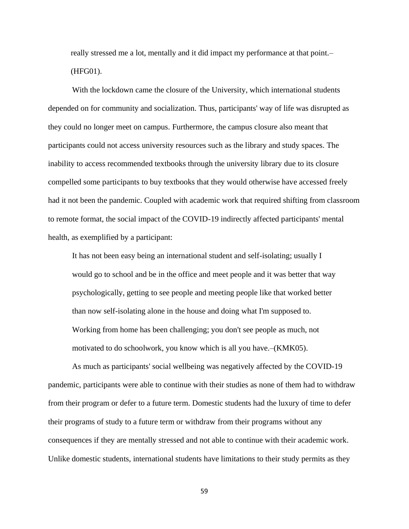really stressed me a lot, mentally and it did impact my performance at that point.– (HFG01).

With the lockdown came the closure of the University, which international students depended on for community and socialization. Thus, participants' way of life was disrupted as they could no longer meet on campus. Furthermore, the campus closure also meant that participants could not access university resources such as the library and study spaces. The inability to access recommended textbooks through the university library due to its closure compelled some participants to buy textbooks that they would otherwise have accessed freely had it not been the pandemic. Coupled with academic work that required shifting from classroom to remote format, the social impact of the COVID-19 indirectly affected participants' mental health, as exemplified by a participant:

It has not been easy being an international student and self-isolating; usually I would go to school and be in the office and meet people and it was better that way psychologically, getting to see people and meeting people like that worked better than now self-isolating alone in the house and doing what I'm supposed to. Working from home has been challenging; you don't see people as much, not motivated to do schoolwork, you know which is all you have.–(KMK05).

As much as participants' social wellbeing was negatively affected by the COVID-19 pandemic, participants were able to continue with their studies as none of them had to withdraw from their program or defer to a future term. Domestic students had the luxury of time to defer their programs of study to a future term or withdraw from their programs without any consequences if they are mentally stressed and not able to continue with their academic work. Unlike domestic students, international students have limitations to their study permits as they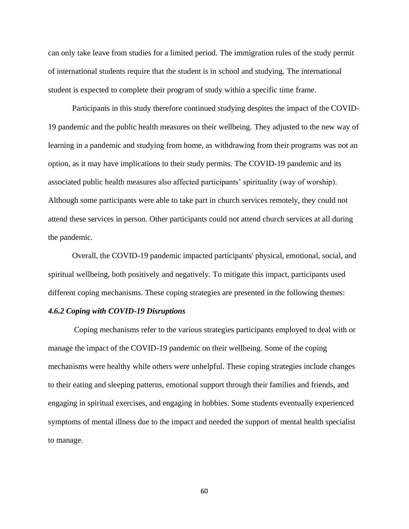can only take leave from studies for a limited period. The immigration rules of the study permit of international students require that the student is in school and studying. The international student is expected to complete their program of study within a specific time frame.

Participants in this study therefore continued studying despites the impact of the COVID-19 pandemic and the public health measures on their wellbeing. They adjusted to the new way of learning in a pandemic and studying from home, as withdrawing from their programs was not an option, as it may have implications to their study permits. The COVID-19 pandemic and its associated public health measures also affected participants' spirituality (way of worship). Although some participants were able to take part in church services remotely, they could not attend these services in person. Other participants could not attend church services at all during the pandemic.

Overall, the COVID-19 pandemic impacted participants' physical, emotional, social, and spiritual wellbeing, both positively and negatively. To mitigate this impact, participants used different coping mechanisms. These coping strategies are presented in the following themes:

# *4.6.2 Coping with COVID-19 Disruptions*

Coping mechanisms refer to the various strategies participants employed to deal with or manage the impact of the COVID-19 pandemic on their wellbeing. Some of the coping mechanisms were healthy while others were unhelpful. These coping strategies include changes to their eating and sleeping patterns, emotional support through their families and friends, and engaging in spiritual exercises, and engaging in hobbies. Some students eventually experienced symptoms of mental illness due to the impact and needed the support of mental health specialist to manage.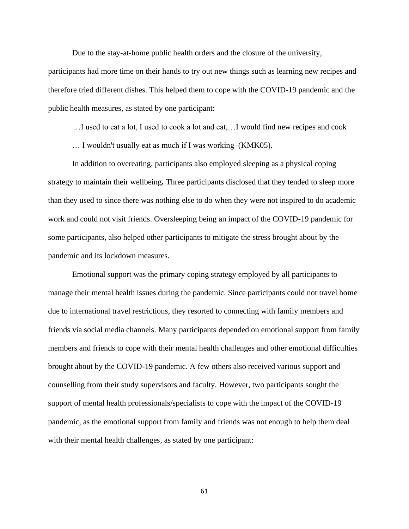Due to the stay-at-home public health orders and the closure of the university,

participants had more time on their hands to try out new things such as learning new recipes and therefore tried different dishes. This helped them to cope with the COVID-19 pandemic and the public health measures, as stated by one participant:

…I used to eat a lot, I used to cook a lot and eat,…I would find new recipes and cook

… I wouldn't usually eat as much if I was working–(KMK05).

In addition to overeating, participants also employed sleeping as a physical coping strategy to maintain their wellbeing*.* Three participants disclosed that they tended to sleep more than they used to since there was nothing else to do when they were not inspired to do academic work and could not visit friends. Oversleeping being an impact of the COVID-19 pandemic for some participants, also helped other participants to mitigate the stress brought about by the pandemic and its lockdown measures.

Emotional support was the primary coping strategy employed by all participants to manage their mental health issues during the pandemic. Since participants could not travel home due to international travel restrictions, they resorted to connecting with family members and friends via social media channels. Many participants depended on emotional support from family members and friends to cope with their mental health challenges and other emotional difficulties brought about by the COVID-19 pandemic. A few others also received various support and counselling from their study supervisors and faculty. However, two participants sought the support of mental health professionals/specialists to cope with the impact of the COVID-19 pandemic, as the emotional support from family and friends was not enough to help them deal with their mental health challenges, as stated by one participant: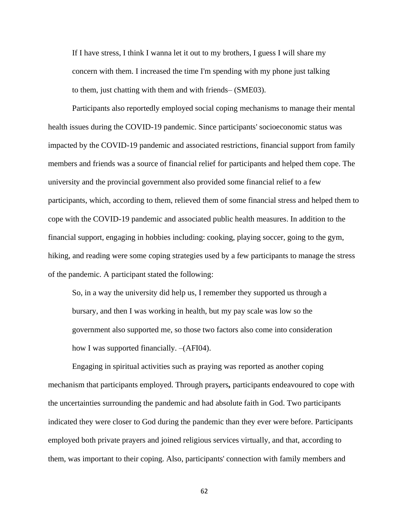If I have stress, I think I wanna let it out to my brothers, I guess I will share my concern with them. I increased the time I'm spending with my phone just talking to them, just chatting with them and with friends– (SME03).

Participants also reportedly employed social coping mechanisms to manage their mental health issues during the COVID-19 pandemic. Since participants' socioeconomic status was impacted by the COVID-19 pandemic and associated restrictions, financial support from family members and friends was a source of financial relief for participants and helped them cope. The university and the provincial government also provided some financial relief to a few participants, which, according to them, relieved them of some financial stress and helped them to cope with the COVID-19 pandemic and associated public health measures. In addition to the financial support, engaging in hobbies including: cooking, playing soccer, going to the gym, hiking, and reading were some coping strategies used by a few participants to manage the stress of the pandemic. A participant stated the following:

So, in a way the university did help us, I remember they supported us through a bursary, and then I was working in health, but my pay scale was low so the government also supported me, so those two factors also come into consideration how I was supported financially. –(AFI04).

Engaging in spiritual activities such as praying was reported as another coping mechanism that participants employed. Through prayers*,* participants endeavoured to cope with the uncertainties surrounding the pandemic and had absolute faith in God. Two participants indicated they were closer to God during the pandemic than they ever were before. Participants employed both private prayers and joined religious services virtually, and that, according to them, was important to their coping. Also, participants' connection with family members and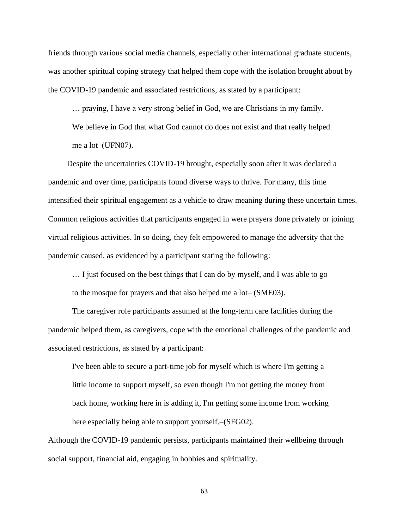friends through various social media channels, especially other international graduate students, was another spiritual coping strategy that helped them cope with the isolation brought about by the COVID-19 pandemic and associated restrictions, as stated by a participant:

… praying, I have a very strong belief in God, we are Christians in my family. We believe in God that what God cannot do does not exist and that really helped me a lot–(UFN07).

Despite the uncertainties COVID-19 brought, especially soon after it was declared a pandemic and over time, participants found diverse ways to thrive. For many, this time intensified their spiritual engagement as a vehicle to draw meaning during these uncertain times. Common religious activities that participants engaged in were prayers done privately or joining virtual religious activities. In so doing, they felt empowered to manage the adversity that the pandemic caused, as evidenced by a participant stating the following:

… I just focused on the best things that I can do by myself, and I was able to go to the mosque for prayers and that also helped me a lot– (SME03).

The caregiver role participants assumed at the long-term care facilities during the pandemic helped them, as caregivers, cope with the emotional challenges of the pandemic and associated restrictions, as stated by a participant:

I've been able to secure a part-time job for myself which is where I'm getting a little income to support myself, so even though I'm not getting the money from back home, working here in is adding it, I'm getting some income from working here especially being able to support yourself. (SFG02).

Although the COVID-19 pandemic persists, participants maintained their wellbeing through social support, financial aid, engaging in hobbies and spirituality.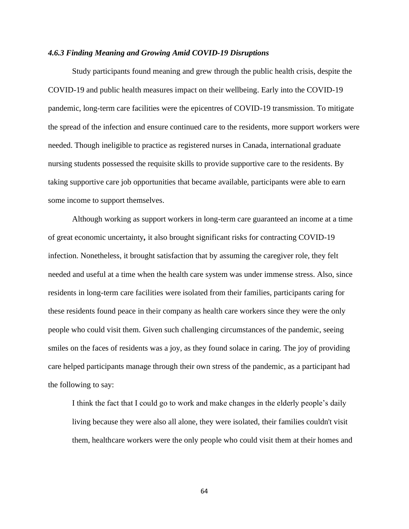# *4.6.3 Finding Meaning and Growing Amid COVID-19 Disruptions*

Study participants found meaning and grew through the public health crisis, despite the COVID-19 and public health measures impact on their wellbeing. Early into the COVID-19 pandemic, long-term care facilities were the epicentres of COVID-19 transmission. To mitigate the spread of the infection and ensure continued care to the residents, more support workers were needed. Though ineligible to practice as registered nurses in Canada, international graduate nursing students possessed the requisite skills to provide supportive care to the residents. By taking supportive care job opportunities that became available, participants were able to earn some income to support themselves.

Although working as support workers in long-term care guaranteed an income at a time of great economic uncertainty*,* it also brought significant risks for contracting COVID-19 infection. Nonetheless, it brought satisfaction that by assuming the caregiver role, they felt needed and useful at a time when the health care system was under immense stress. Also, since residents in long-term care facilities were isolated from their families, participants caring for these residents found peace in their company as health care workers since they were the only people who could visit them. Given such challenging circumstances of the pandemic, seeing smiles on the faces of residents was a joy, as they found solace in caring. The joy of providing care helped participants manage through their own stress of the pandemic, as a participant had the following to say:

I think the fact that I could go to work and make changes in the elderly people's daily living because they were also all alone, they were isolated, their families couldn't visit them, healthcare workers were the only people who could visit them at their homes and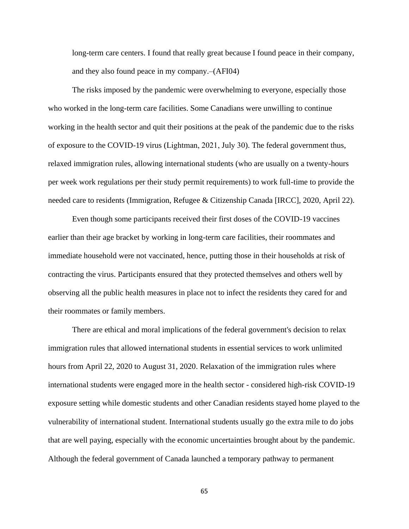long-term care centers. I found that really great because I found peace in their company, and they also found peace in my company.–(AFI04)

The risks imposed by the pandemic were overwhelming to everyone, especially those who worked in the long-term care facilities. Some Canadians were unwilling to continue working in the health sector and quit their positions at the peak of the pandemic due to the risks of exposure to the COVID-19 virus (Lightman, 2021, July 30). The federal government thus, relaxed immigration rules, allowing international students (who are usually on a twenty-hours per week work regulations per their study permit requirements) to work full-time to provide the needed care to residents (Immigration, Refugee & Citizenship Canada [IRCC], 2020, April 22).

Even though some participants received their first doses of the COVID-19 vaccines earlier than their age bracket by working in long-term care facilities, their roommates and immediate household were not vaccinated, hence, putting those in their households at risk of contracting the virus. Participants ensured that they protected themselves and others well by observing all the public health measures in place not to infect the residents they cared for and their roommates or family members.

There are ethical and moral implications of the federal government's decision to relax immigration rules that allowed international students in essential services to work unlimited hours from April 22, 2020 to August 31, 2020. Relaxation of the immigration rules where international students were engaged more in the health sector - considered high-risk COVID-19 exposure setting while domestic students and other Canadian residents stayed home played to the vulnerability of international student. International students usually go the extra mile to do jobs that are well paying, especially with the economic uncertainties brought about by the pandemic. Although the federal government of Canada launched a temporary pathway to permanent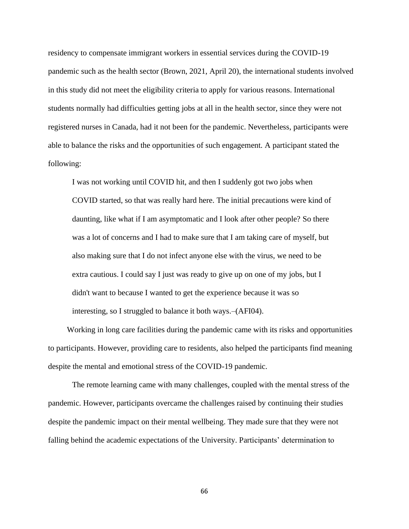residency to compensate immigrant workers in essential services during the COVID-19 pandemic such as the health sector (Brown, 2021, April 20), the international students involved in this study did not meet the eligibility criteria to apply for various reasons. International students normally had difficulties getting jobs at all in the health sector, since they were not registered nurses in Canada, had it not been for the pandemic. Nevertheless, participants were able to balance the risks and the opportunities of such engagement. A participant stated the following:

I was not working until COVID hit, and then I suddenly got two jobs when COVID started, so that was really hard here. The initial precautions were kind of daunting, like what if I am asymptomatic and I look after other people? So there was a lot of concerns and I had to make sure that I am taking care of myself, but also making sure that I do not infect anyone else with the virus, we need to be extra cautious. I could say I just was ready to give up on one of my jobs, but I didn't want to because I wanted to get the experience because it was so interesting, so I struggled to balance it both ways.–(AFI04).

Working in long care facilities during the pandemic came with its risks and opportunities to participants. However, providing care to residents, also helped the participants find meaning despite the mental and emotional stress of the COVID-19 pandemic.

The remote learning came with many challenges, coupled with the mental stress of the pandemic. However, participants overcame the challenges raised by continuing their studies despite the pandemic impact on their mental wellbeing. They made sure that they were not falling behind the academic expectations of the University. Participants' determination to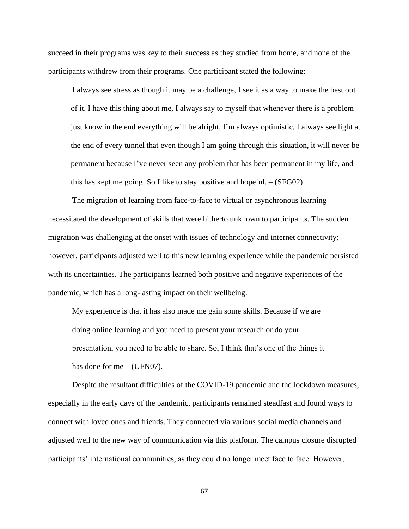succeed in their programs was key to their success as they studied from home, and none of the participants withdrew from their programs. One participant stated the following:

I always see stress as though it may be a challenge, I see it as a way to make the best out of it. I have this thing about me, I always say to myself that whenever there is a problem just know in the end everything will be alright, I'm always optimistic, I always see light at the end of every tunnel that even though I am going through this situation, it will never be permanent because I've never seen any problem that has been permanent in my life, and this has kept me going. So I like to stay positive and hopeful. – (SFG02)

The migration of learning from face-to-face to virtual or asynchronous learning necessitated the development of skills that were hitherto unknown to participants. The sudden migration was challenging at the onset with issues of technology and internet connectivity; however, participants adjusted well to this new learning experience while the pandemic persisted with its uncertainties. The participants learned both positive and negative experiences of the pandemic, which has a long-lasting impact on their wellbeing.

My experience is that it has also made me gain some skills. Because if we are doing online learning and you need to present your research or do your presentation, you need to be able to share. So, I think that's one of the things it has done for me  $-$  (UFN07).

Despite the resultant difficulties of the COVID-19 pandemic and the lockdown measures, especially in the early days of the pandemic, participants remained steadfast and found ways to connect with loved ones and friends. They connected via various social media channels and adjusted well to the new way of communication via this platform. The campus closure disrupted participants' international communities, as they could no longer meet face to face. However,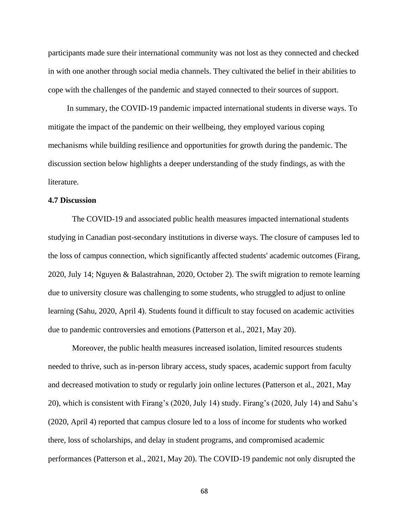participants made sure their international community was not lost as they connected and checked in with one another through social media channels. They cultivated the belief in their abilities to cope with the challenges of the pandemic and stayed connected to their sources of support.

In summary, the COVID-19 pandemic impacted international students in diverse ways. To mitigate the impact of the pandemic on their wellbeing, they employed various coping mechanisms while building resilience and opportunities for growth during the pandemic. The discussion section below highlights a deeper understanding of the study findings, as with the literature.

# **4.7 Discussion**

The COVID-19 and associated public health measures impacted international students studying in Canadian post-secondary institutions in diverse ways. The closure of campuses led to the loss of campus connection, which significantly affected students' academic outcomes (Firang, 2020, July 14; Nguyen & Balastrahnan, 2020, October 2). The swift migration to remote learning due to university closure was challenging to some students, who struggled to adjust to online learning (Sahu, 2020, April 4). Students found it difficult to stay focused on academic activities due to pandemic controversies and emotions (Patterson et al., 2021, May 20).

Moreover, the public health measures increased isolation, limited resources students needed to thrive, such as in-person library access, study spaces, academic support from faculty and decreased motivation to study or regularly join online lectures (Patterson et al., 2021, May 20), which is consistent with Firang's (2020, July 14) study. Firang's (2020, July 14) and Sahu's (2020, April 4) reported that campus closure led to a loss of income for students who worked there, loss of scholarships, and delay in student programs, and compromised academic performances (Patterson et al., 2021, May 20). The COVID-19 pandemic not only disrupted the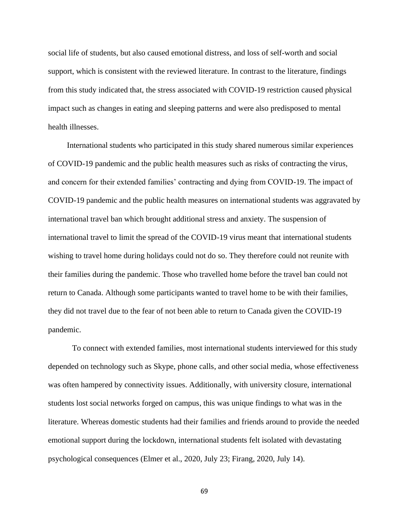social life of students, but also caused emotional distress, and loss of self-worth and social support, which is consistent with the reviewed literature. In contrast to the literature, findings from this study indicated that, the stress associated with COVID-19 restriction caused physical impact such as changes in eating and sleeping patterns and were also predisposed to mental health illnesses.

International students who participated in this study shared numerous similar experiences of COVID-19 pandemic and the public health measures such as risks of contracting the virus, and concern for their extended families' contracting and dying from COVID-19. The impact of COVID-19 pandemic and the public health measures on international students was aggravated by international travel ban which brought additional stress and anxiety. The suspension of international travel to limit the spread of the COVID-19 virus meant that international students wishing to travel home during holidays could not do so. They therefore could not reunite with their families during the pandemic. Those who travelled home before the travel ban could not return to Canada. Although some participants wanted to travel home to be with their families, they did not travel due to the fear of not been able to return to Canada given the COVID-19 pandemic.

To connect with extended families, most international students interviewed for this study depended on technology such as Skype, phone calls, and other social media, whose effectiveness was often hampered by connectivity issues. Additionally, with university closure, international students lost social networks forged on campus, this was unique findings to what was in the literature. Whereas domestic students had their families and friends around to provide the needed emotional support during the lockdown, international students felt isolated with devastating psychological consequences (Elmer et al., 2020, July 23; Firang, 2020, July 14).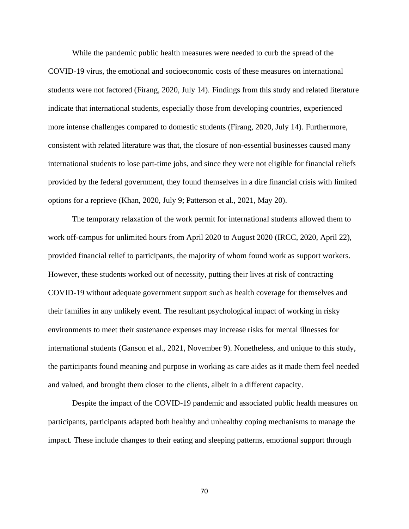While the pandemic public health measures were needed to curb the spread of the COVID-19 virus, the emotional and socioeconomic costs of these measures on international students were not factored (Firang, 2020, July 14). Findings from this study and related literature indicate that international students, especially those from developing countries, experienced more intense challenges compared to domestic students (Firang, 2020, July 14). Furthermore, consistent with related literature was that, the closure of non-essential businesses caused many international students to lose part-time jobs, and since they were not eligible for financial reliefs provided by the federal government, they found themselves in a dire financial crisis with limited options for a reprieve (Khan, 2020, July 9; Patterson et al., 2021, May 20).

The temporary relaxation of the work permit for international students allowed them to work off-campus for unlimited hours from April 2020 to August 2020 (IRCC, 2020, April 22), provided financial relief to participants, the majority of whom found work as support workers. However, these students worked out of necessity, putting their lives at risk of contracting COVID-19 without adequate government support such as health coverage for themselves and their families in any unlikely event. The resultant psychological impact of working in risky environments to meet their sustenance expenses may increase risks for mental illnesses for international students (Ganson et al., 2021, November 9). Nonetheless, and unique to this study, the participants found meaning and purpose in working as care aides as it made them feel needed and valued, and brought them closer to the clients, albeit in a different capacity.

Despite the impact of the COVID-19 pandemic and associated public health measures on participants, participants adapted both healthy and unhealthy coping mechanisms to manage the impact. These include changes to their eating and sleeping patterns, emotional support through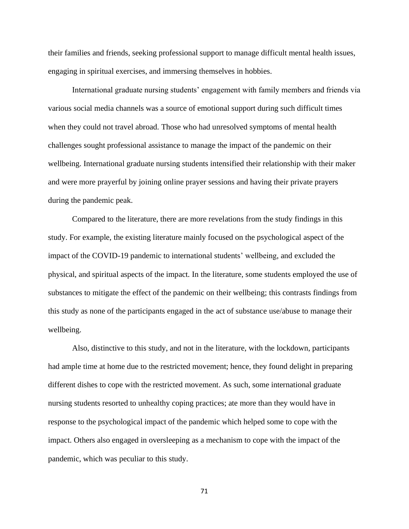their families and friends, seeking professional support to manage difficult mental health issues, engaging in spiritual exercises, and immersing themselves in hobbies.

International graduate nursing students' engagement with family members and friends via various social media channels was a source of emotional support during such difficult times when they could not travel abroad. Those who had unresolved symptoms of mental health challenges sought professional assistance to manage the impact of the pandemic on their wellbeing. International graduate nursing students intensified their relationship with their maker and were more prayerful by joining online prayer sessions and having their private prayers during the pandemic peak.

Compared to the literature, there are more revelations from the study findings in this study. For example, the existing literature mainly focused on the psychological aspect of the impact of the COVID-19 pandemic to international students' wellbeing, and excluded the physical, and spiritual aspects of the impact. In the literature, some students employed the use of substances to mitigate the effect of the pandemic on their wellbeing; this contrasts findings from this study as none of the participants engaged in the act of substance use/abuse to manage their wellbeing.

Also, distinctive to this study, and not in the literature, with the lockdown, participants had ample time at home due to the restricted movement; hence, they found delight in preparing different dishes to cope with the restricted movement. As such, some international graduate nursing students resorted to unhealthy coping practices; ate more than they would have in response to the psychological impact of the pandemic which helped some to cope with the impact. Others also engaged in oversleeping as a mechanism to cope with the impact of the pandemic, which was peculiar to this study.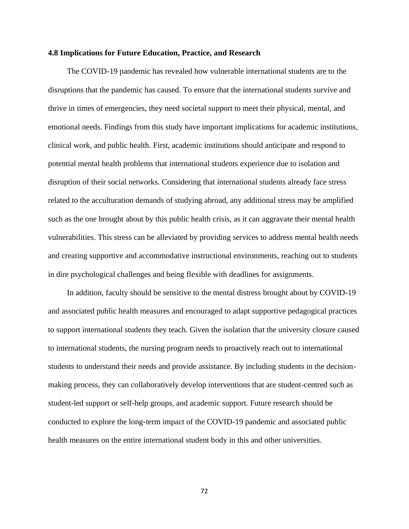#### **4.8 Implications for Future Education, Practice, and Research**

The COVID-19 pandemic has revealed how vulnerable international students are to the disruptions that the pandemic has caused. To ensure that the international students survive and thrive in times of emergencies, they need societal support to meet their physical, mental, and emotional needs. Findings from this study have important implications for academic institutions, clinical work, and public health. First, academic institutions should anticipate and respond to potential mental health problems that international students experience due to isolation and disruption of their social networks. Considering that international students already face stress related to the acculturation demands of studying abroad, any additional stress may be amplified such as the one brought about by this public health crisis, as it can aggravate their mental health vulnerabilities. This stress can be alleviated by providing services to address mental health needs and creating supportive and accommodative instructional environments, reaching out to students in dire psychological challenges and being flexible with deadlines for assignments.

In addition, faculty should be sensitive to the mental distress brought about by COVID-19 and associated public health measures and encouraged to adapt supportive pedagogical practices to support international students they teach. Given the isolation that the university closure caused to international students, the nursing program needs to proactively reach out to international students to understand their needs and provide assistance. By including students in the decisionmaking process, they can collaboratively develop interventions that are student-centred such as student-led support or self-help groups, and academic support. Future research should be conducted to explore the long-term impact of the COVID-19 pandemic and associated public health measures on the entire international student body in this and other universities.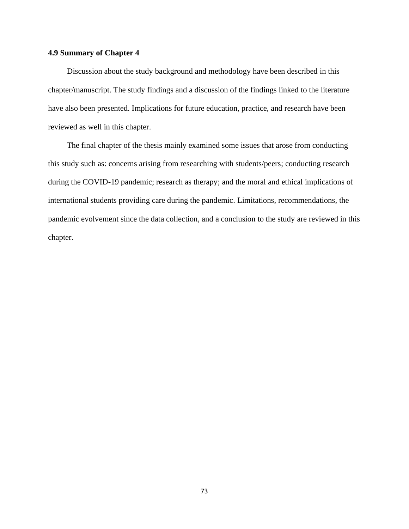## **4.9 Summary of Chapter 4**

Discussion about the study background and methodology have been described in this chapter/manuscript. The study findings and a discussion of the findings linked to the literature have also been presented. Implications for future education, practice, and research have been reviewed as well in this chapter.

The final chapter of the thesis mainly examined some issues that arose from conducting this study such as: concerns arising from researching with students/peers; conducting research during the COVID-19 pandemic; research as therapy; and the moral and ethical implications of international students providing care during the pandemic. Limitations, recommendations, the pandemic evolvement since the data collection, and a conclusion to the study are reviewed in this chapter.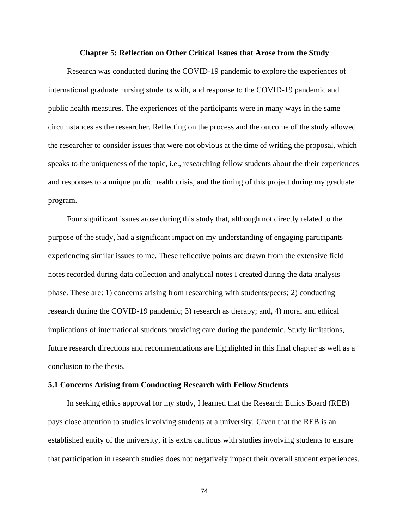#### **Chapter 5: Reflection on Other Critical Issues that Arose from the Study**

Research was conducted during the COVID-19 pandemic to explore the experiences of international graduate nursing students with, and response to the COVID-19 pandemic and public health measures. The experiences of the participants were in many ways in the same circumstances as the researcher. Reflecting on the process and the outcome of the study allowed the researcher to consider issues that were not obvious at the time of writing the proposal, which speaks to the uniqueness of the topic, i.e., researching fellow students about the their experiences and responses to a unique public health crisis, and the timing of this project during my graduate program.

Four significant issues arose during this study that, although not directly related to the purpose of the study, had a significant impact on my understanding of engaging participants experiencing similar issues to me. These reflective points are drawn from the extensive field notes recorded during data collection and analytical notes I created during the data analysis phase. These are: 1) concerns arising from researching with students/peers; 2) conducting research during the COVID-19 pandemic; 3) research as therapy; and, 4) moral and ethical implications of international students providing care during the pandemic. Study limitations, future research directions and recommendations are highlighted in this final chapter as well as a conclusion to the thesis.

## **5.1 Concerns Arising from Conducting Research with Fellow Students**

In seeking ethics approval for my study, I learned that the Research Ethics Board (REB) pays close attention to studies involving students at a university. Given that the REB is an established entity of the university, it is extra cautious with studies involving students to ensure that participation in research studies does not negatively impact their overall student experiences.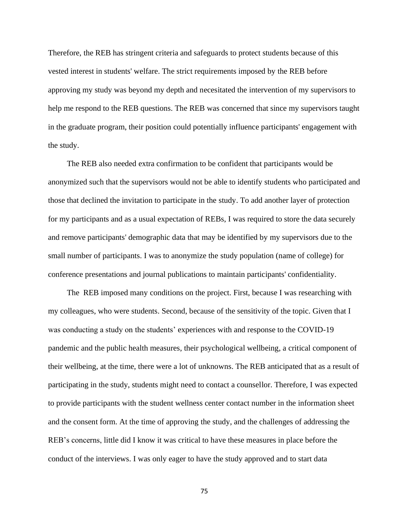Therefore, the REB has stringent criteria and safeguards to protect students because of this vested interest in students' welfare. The strict requirements imposed by the REB before approving my study was beyond my depth and necesitated the intervention of my supervisors to help me respond to the REB questions. The REB was concerned that since my supervisors taught in the graduate program, their position could potentially influence participants' engagement with the study.

The REB also needed extra confirmation to be confident that participants would be anonymized such that the supervisors would not be able to identify students who participated and those that declined the invitation to participate in the study. To add another layer of protection for my participants and as a usual expectation of REBs, I was required to store the data securely and remove participants' demographic data that may be identified by my supervisors due to the small number of participants. I was to anonymize the study population (name of college) for conference presentations and journal publications to maintain participants' confidentiality.

The REB imposed many conditions on the project. First, because I was researching with my colleagues, who were students. Second, because of the sensitivity of the topic. Given that I was conducting a study on the students' experiences with and response to the COVID-19 pandemic and the public health measures, their psychological wellbeing, a critical component of their wellbeing, at the time, there were a lot of unknowns. The REB anticipated that as a result of participating in the study, students might need to contact a counsellor. Therefore, I was expected to provide participants with the student wellness center contact number in the information sheet and the consent form. At the time of approving the study, and the challenges of addressing the REB's concerns, little did I know it was critical to have these measures in place before the conduct of the interviews. I was only eager to have the study approved and to start data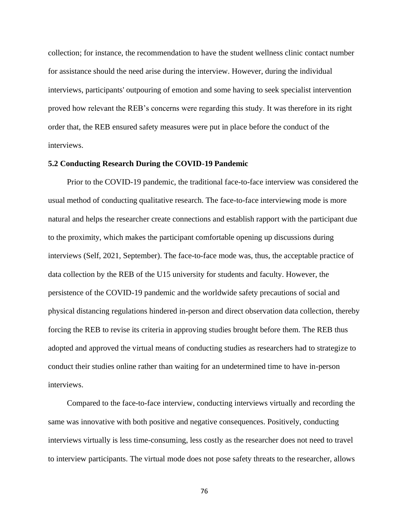collection; for instance, the recommendation to have the student wellness clinic contact number for assistance should the need arise during the interview. However, during the individual interviews, participants' outpouring of emotion and some having to seek specialist intervention proved how relevant the REB's concerns were regarding this study. It was therefore in its right order that, the REB ensured safety measures were put in place before the conduct of the interviews.

## **5.2 Conducting Research During the COVID-19 Pandemic**

Prior to the COVID-19 pandemic, the traditional face-to-face interview was considered the usual method of conducting qualitative research. The face-to-face interviewing mode is more natural and helps the researcher create connections and establish rapport with the participant due to the proximity, which makes the participant comfortable opening up discussions during interviews (Self, 2021, September). The face-to-face mode was, thus, the acceptable practice of data collection by the REB of the U15 university for students and faculty. However, the persistence of the COVID-19 pandemic and the worldwide safety precautions of social and physical distancing regulations hindered in-person and direct observation data collection, thereby forcing the REB to revise its criteria in approving studies brought before them. The REB thus adopted and approved the virtual means of conducting studies as researchers had to strategize to conduct their studies online rather than waiting for an undetermined time to have in-person interviews.

Compared to the face-to-face interview, conducting interviews virtually and recording the same was innovative with both positive and negative consequences. Positively, conducting interviews virtually is less time-consuming, less costly as the researcher does not need to travel to interview participants. The virtual mode does not pose safety threats to the researcher, allows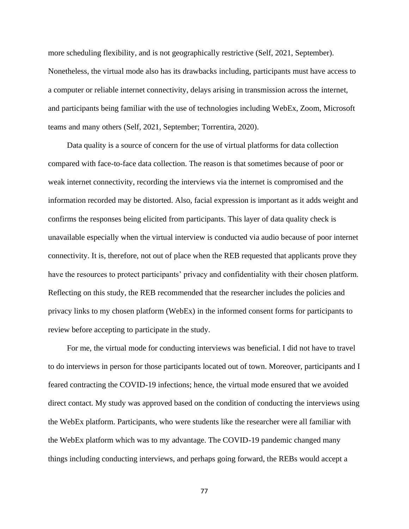more scheduling flexibility, and is not geographically restrictive (Self, 2021, September). Nonetheless, the virtual mode also has its drawbacks including, participants must have access to a computer or reliable internet connectivity, delays arising in transmission across the internet, and participants being familiar with the use of technologies including WebEx, Zoom, Microsoft teams and many others (Self, 2021, September; Torrentira, 2020).

Data quality is a source of concern for the use of virtual platforms for data collection compared with face-to-face data collection. The reason is that sometimes because of poor or weak internet connectivity, recording the interviews via the internet is compromised and the information recorded may be distorted. Also, facial expression is important as it adds weight and confirms the responses being elicited from participants. This layer of data quality check is unavailable especially when the virtual interview is conducted via audio because of poor internet connectivity. It is, therefore, not out of place when the REB requested that applicants prove they have the resources to protect participants' privacy and confidentiality with their chosen platform. Reflecting on this study, the REB recommended that the researcher includes the policies and privacy links to my chosen platform (WebEx) in the informed consent forms for participants to review before accepting to participate in the study.

For me, the virtual mode for conducting interviews was beneficial. I did not have to travel to do interviews in person for those participants located out of town. Moreover, participants and I feared contracting the COVID-19 infections; hence, the virtual mode ensured that we avoided direct contact. My study was approved based on the condition of conducting the interviews using the WebEx platform. Participants, who were students like the researcher were all familiar with the WebEx platform which was to my advantage. The COVID-19 pandemic changed many things including conducting interviews, and perhaps going forward, the REBs would accept a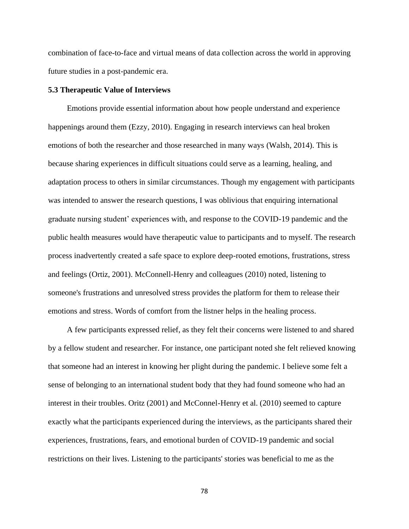combination of face-to-face and virtual means of data collection across the world in approving future studies in a post-pandemic era.

## **5.3 Therapeutic Value of Interviews**

Emotions provide essential information about how people understand and experience happenings around them (Ezzy, 2010). Engaging in research interviews can heal broken emotions of both the researcher and those researched in many ways (Walsh, 2014). This is because sharing experiences in difficult situations could serve as a learning, healing, and adaptation process to others in similar circumstances. Though my engagement with participants was intended to answer the research questions, I was oblivious that enquiring international graduate nursing student' experiences with, and response to the COVID-19 pandemic and the public health measures *w*ould have therapeutic value to participants and to myself. The research process inadvertently created a safe space to explore deep-rooted emotions, frustrations, stress and feelings (Ortiz, 2001). McConnell-Henry and colleagues (2010) noted, listening to someone's frustrations and unresolved stress provides the platform for them to release their emotions and stress. Words of comfort from the listner helps in the healing process.

A few participants expressed relief, as they felt their concerns were listened to and shared by a fellow student and researcher. For instance, one participant noted she felt relieved knowing that someone had an interest in knowing her plight during the pandemic. I believe some felt a sense of belonging to an international student body that they had found someone who had an interest in their troubles. Oritz (2001) and McConnel-Henry et al. (2010) seemed to capture exactly what the participants experienced during the interviews, as the participants shared their experiences, frustrations, fears, and emotional burden of COVID-19 pandemic and social restrictions on their lives. Listening to the participants' stories was beneficial to me as the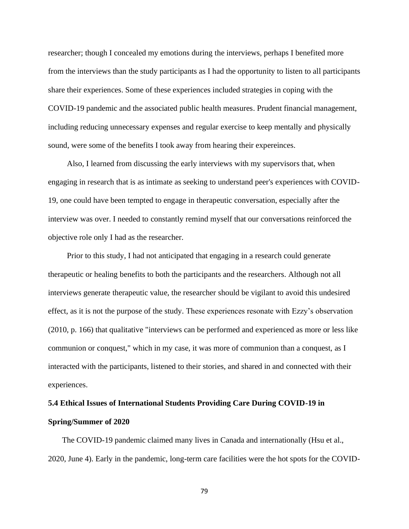researcher; though I concealed my emotions during the interviews, perhaps I benefited more from the interviews than the study participants as I had the opportunity to listen to all participants share their experiences. Some of these experiences included strategies in coping with the COVID-19 pandemic and the associated public health measures. Prudent financial management, including reducing unnecessary expenses and regular exercise to keep mentally and physically sound, were some of the benefits I took away from hearing their expereinces.

Also, I learned from discussing the early interviews with my supervisors that, when engaging in research that is as intimate as seeking to understand peer's experiences with COVID-19, one could have been tempted to engage in therapeutic conversation, especially after the interview was over. I needed to constantly remind myself that our conversations reinforced the objective role only I had as the researcher.

Prior to this study, I had not anticipated that engaging in a research could generate therapeutic or healing benefits to both the participants and the researchers. Although not all interviews generate therapeutic value, the researcher should be vigilant to avoid this undesired effect, as it is not the purpose of the study. These experiences resonate with Ezzy's observation (2010, p. 166) that qualitative "interviews can be performed and experienced as more or less like communion or conquest," which in my case, it was more of communion than a conquest, as I interacted with the participants, listened to their stories, and shared in and connected with their experiences.

# **5.4 Ethical Issues of International Students Providing Care During COVID-19 in Spring/Summer of 2020**

The COVID-19 pandemic claimed many lives in Canada and internationally (Hsu et al., 2020, June 4). Early in the pandemic, long-term care facilities were the hot spots for the COVID-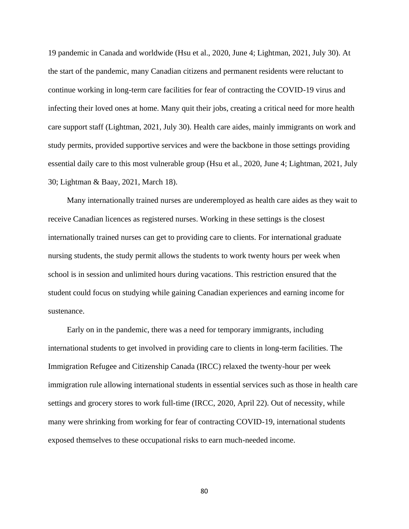19 pandemic in Canada and worldwide (Hsu et al., 2020, June 4; Lightman, 2021, July 30). At the start of the pandemic, many Canadian citizens and permanent residents were reluctant to continue working in long-term care facilities for fear of contracting the COVID-19 virus and infecting their loved ones at home. Many quit their jobs, creating a critical need for more health care support staff (Lightman, 2021, July 30). Health care aides, mainly immigrants on work and study permits, provided supportive services and were the backbone in those settings providing essential daily care to this most vulnerable group (Hsu et al., 2020, June 4; Lightman, 2021, July 30; Lightman & Baay, 2021, March 18).

Many internationally trained nurses are underemployed as health care aides as they wait to receive Canadian licences as registered nurses. Working in these settings is the closest internationally trained nurses can get to providing care to clients. For international graduate nursing students, the study permit allows the students to work twenty hours per week when school is in session and unlimited hours during vacations. This restriction ensured that the student could focus on studying while gaining Canadian experiences and earning income for sustenance.

Early on in the pandemic, there was a need for temporary immigrants, including international students to get involved in providing care to clients in long-term facilities. The Immigration Refugee and Citizenship Canada (IRCC) relaxed the twenty-hour per week immigration rule allowing international students in essential services such as those in health care settings and grocery stores to work full-time (IRCC, 2020, April 22). Out of necessity, while many were shrinking from working for fear of contracting COVID-19, international students exposed themselves to these occupational risks to earn much-needed income.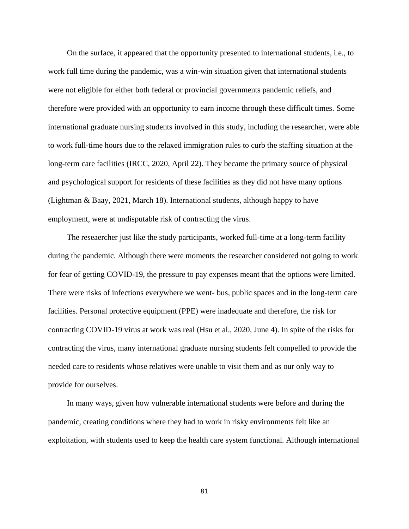On the surface, it appeared that the opportunity presented to international students, i.e., to work full time during the pandemic, was a win-win situation given that international students were not eligible for either both federal or provincial governments pandemic reliefs, and therefore were provided with an opportunity to earn income through these difficult times. Some international graduate nursing students involved in this study, including the researcher, were able to work full-time hours due to the relaxed immigration rules to curb the staffing situation at the long-term care facilities (IRCC, 2020, April 22). They became the primary source of physical and psychological support for residents of these facilities as they did not have many options (Lightman & Baay, 2021, March 18). International students, although happy to have employment, were at undisputable risk of contracting the virus.

The reseaercher just like the study participants, worked full-time at a long-term facility during the pandemic. Although there were moments the researcher considered not going to work for fear of getting COVID-19, the pressure to pay expenses meant that the options were limited. There were risks of infections everywhere we went- bus, public spaces and in the long-term care facilities. Personal protective equipment (PPE) were inadequate and therefore, the risk for contracting COVID-19 virus at work was real (Hsu et al., 2020, June 4). In spite of the risks for contracting the virus, many international graduate nursing students felt compelled to provide the needed care to residents whose relatives were unable to visit them and as our only way to provide for ourselves.

In many ways, given how vulnerable international students were before and during the pandemic, creating conditions where they had to work in risky environments felt like an exploitation, with students used to keep the health care system functional. Although international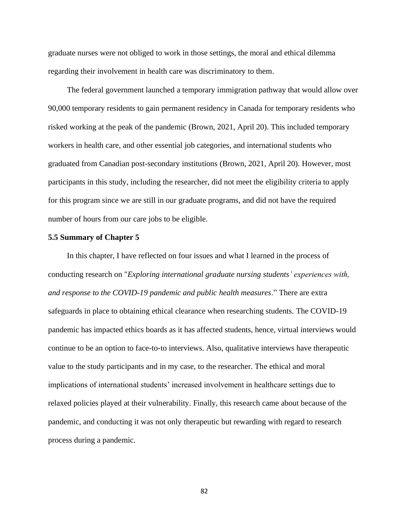graduate nurses were not obliged to work in those settings, the moral and ethical dilemma regarding their involvement in health care was discriminatory to them.

The federal government launched a temporary immigration pathway that would allow over 90,000 temporary residents to gain permanent residency in Canada for temporary residents who risked working at the peak of the pandemic (Brown, 2021, April 20). This included temporary workers in health care, and other essential job categories, and international students who graduated from Canadian post-secondary institutions (Brown, 2021, April 20). However, most participants in this study, including the researcher, did not meet the eligibility criteria to apply for this program since we are still in our graduate programs, and did not have the required number of hours from our care jobs to be eligible.

#### **5.5 Summary of Chapter 5**

In this chapter, I have reflected on four issues and what I learned in the process of conducting research on "*Exploring international graduate nursing students' experiences with, and response to the COVID-19 pandemic and public health measures*." There are extra safeguards in place to obtaining ethical clearance when researching students. The COVID-19 pandemic has impacted ethics boards as it has affected students, hence, virtual interviews would continue to be an option to face-to-to interviews. Also, qualitative interviews have therapeutic value to the study participants and in my case, to the researcher. The ethical and moral implications of international students' increased involvement in healthcare settings due to relaxed policies played at their vulnerability. Finally, this research came about because of the pandemic, and conducting it was not only therapeutic but rewarding with regard to research process during a pandemic.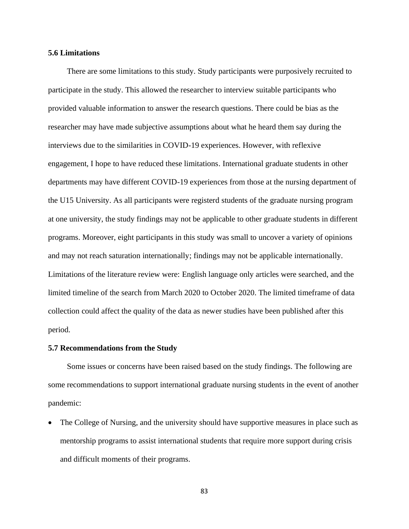## **5.6 Limitations**

There are some limitations to this study. Study participants were purposively recruited to participate in the study. This allowed the researcher to interview suitable participants who provided valuable information to answer the research questions. There could be bias as the researcher may have made subjective assumptions about what he heard them say during the interviews due to the similarities in COVID-19 experiences. However, with reflexive engagement, I hope to have reduced these limitations. International graduate students in other departments may have different COVID-19 experiences from those at the nursing department of the U15 University. As all participants were registerd students of the graduate nursing program at one university, the study findings may not be applicable to other graduate students in different programs. Moreover, eight participants in this study was small to uncover a variety of opinions and may not reach saturation internationally; findings may not be applicable internationally. Limitations of the literature review were: English language only articles were searched, and the limited timeline of the search from March 2020 to October 2020. The limited timeframe of data collection could affect the quality of the data as newer studies have been published after this period.

#### **5.7 Recommendations from the Study**

Some issues or concerns have been raised based on the study findings. The following are some recommendations to support international graduate nursing students in the event of another pandemic:

• The College of Nursing, and the university should have supportive measures in place such as mentorship programs to assist international students that require more support during crisis and difficult moments of their programs.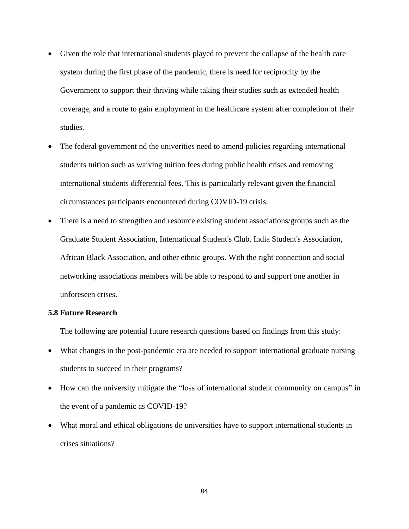- Given the role that international students played to prevent the collapse of the health care system during the first phase of the pandemic, there is need for reciprocity by the Government to support their thriving while taking their studies such as extended health coverage, and a route to gain employment in the healthcare system after completion of their studies.
- The federal government nd the univerities need to amend policies regarding international students tuition such as waiving tuition fees during public health crises and removing international students differential fees. This is particularly relevant given the financial circumstances participants encountered during COVID-19 crisis.
- There is a need to strengthen and resource existing student associations/groups such as the Graduate Student Association, International Student's Club, India Student's Association, African Black Association, and other ethnic groups. With the right connection and social networking associations members will be able to respond to and support one another in unforeseen crises.

## **5.8 Future Research**

The following are potential future research questions based on findings from this study:

- What changes in the post-pandemic era are needed to support international graduate nursing students to succeed in their programs?
- How can the university mitigate the "loss of international student community on campus" in the event of a pandemic as COVID-19?
- What moral and ethical obligations do universities have to support international students in crises situations?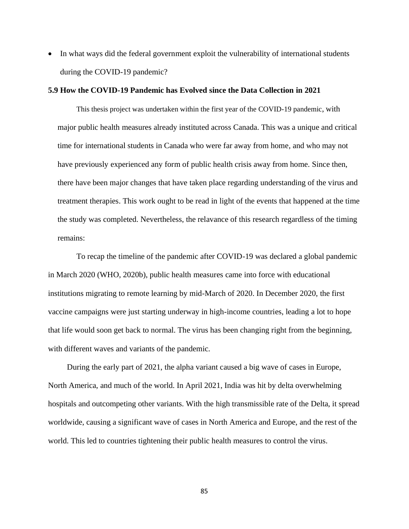• In what ways did the federal government exploit the vulnerability of international students during the COVID-19 pandemic?

## **5.9 How the COVID-19 Pandemic has Evolved since the Data Collection in 2021**

This thesis project was undertaken within the first year of the COVID-19 pandemic, with major public health measures already instituted across Canada. This was a unique and critical time for international students in Canada who were far away from home, and who may not have previously experienced any form of public health crisis away from home. Since then, there have been major changes that have taken place regarding understanding of the virus and treatment therapies. This work ought to be read in light of the events that happened at the time the study was completed. Nevertheless, the relavance of this research regardless of the timing remains:

To recap the timeline of the pandemic after COVID-19 was declared a global pandemic in March 2020 (WHO, 2020b), public health measures came into force with educational institutions migrating to remote learning by mid-March of 2020. In December 2020, the first vaccine campaigns were just starting underway in high-income countries, leading a lot to hope that life would soon get back to normal. The virus has been changing right from the beginning, with different waves and variants of the pandemic.

During the early part of 2021, the alpha variant caused a big wave of cases in Europe, North America, and much of the world. In April 2021, India was hit by delta overwhelming hospitals and outcompeting other variants. With the high transmissible rate of the Delta, it spread worldwide, causing a significant wave of cases in North America and Europe, and the rest of the world. This led to countries tightening their public health measures to control the virus.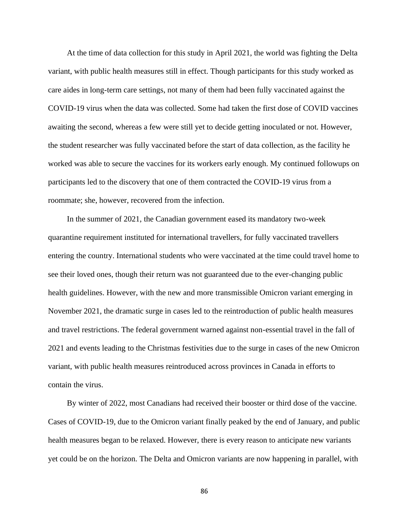At the time of data collection for this study in April 2021, the world was fighting the Delta variant, with public health measures still in effect. Though participants for this study worked as care aides in long-term care settings, not many of them had been fully vaccinated against the COVID-19 virus when the data was collected. Some had taken the first dose of COVID vaccines awaiting the second, whereas a few were still yet to decide getting inoculated or not. However, the student researcher was fully vaccinated before the start of data collection, as the facility he worked was able to secure the vaccines for its workers early enough. My continued followups on participants led to the discovery that one of them contracted the COVID-19 virus from a roommate; she, however, recovered from the infection.

In the summer of 2021, the Canadian government eased its mandatory two-week quarantine requirement instituted for international travellers, for fully vaccinated travellers entering the country. International students who were vaccinated at the time could travel home to see their loved ones, though their return was not guaranteed due to the ever-changing public health guidelines. However, with the new and more transmissible Omicron variant emerging in November 2021, the dramatic surge in cases led to the reintroduction of public health measures and travel restrictions. The federal government warned against non-essential travel in the fall of 2021 and events leading to the Christmas festivities due to the surge in cases of the new Omicron variant, with public health measures reintroduced across provinces in Canada in efforts to contain the virus.

By winter of 2022, most Canadians had received their booster or third dose of the vaccine. Cases of COVID-19, due to the Omicron variant finally peaked by the end of January, and public health measures began to be relaxed. However, there is every reason to anticipate new variants yet could be on the horizon. The Delta and Omicron variants are now happening in parallel, with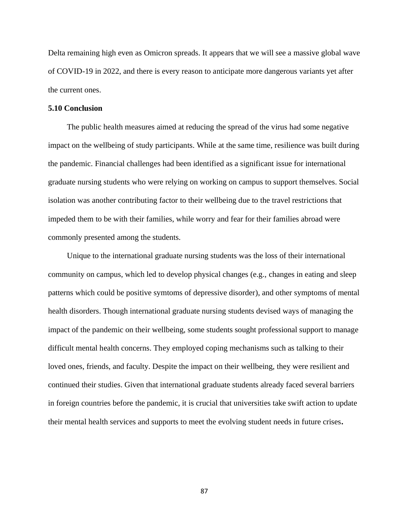Delta remaining high even as Omicron spreads. It appears that we will see a massive global wave of COVID-19 in 2022, and there is every reason to anticipate more dangerous variants yet after the current ones.

## **5.10 Conclusion**

The public health measures aimed at reducing the spread of the virus had some negative impact on the wellbeing of study participants. While at the same time, resilience was built during the pandemic. Financial challenges had been identified as a significant issue for international graduate nursing students who were relying on working on campus to support themselves. Social isolation was another contributing factor to their wellbeing due to the travel restrictions that impeded them to be with their families, while worry and fear for their families abroad were commonly presented among the students.

Unique to the international graduate nursing students was the loss of their international community on campus, which led to develop physical changes (e.g., changes in eating and sleep patterns which could be positive symtoms of depressive disorder), and other symptoms of mental health disorders. Though international graduate nursing students devised ways of managing the impact of the pandemic on their wellbeing, some students sought professional support to manage difficult mental health concerns. They employed coping mechanisms such as talking to their loved ones, friends, and faculty. Despite the impact on their wellbeing, they were resilient and continued their studies. Given that international graduate students already faced several barriers in foreign countries before the pandemic, it is crucial that universities take swift action to update their mental health services and supports to meet the evolving student needs in future crises**.**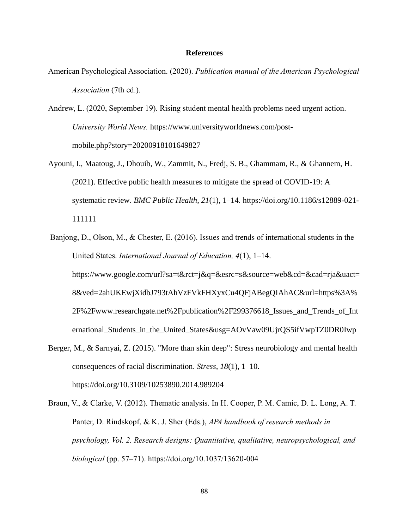## **References**

American Psychological Association. (2020). *Publication manual of the American Psychological Association* (7th ed.).

Andrew, L. (2020, September 19). Rising student mental health problems need urgent action. *University World News.* https://www.universityworldnews.com/postmobile.php?story=20200918101649827

- Ayouni, I., Maatoug, J., Dhouib, W., Zammit, N., Fredj, S. B., Ghammam, R., & Ghannem, H. (2021). Effective public health measures to mitigate the spread of COVID-19: A systematic review. *BMC Public Health*, *21*(1), 1–14. https://doi.org/10.1186/s12889-021- 111111
- Banjong, D., Olson, M., & Chester, E. (2016). Issues and trends of international students in the United States. *International Journal of Education, 4*(1), 1–14. https://www.google.com/url?sa=t&rct=j&q=&esrc=s&source=web&cd=&cad=rja&uact= 8&ved=2ahUKEwjXidbJ793tAhVzFVkFHXyxCu4QFjABegQIAhAC&url=https%3A% 2F%2Fwww.researchgate.net%2Fpublication%2F299376618\_Issues\_and\_Trends\_of\_Int ernational\_Students\_in\_the\_United\_States&usg=AOvVaw09UjrQS5ifVwpTZ0DR0Iwp
- Berger, M., & Sarnyai, Z. (2015). "More than skin deep": Stress neurobiology and mental health consequences of racial discrimination. *Stress*, *18*(1), 1–10. https://doi.org/10.3109/10253890.2014.989204
- Braun, V., & Clarke, V. (2012). Thematic analysis. In H. Cooper, P. M. Camic, D. L. Long, A. T. Panter, D. Rindskopf, & K. J. Sher (Eds.), *APA handbook of research methods in psychology, Vol. 2. Research designs: Quantitative, qualitative, neuropsychological, and biological* (pp. 57–71). https://doi.org/10.1037/13620-004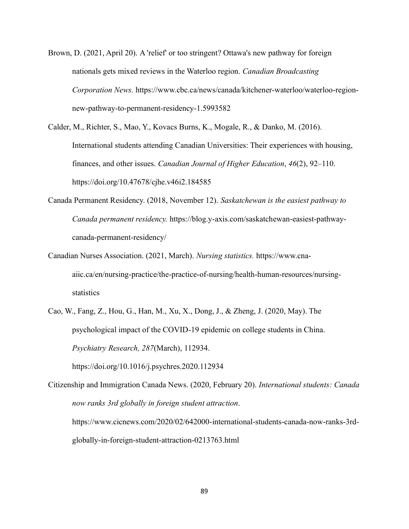- Brown, D. (2021, April 20). A 'relief' or too stringent? Ottawa's new pathway for foreign nationals gets mixed reviews in the Waterloo region. *Canadian Broadcasting Corporation News.* https://www.cbc.ca/news/canada/kitchener-waterloo/waterloo-regionnew-pathway-to-permanent-residency-1.5993582
- Calder, M., Richter, S., Mao, Y., Kovacs Burns, K., Mogale, R., & Danko, M. (2016). International students attending Canadian Universities: Their experiences with housing, finances, and other issues. *Canadian Journal of Higher Education*, *46*(2), 92–110. https://doi.org/10.47678/cjhe.v46i2.184585
- Canada Permanent Residency. (2018, November 12). *Saskatchewan is the easiest pathway to Canada permanent residency.* https://blog.y-axis.com/saskatchewan-easiest-pathwaycanada-permanent-residency/
- Canadian Nurses Association. (2021, March). *Nursing statistics.* https://www.cnaaiic.ca/en/nursing-practice/the-practice-of-nursing/health-human-resources/nursingstatistics
- Cao, W., Fang, Z., Hou, G., Han, M., Xu, X., Dong, J., & Zheng, J. (2020, May). The psychological impact of the COVID-19 epidemic on college students in China. *Psychiatry Research, 287*(March), 112934.

https://doi.org/10.1016/j.psychres.2020.112934

Citizenship and Immigration Canada News. (2020, February 20). *International students: Canada now ranks 3rd globally in foreign student attraction*. https://www.cicnews.com/2020/02/642000-international-students-canada-now-ranks-3rdglobally-in-foreign-student-attraction-0213763.html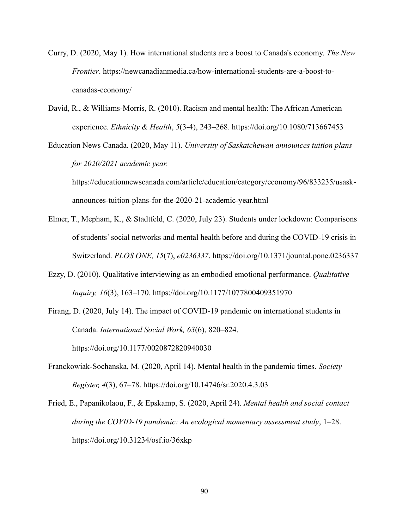- Curry, D. (2020, May 1). How international students are a boost to Canada's economy. *The New Frontier*. https://newcanadianmedia.ca/how-international-students-are-a-boost-tocanadas-economy/
- David, R., & Williams-Morris, R. (2010). Racism and mental health: The African American experience. *Ethnicity & Health*, *5*(3-4), 243–268. https://doi.org/10.1080/713667453
- Education News Canada. (2020, May 11). *University of Saskatchewan announces tuition plans for 2020/2021 academic year.*

https://educationnewscanada.com/article/education/category/economy/96/833235/usaskannounces-tuition-plans-for-the-2020-21-academic-year.html

- Elmer, T., Mepham, K., & Stadtfeld, C. (2020, July 23). Students under lockdown: Comparisons of students' social networks and mental health before and during the COVID-19 crisis in Switzerland. *PLOS ONE, 15*(7), *e0236337*. https://doi.org/10.1371/journal.pone.0236337
- Ezzy, D. (2010). Qualitative interviewing as an embodied emotional performance. *Qualitative Inquiry, 16*(3), 163–170. https://doi.org/10.1177/1077800409351970
- Firang, D. (2020, July 14). The impact of COVID-19 pandemic on international students in Canada. *International Social Work, 63*(6), 820–824. https://doi.org/10.1177/0020872820940030
- Franckowiak-Sochanska, M. (2020, April 14). Mental health in the pandemic times. *Society Register, 4*(3), 67–78. https://doi.org/10.14746/sr.2020.4.3.03
- Fried, E., Papanikolaou, F., & Epskamp, S. (2020, April 24). *Mental health and social contact during the COVID-19 pandemic: An ecological momentary assessment study*, 1–28. https://doi.org/10.31234/osf.io/36xkp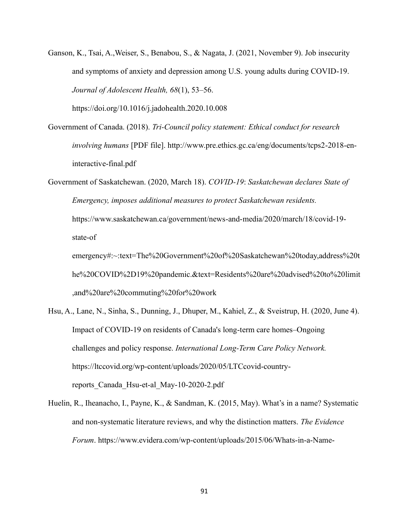Ganson, K., Tsai, A.,Weiser, S., Benabou, S., & Nagata, J. (2021, November 9). Job insecurity and symptoms of anxiety and depression among U.S. young adults during COVID-19. *Journal of Adolescent Health, 68*(1), 53–56.

https://doi.org/10.1016/j.jadohealth.2020.10.008

- Government of Canada. (2018). *Tri-Council policy statement: Ethical conduct for research involving humans* [PDF file]. http://www.pre.ethics.gc.ca/eng/documents/tcps2-2018-eninteractive-final.pdf
- Government of Saskatchewan. (2020, March 18). *COVID-19*: *Saskatchewan declares State of Emergency, imposes additional measures to protect Saskatchewan residents.*  https://www.saskatchewan.ca/government/news-and-media/2020/march/18/covid-19 state-of

emergency#:~:text=The%20Government%20of%20Saskatchewan%20today,address%20t he%20COVID%2D19%20pandemic.&text=Residents%20are%20advised%20to%20limit ,and%20are%20commuting%20for%20work

- Hsu, A., Lane, N., Sinha, S., Dunning, J., Dhuper, M., Kahiel, Z., & Sveistrup, H. (2020, June 4). Impact of COVID-19 on residents of Canada's long-term care homes–Ongoing challenges and policy response. *International Long-Term Care Policy Network.* https://ltccovid.org/wp-content/uploads/2020/05/LTCcovid-countryreports\_Canada\_Hsu-et-al\_May-10-2020-2.pdf
- Huelin, R., Iheanacho, I., Payne, K., & Sandman, K. (2015, May). What's in a name? Systematic and non-systematic literature reviews, and why the distinction matters. *The Evidence Forum*. https://www.evidera.com/wp-content/uploads/2015/06/Whats-in-a-Name-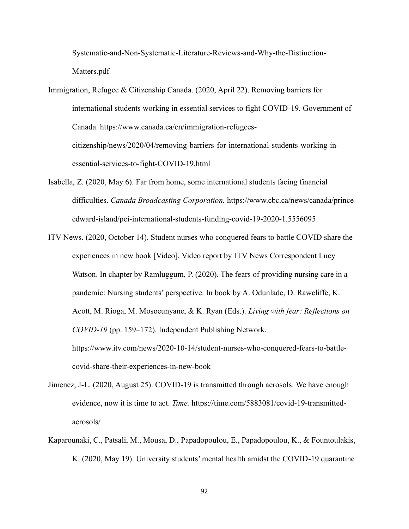Systematic-and-Non-Systematic-Literature-Reviews-and-Why-the-Distinction-Matters.pdf

Immigration, Refugee & Citizenship Canada. (2020, April 22). Removing barriers for international students working in essential services to fight COVID-19. Government of Canada. https://www.canada.ca/en/immigration-refugeescitizenship/news/2020/04/removing-barriers-for-international-students-working-inessential-services-to-fight-COVID-19.html

- Isabella, Z. (2020, May 6). Far from home, some international students facing financial difficulties. *Canada Broadcasting Corporation.* https://www.cbc.ca/news/canada/princeedward-island/pei-international-students-funding-covid-19-2020-1.5556095
- ITV News. (2020, October 14). Student nurses who conquered fears to battle COVID share the experiences in new book [Video]. Video report by ITV News Correspondent Lucy Watson. In chapter by Ramluggum, P. (2020). The fears of providing nursing care in a pandemic: Nursing students' perspective. In book by A. Odunlade, D. Rawcliffe, K. Acott, M. Rioga, M. Mosoeunyane, & K. Ryan (Eds.). *Living with fear: Reflections on COVID-19* (pp. 159–172). Independent Publishing Network. https://www.itv.com/news/2020-10-14/student-nurses-who-conquered-fears-to-battlecovid-share-their-experiences-in-new-book
- Jimenez, J-L. (2020, August 25). COVID-19 is transmitted through aerosols. We have enough evidence, now it is time to act. *Time.* https://time.com/5883081/covid-19-transmittedaerosols/
- Kaparounaki, C., Patsali, M., Mousa, D., Papadopoulou, E., Papadopoulou, K., & Fountoulakis, K. (2020, May 19). University students' mental health amidst the COVID-19 quarantine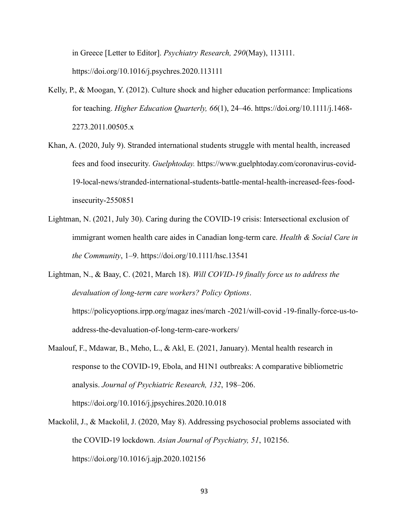in Greece [Letter to Editor]. *Psychiatry Research, 290*(May), 113111. https://doi.org/10.1016/j.psychres.2020.113111

- Kelly, P., & Moogan, Y. (2012). Culture shock and higher education performance: Implications for teaching. *Higher Education Quarterly, 66*(1), 24–46. https://doi.org/10.1111/j.1468- 2273.2011.00505.x
- Khan, A. (2020, July 9). Stranded international students struggle with mental health, increased fees and food insecurity. *Guelphtoday.* https://www.guelphtoday.com/coronavirus-covid-19-local-news/stranded-international-students-battle-mental-health-increased-fees-foodinsecurity-2550851
- Lightman, N. (2021, July 30). Caring during the COVID-19 crisis: Intersectional exclusion of immigrant women health care aides in Canadian long‐term care. *Health & Social Care in the Community*, 1–9. https://doi.org/10.1111/hsc.13541

Lightman, N., & Baay, C. (2021, March 18). *Will COVID-19 finally force us to address the devaluation of long-term care workers? Policy Options*. https://policyoptions.irpp.org/magaz ines/march -2021/will-covid -19-finally-force-us-toaddress-the-devaluation-of-long-term-care-workers/

- Maalouf, F., Mdawar, B., Meho, L., & Akl, E. (2021, January). Mental health research in response to the COVID-19, Ebola, and H1N1 outbreaks: A comparative bibliometric analysis. *Journal of Psychiatric Research, 132*, 198–206. https://doi.org/10.1016/j.jpsychires.2020.10.018
- Mackolil, J., & Mackolil, J. (2020, May 8). Addressing psychosocial problems associated with the COVID-19 lockdown. *Asian Journal of Psychiatry, 51*, 102156. https://doi.org/10.1016/j.ajp.2020.102156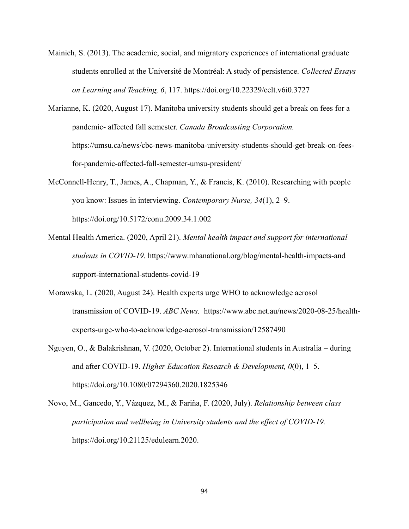- Mainich, S. (2013). The academic, social, and migratory experiences of international graduate students enrolled at the Université de Montréal: A study of persistence. *Collected Essays on Learning and Teaching, 6*, 117. https://doi.org/10.22329/celt.v6i0.3727
- Marianne, K. (2020, August 17). Manitoba university students should get a break on fees for a pandemic- affected fall semester. *Canada Broadcasting Corporation.* https://umsu.ca/news/cbc-news-manitoba-university-students-should-get-break-on-feesfor-pandemic-affected-fall-semester-umsu-president/
- McConnell-Henry, T., James, A., Chapman, Y., & Francis, K. (2010). Researching with people you know: Issues in interviewing. *Contemporary Nurse, 34*(1), 2–9. https://doi.org/10.5172/conu.2009.34.1.002
- Mental Health America. (2020, April 21). *Mental health impact and support for international students in COVID-19.* https://www.mhanational.org/blog/mental-health-impacts-and support-international-students-covid-19
- Morawska, L. (2020, August 24). Health experts urge WHO to acknowledge aerosol transmission of COVID-19. *ABC News.* https://www.abc.net.au/news/2020-08-25/healthexperts-urge-who-to-acknowledge-aerosol-transmission/12587490
- Nguyen, O., & Balakrishnan, V. (2020, October 2). International students in Australia during and after COVID-19. *Higher Education Research & Development, 0*(0), 1–5. https://doi.org/10.1080/07294360.2020.1825346
- Novo, M., Gancedo, Y., Vázquez, M., & Fariña, F. (2020, July). *Relationship between class participation and wellbeing in University students and the effect of COVID-19.* https://doi.org/10.21125/edulearn.2020.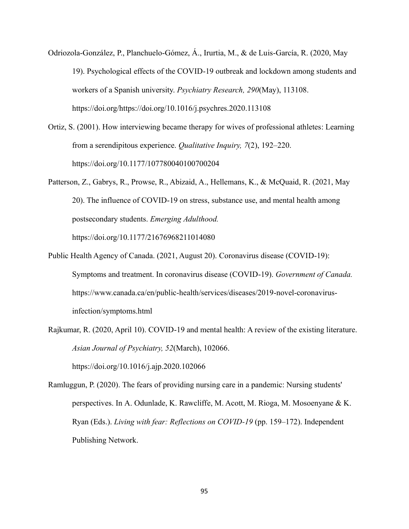- Odriozola-González, P., Planchuelo-Gómez, Á., Irurtia, M., & de Luis-García, R. (2020, May 19). Psychological effects of the COVID-19 outbreak and lockdown among students and workers of a Spanish university. *Psychiatry Research, 290*(May), 113108. https://doi.org/https://doi.org/10.1016/j.psychres.2020.113108
- Ortiz, S. (2001). How interviewing became therapy for wives of professional athletes: Learning from a serendipitous experience. *Qualitative Inquiry, 7*(2), 192–220. https://doi.org/10.1177/107780040100700204
- Patterson, Z., Gabrys, R., Prowse, R., Abizaid, A., Hellemans, K., & McQuaid, R. (2021, May 20). The influence of COVID-19 on stress, substance use, and mental health among postsecondary students. *Emerging Adulthood.* https://doi.org/10.1177/21676968211014080
- Public Health Agency of Canada. (2021, August 20). Coronavirus disease (COVID-19): Symptoms and treatment. In coronavirus disease (COVID-19). *Government of Canada.* https://www.canada.ca/en/public-health/services/diseases/2019-novel-coronavirusinfection/symptoms.html
- Rajkumar, R. (2020, April 10). COVID-19 and mental health: A review of the existing literature. *Asian Journal of Psychiatry, 52*(March), 102066.

https://doi.org/10.1016/j.ajp.2020.102066

Ramluggun, P. (2020). The fears of providing nursing care in a pandemic: Nursing students' perspectives. In A. Odunlade, K. Rawcliffe, M. Acott, M. Rioga, M. Mosoenyane & K. Ryan (Eds.). *Living with fear: Reflections on COVID-19* (pp. 159–172). Independent Publishing Network.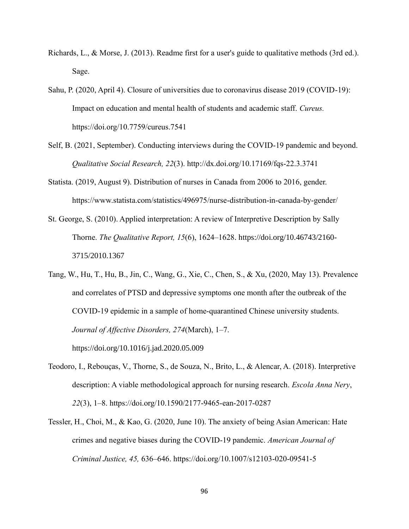- Richards, L., & Morse, J. (2013). Readme first for a user's guide to qualitative methods (3rd ed.). Sage.
- Sahu, P. (2020, April 4). Closure of universities due to coronavirus disease 2019 (COVID-19): Impact on education and mental health of students and academic staff. *Cureus.* https://doi.org/10.7759/cureus.7541
- Self, B. (2021, September). Conducting interviews during the COVID-19 pandemic and beyond. *Qualitative Social Research, 22*(3). http://dx.doi.org/10.17169/fqs-22.3.3741
- Statista. (2019, August 9). Distribution of nurses in Canada from 2006 to 2016, gender. https://www.statista.com/statistics/496975/nurse-distribution-in-canada-by-gender/
- St. George, S. (2010). Applied interpretation: A review of Interpretive Description by Sally Thorne. *The Qualitative Report, 15*(6), 1624–1628. https://doi.org/10.46743/2160- 3715/2010.1367
- Tang, W., Hu, T., Hu, B., Jin, C., Wang, G., Xie, C., Chen, S., & Xu, (2020, May 13). Prevalence and correlates of PTSD and depressive symptoms one month after the outbreak of the COVID-19 epidemic in a sample of home-quarantined Chinese university students. *Journal of Affective Disorders, 274*(March), 1–7. https://doi.org/10.1016/j.jad.2020.05.009
- Teodoro, I., Rebouças, V., Thorne, S., de Souza, N., Brito, L., & Alencar, A. (2018). Interpretive description: A viable methodological approach for nursing research. *Escola Anna Nery*, *22*(3), 1–8. https://doi.org/10.1590/2177-9465-ean-2017-0287
- Tessler, H., Choi, M., & Kao, G. (2020, June 10). The anxiety of being Asian American: Hate crimes and negative biases during the COVID-19 pandemic. *American Journal of Criminal Justice, 45,* 636–646. https://doi.org/10.1007/s12103-020-09541-5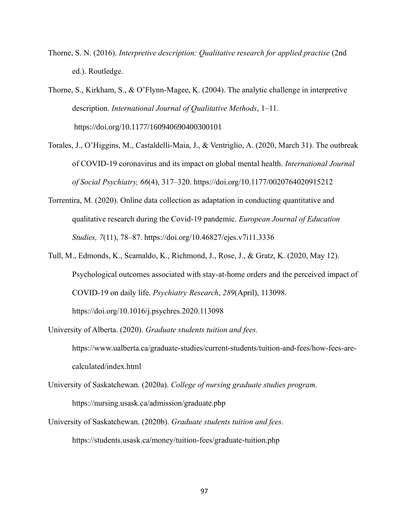Thorne, S. N. (2016). *Interpretive description: Qualitative research for applied practise* (2nd ed.). Routledge.

Thorne, S., Kirkham, S., & O'Flynn-Magee, K. (2004). The analytic challenge in interpretive description. *International Journal of Qualitative Methods*, 1–11. https://doi.org/10.1177/160940690400300101

- Torales, J., O'Higgins, M., Castaldelli-Maia, J., & Ventriglio, A. (2020, March 31). The outbreak of COVID-19 coronavirus and its impact on global mental health. *International Journal of Social Psychiatry, 66*(4), 317–320. https://doi.org/10.1177/0020764020915212
- Torrentira, M. (2020). Online data collection as adaptation in conducting quantitative and qualitative research during the Covid-19 pandemic. *European Journal of Education Studies, 7*(11), 78–87. https://doi.org/10.46827/ejes.v7i11.3336
- Tull, M., Edmonds, K., Scamaldo, K., Richmond, J., Rose, J., & Gratz, K. (2020, May 12). Psychological outcomes associated with stay-at-home orders and the perceived impact of COVID-19 on daily life. *Psychiatry Research*, *289*(April), 113098. https://doi.org/10.1016/j.psychres.2020.113098
- University of Alberta. (2020). *Graduate students tuition and fees.* https://www.ualberta.ca/graduate-studies/current-students/tuition-and-fees/how-fees-arecalculated/index.html
- University of Saskatchewan. (2020a). *College of nursing graduate studies program.* https://nursing.usask.ca/admission/graduate.php
- University of Saskatchewan. (2020b). *Graduate students tuition and fees.* https://students.usask.ca/money/tuition-fees/graduate-tuition.php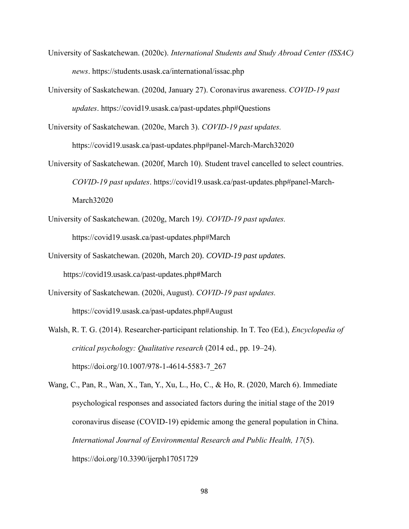- University of Saskatchewan. (2020c). *International Students and Study Abroad Center (ISSAC) news*. https://students.usask.ca/international/issac.php
- University of Saskatchewan. (2020d, January 27). Coronavirus awareness. *COVID-19 past updates*. https://covid19.usask.ca/past-updates.php#Questions
- University of Saskatchewan. (2020e, March 3). *COVID-19 past updates.*

https://covid19.usask.ca/past-updates.php#panel-March-March32020

- University of Saskatchewan. (2020f, March 10). Student travel cancelled to select countries. *COVID-19 past updates*. https://covid19.usask.ca/past-updates.php#panel-March-March32020
- University of Saskatchewan. (2020g, March 19*). COVID-19 past updates.* https://covid19.usask.ca/past-updates.php#March
- University of Saskatchewan. (2020h, March 20). *COVID-19 past updates.* https://covid19.usask.ca/past-updates.php#March
- University of Saskatchewan. (2020i, August). *COVID-19 past updates.* https://covid19.usask.ca/past-updates.php#August
- Walsh, R. T. G. (2014). Researcher-participant relationship. In T. Teo (Ed.), *Encyclopedia of critical psychology: Qualitative research* (2014 ed., pp. 19–24). https://doi.org/10.1007/978-1-4614-5583-7\_267
- Wang, C., Pan, R., Wan, X., Tan, Y., Xu, L., Ho, C., & Ho, R. (2020, March 6). Immediate psychological responses and associated factors during the initial stage of the 2019 coronavirus disease (COVID-19) epidemic among the general population in China. *International Journal of Environmental Research and Public Health, 17*(5). https://doi.org/10.3390/ijerph17051729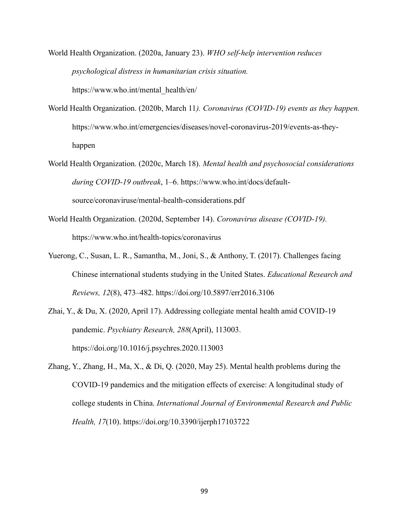World Health Organization. (2020a, January 23). *WHO self-help intervention reduces psychological distress in humanitarian crisis situation.* https://www.who.int/mental\_health/en/

- World Health Organization. (2020b, March 11*). Coronavirus (COVID-19) events as they happen.* https://www.who.int/emergencies/diseases/novel-coronavirus-2019/events-as-theyhappen
- World Health Organization. (2020c, March 18). *Mental health and psychosocial considerations during COVID-19 outbreak*, 1–6. https://www.who.int/docs/defaultsource/coronaviruse/mental-health-considerations.pdf
- World Health Organization. (2020d, September 14). *Coronavirus disease (COVID-19).* https://www.who.int/health-topics/coronavirus
- Yuerong, C., Susan, L. R., Samantha, M., Joni, S., & Anthony, T. (2017). Challenges facing Chinese international students studying in the United States. *Educational Research and Reviews, 12*(8), 473–482. https://doi.org/10.5897/err2016.3106
- Zhai, Y., & Du, X. (2020, April 17). Addressing collegiate mental health amid COVID-19 pandemic. *Psychiatry Research, 288*(April), 113003. https://doi.org/10.1016/j.psychres.2020.113003
- Zhang, Y., Zhang, H., Ma, X., & Di, Q. (2020, May 25). Mental health problems during the COVID-19 pandemics and the mitigation effects of exercise: A longitudinal study of college students in China. *International Journal of Environmental Research and Public Health, 17*(10). https://doi.org/10.3390/ijerph17103722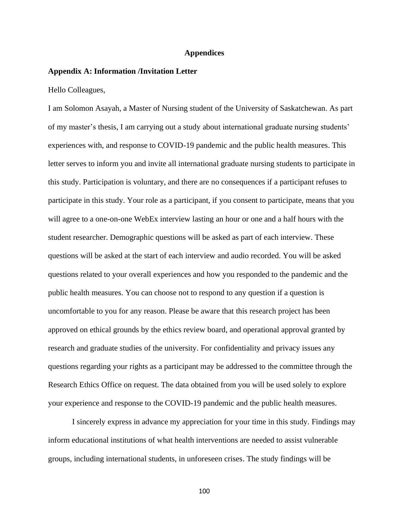#### **Appendices**

## **Appendix A: Information /Invitation Letter**

Hello Colleagues,

I am Solomon Asayah, a Master of Nursing student of the University of Saskatchewan. As part of my master's thesis, I am carrying out a study about international graduate nursing students' experiences with, and response to COVID-19 pandemic and the public health measures. This letter serves to inform you and invite all international graduate nursing students to participate in this study. Participation is voluntary, and there are no consequences if a participant refuses to participate in this study. Your role as a participant, if you consent to participate, means that you will agree to a one-on-one WebEx interview lasting an hour or one and a half hours with the student researcher. Demographic questions will be asked as part of each interview. These questions will be asked at the start of each interview and audio recorded. You will be asked questions related to your overall experiences and how you responded to the pandemic and the public health measures. You can choose not to respond to any question if a question is uncomfortable to you for any reason. Please be aware that this research project has been approved on ethical grounds by the ethics review board, and operational approval granted by research and graduate studies of the university. For confidentiality and privacy issues any questions regarding your rights as a participant may be addressed to the committee through the Research Ethics Office on request. The data obtained from you will be used solely to explore your experience and response to the COVID-19 pandemic and the public health measures.

I sincerely express in advance my appreciation for your time in this study. Findings may inform educational institutions of what health interventions are needed to assist vulnerable groups, including international students, in unforeseen crises. The study findings will be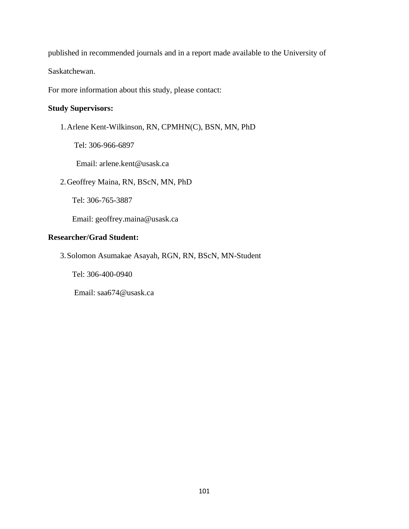published in recommended journals and in a report made available to the University of

Saskatchewan.

For more information about this study, please contact:

## **Study Supervisors:**

1.Arlene Kent-Wilkinson, RN, CPMHN(C), BSN, MN, PhD

Tel: 306-966-6897

Email: arlene.kent@usask.ca

2.Geoffrey Maina, RN, BScN, MN, PhD

Tel: 306-765-3887

Email: [geoffrey.maina@usask.ca](mailto:geoffrey.maina@usask.ca)

## **Researcher/Grad Student:**

3.Solomon Asumakae Asayah, RGN, RN, BScN, MN-Student

Tel: 306-400-0940

Email: saa674@usask.ca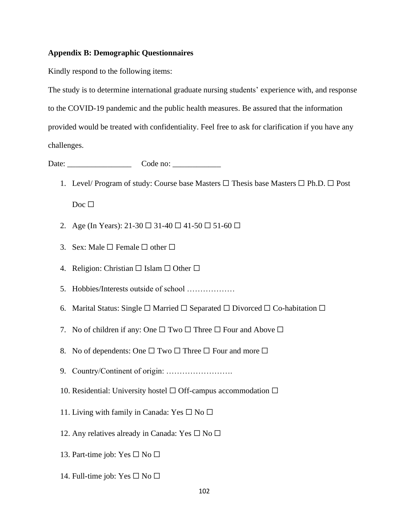## **Appendix B: Demographic Questionnaires**

Kindly respond to the following items:

The study is to determine international graduate nursing students' experience with, and response to the COVID-19 pandemic and the public health measures. Be assured that the information provided would be treated with confidentiality. Feel free to ask for clarification if you have any challenges.

Date: \_\_\_\_\_\_\_\_\_\_\_\_\_\_\_\_ Code no: \_\_\_\_\_\_\_\_\_\_\_\_

- 1. Level/ Program of study: Course base Masters  $\Box$  Thesis base Masters  $\Box$  Ph.D.  $\Box$  Post Doc □
- 2. Age (In Years):  $21-30 \square 31-40 \square 41-50 \square 51-60 \square$
- 3. Sex: Male  $\Box$  Female  $\Box$  other  $\Box$
- 4. Religion: Christian  $\Box$  Islam  $\Box$  Other  $\Box$
- 5. Hobbies/Interests outside of school ………………
- 6. Marital Status: Single  $\Box$  Married  $\Box$  Separated  $\Box$  Divorced  $\Box$  Co-habitation  $\Box$
- 7. No of children if any: One  $\Box$  Two  $\Box$  Three  $\Box$  Four and Above  $\Box$
- 8. No of dependents: One  $\Box$  Two  $\Box$  Three  $\Box$  Four and more  $\Box$
- 9. Country/Continent of origin: …………………….
- 10. Residential: University hostel  $\Box$  Off-campus accommodation  $\Box$
- 11. Living with family in Canada: Yes  $\square$  No  $\square$
- 12. Any relatives already in Canada: Yes  $\Box$  No  $\Box$
- 13. Part-time job: Yes  $\square$  No  $\square$
- 14. Full-time job: Yes  $\Box$  No  $\Box$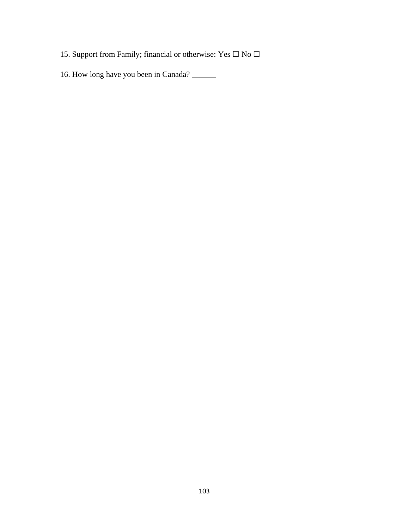- 15. Support from Family; financial or otherwise: Yes  $\Box$  No  $\Box$
- 16. How long have you been in Canada? \_\_\_\_\_\_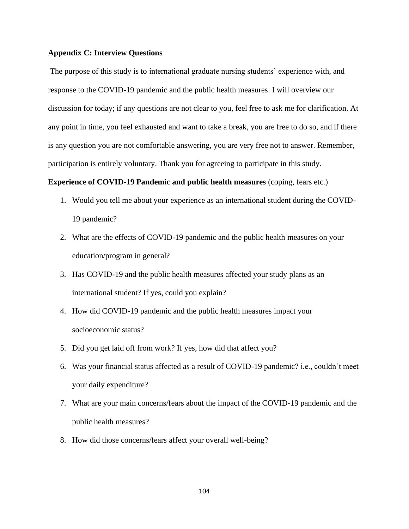#### **Appendix C: Interview Questions**

The purpose of this study is to international graduate nursing students' experience with, and response to the COVID-19 pandemic and the public health measures. I will overview our discussion for today; if any questions are not clear to you, feel free to ask me for clarification. At any point in time, you feel exhausted and want to take a break, you are free to do so, and if there is any question you are not comfortable answering, you are very free not to answer. Remember, participation is entirely voluntary. Thank you for agreeing to participate in this study.

## **Experience of COVID-19 Pandemic and public health measures** (coping, fears etc.)

- 1. Would you tell me about your experience as an international student during the COVID-19 pandemic?
- 2. What are the effects of COVID-19 pandemic and the public health measures on your education/program in general?
- 3. Has COVID-19 and the public health measures affected your study plans as an international student? If yes, could you explain?
- 4. How did COVID-19 pandemic and the public health measures impact your socioeconomic status?
- 5. Did you get laid off from work? If yes, how did that affect you?
- 6. Was your financial status affected as a result of COVID-19 pandemic? i.e., couldn't meet your daily expenditure?
- 7. What are your main concerns/fears about the impact of the COVID-19 pandemic and the public health measures?
- 8. How did those concerns/fears affect your overall well-being?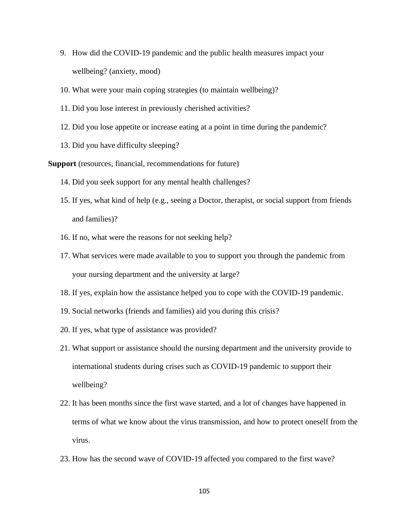- 9. How did the COVID-19 pandemic and the public health measures impact your wellbeing? (anxiety, mood)
- 10. What were your main coping strategies (to maintain wellbeing)?
- 11. Did you lose interest in previously cherished activities?
- 12. Did you lose appetite or increase eating at a point in time during the pandemic?
- 13. Did you have difficulty sleeping?

**Support** (resources, financial, recommendations for future)

- 14. Did you seek support for any mental health challenges?
- 15. If yes, what kind of help (e.g., seeing a Doctor, therapist, or social support from friends and families)?
- 16. If no, what were the reasons for not seeking help?
- 17. What services were made available to you to support you through the pandemic from your nursing department and the university at large?
- 18. If yes, explain how the assistance helped you to cope with the COVID-19 pandemic.
- 19. Social networks (friends and families) aid you during this crisis?
- 20. If yes, what type of assistance was provided?
- 21. What support or assistance should the nursing department and the university provide to international students during crises such as COVID-19 pandemic to support their wellbeing?
- 22. It has been months since the first wave started, and a lot of changes have happened in terms of what we know about the virus transmission, and how to protect oneself from the virus.
- 23. How has the second wave of COVID-19 affected you compared to the first wave?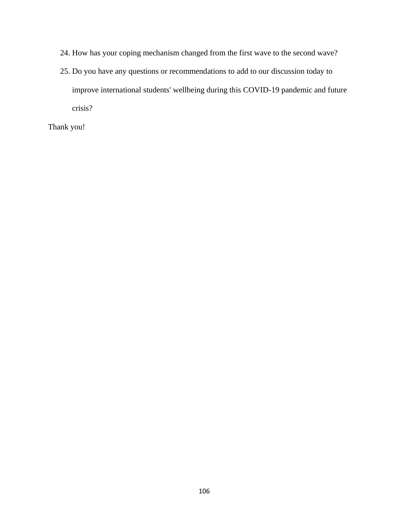- 24. How has your coping mechanism changed from the first wave to the second wave?
- 25. Do you have any questions or recommendations to add to our discussion today to improve international students' wellbeing during this COVID-19 pandemic and future crisis?

Thank you!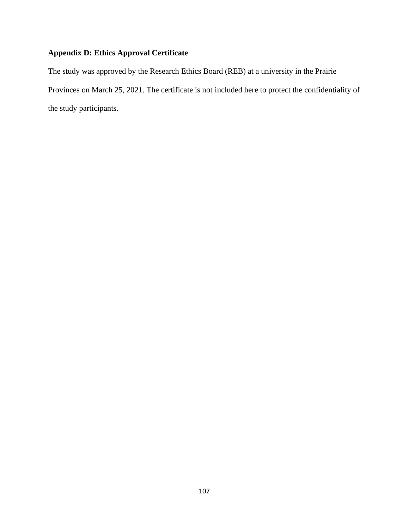## **Appendix D: Ethics Approval Certificate**

The study was approved by the Research Ethics Board (REB) at a university in the Prairie Provinces on March 25, 2021. The certificate is not included here to protect the confidentiality of the study participants.